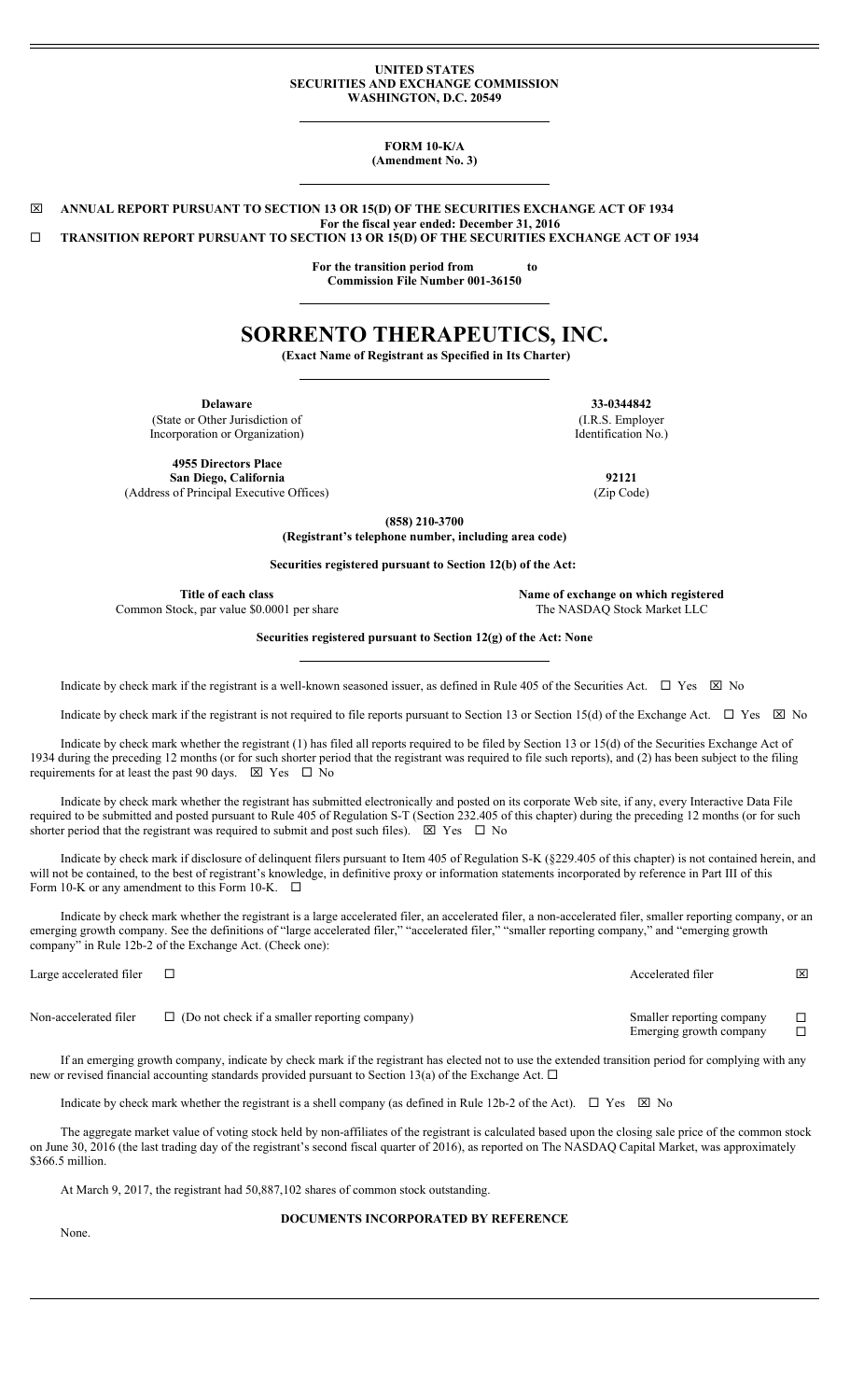#### **UNITED STATES SECURITIES AND EXCHANGE COMMISSION WASHINGTON, D.C. 20549**

**FORM 10-K/A (Amendment No. 3)**

\_ **ANNUAL REPORT PURSUANT TO SECTION 13 OR 15(D) OF THE SECURITIES EXCHANGE ACT OF 1934 For the fiscal year ended: December 31, 2016 TRANSITION REPORT PURSUANT TO SECTION 13 OR 15(D) OF THE SECURITIES EXCHANGE ACT OF 1934** 

> **For the transition period from to Commission File Number 001-36150**

# **SORRENTO THERAPEUTICS, INC.**

**(Exact Name of Registrant as Specified in Its Charter)**

(State or Other Jurisdiction of Incorporation or Organization)

**4955 Directors Place San Diego, California 92121** (Address of Principal Executive Offices) (Zip Code)

**Delaware 33-0344842** (I.R.S. Employer Identification No.)

**(858) 210-3700**

**(Registrant's telephone number, including area code)**

**Securities registered pursuant to Section 12(b) of the Act:** 

**Title of each class Name of exchange on which registered** Common Stock, par value \$0.0001 per share The NASDAQ Stock Market LLC

**Securities registered pursuant to Section 12(g) of the Act: None**

Indicate by check mark if the registrant is a well-known seasoned issuer, as defined in Rule 405 of the Securities Act.  $\Box$  Yes  $\boxtimes$  No

Indicate by check mark if the registrant is not required to file reports pursuant to Section 13 or Section 15(d) of the Exchange Act.  $\Box$  Yes  $\boxtimes$  No

Indicate by check mark whether the registrant (1) has filed all reports required to be filed by Section 13 or 15(d) of the Securities Exchange Act of 1934 during the preceding 12 months (or for such shorter period that the registrant was required to file such reports), and (2) has been subject to the filing requirements for at least the past 90 days.  $\boxtimes$  Yes  $\Box$  No

Indicate by check mark whether the registrant has submitted electronically and posted on its corporate Web site, if any, every Interactive Data File required to be submitted and posted pursuant to Rule 405 of Regulation S-T (Section 232.405 of this chapter) during the preceding 12 months (or for such shorter period that the registrant was required to submit and post such files).  $\boxtimes$  Yes  $\Box$  No

Indicate by check mark if disclosure of delinquent filers pursuant to Item 405 of Regulation S-K (§229.405 of this chapter) is not contained herein, and will not be contained, to the best of registrant's knowledge, in definitive proxy or information statements incorporated by reference in Part III of this Form 10-K or any amendment to this Form 10-K.  $\Box$ 

Indicate by check mark whether the registrant is a large accelerated filer, an accelerated filer, a non-accelerated filer, smaller reporting company, or an emerging growth company. See the definitions of "large accelerated filer," "accelerated filer," "smaller reporting company," and "emerging growth company" in Rule 12b-2 of the Exchange Act. (Check one):

Large accelerated filer □  $\Box$ Non-accelerated filer  $\Box$  (Do not check if a smaller reporting company) Smaller reporting company  $\Box$ <br>Emerging growth company Emerging growth company

If an emerging growth company, indicate by check mark if the registrant has elected not to use the extended transition period for complying with any new or revised financial accounting standards provided pursuant to Section 13(a) of the Exchange Act.  $\Box$ 

Indicate by check mark whether the registrant is a shell company (as defined in Rule 12b-2 of the Act).  $\Box$  Yes  $\boxtimes$  No

The aggregate market value of voting stock held by non-affiliates of the registrant is calculated based upon the closing sale price of the common stock on June 30, 2016 (the last trading day of the registrant's second fiscal quarter of 2016), as reported on The NASDAQ Capital Market, was approximately \$366.5 million.

At March 9, 2017, the registrant had 50,887,102 shares of common stock outstanding.

### **DOCUMENTS INCORPORATED BY REFERENCE**

None.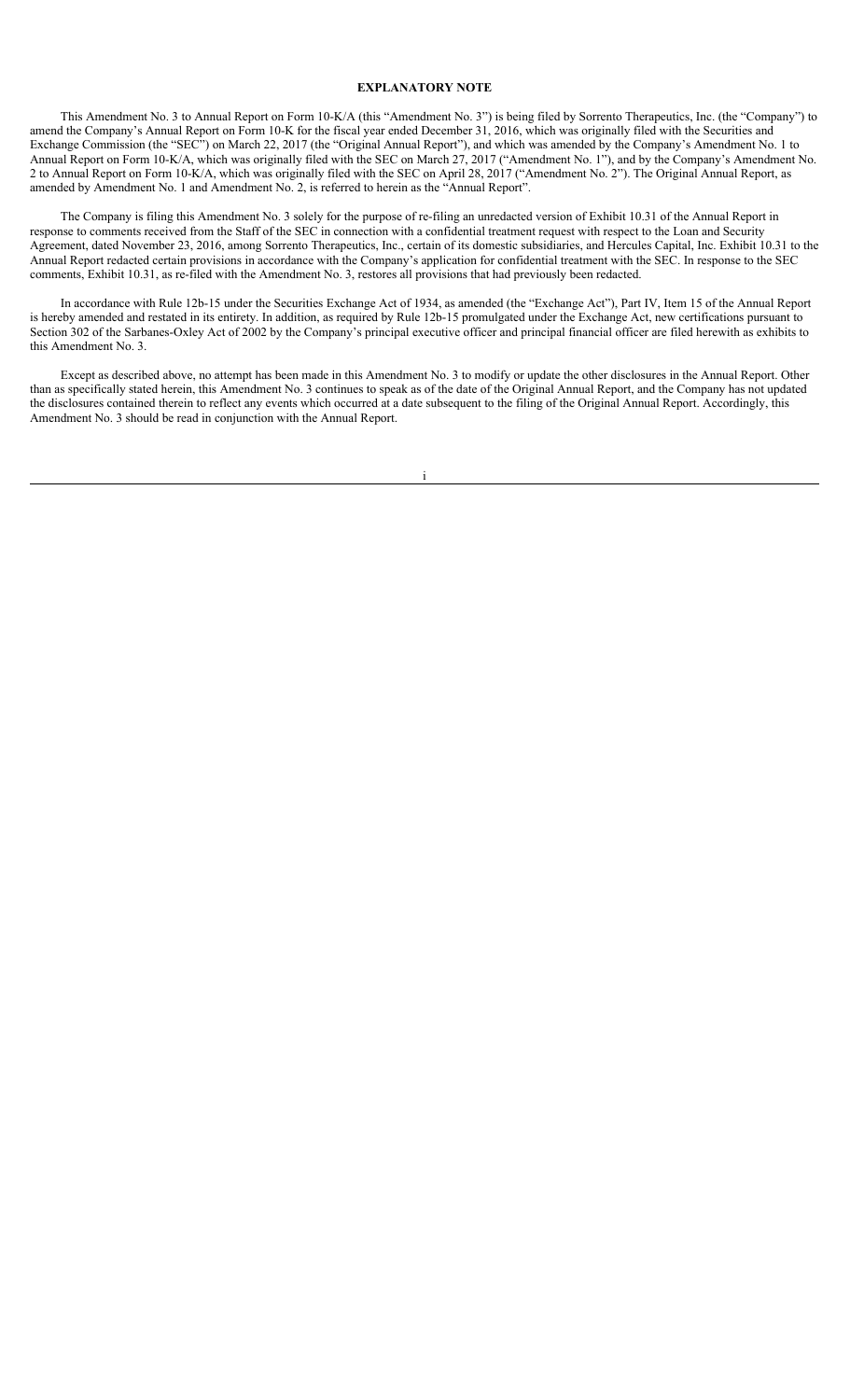# **EXPLANATORY NOTE**

This Amendment No. 3 to Annual Report on Form 10-K/A (this "Amendment No. 3") is being filed by Sorrento Therapeutics, Inc. (the "Company") to amend the Company's Annual Report on Form 10-K for the fiscal year ended December 31, 2016, which was originally filed with the Securities and Exchange Commission (the "SEC") on March 22, 2017 (the "Original Annual Report"), and which was amended by the Company's Amendment No. 1 to Annual Report on Form 10-K/A, which was originally filed with the SEC on March 27, 2017 ("Amendment No. 1"), and by the Company's Amendment No. 2 to Annual Report on Form 10-K/A, which was originally filed with the SEC on April 28, 2017 ("Amendment No. 2"). The Original Annual Report, as amended by Amendment No. 1 and Amendment No. 2, is referred to herein as the "Annual Report".

The Company is filing this Amendment No. 3 solely for the purpose of re-filing an unredacted version of Exhibit 10.31 of the Annual Report in response to comments received from the Staff of the SEC in connection with a confidential treatment request with respect to the Loan and Security Agreement, dated November 23, 2016, among Sorrento Therapeutics, Inc., certain of its domestic subsidiaries, and Hercules Capital, Inc. Exhibit 10.31 to the Annual Report redacted certain provisions in accordance with the Company's application for confidential treatment with the SEC. In response to the SEC comments, Exhibit 10.31, as re-filed with the Amendment No. 3, restores all provisions that had previously been redacted.

In accordance with Rule 12b-15 under the Securities Exchange Act of 1934, as amended (the "Exchange Act"), Part IV, Item 15 of the Annual Report is hereby amended and restated in its entirety. In addition, as required by Rule 12b-15 promulgated under the Exchange Act, new certifications pursuant to Section 302 of the Sarbanes-Oxley Act of 2002 by the Company's principal executive officer and principal financial officer are filed herewith as exhibits to this Amendment No. 3.

Except as described above, no attempt has been made in this Amendment No. 3 to modify or update the other disclosures in the Annual Report. Other than as specifically stated herein, this Amendment No. 3 continues to speak as of the date of the Original Annual Report, and the Company has not updated the disclosures contained therein to reflect any events which occurred at a date subsequent to the filing of the Original Annual Report. Accordingly, this Amendment No. 3 should be read in conjunction with the Annual Report.

i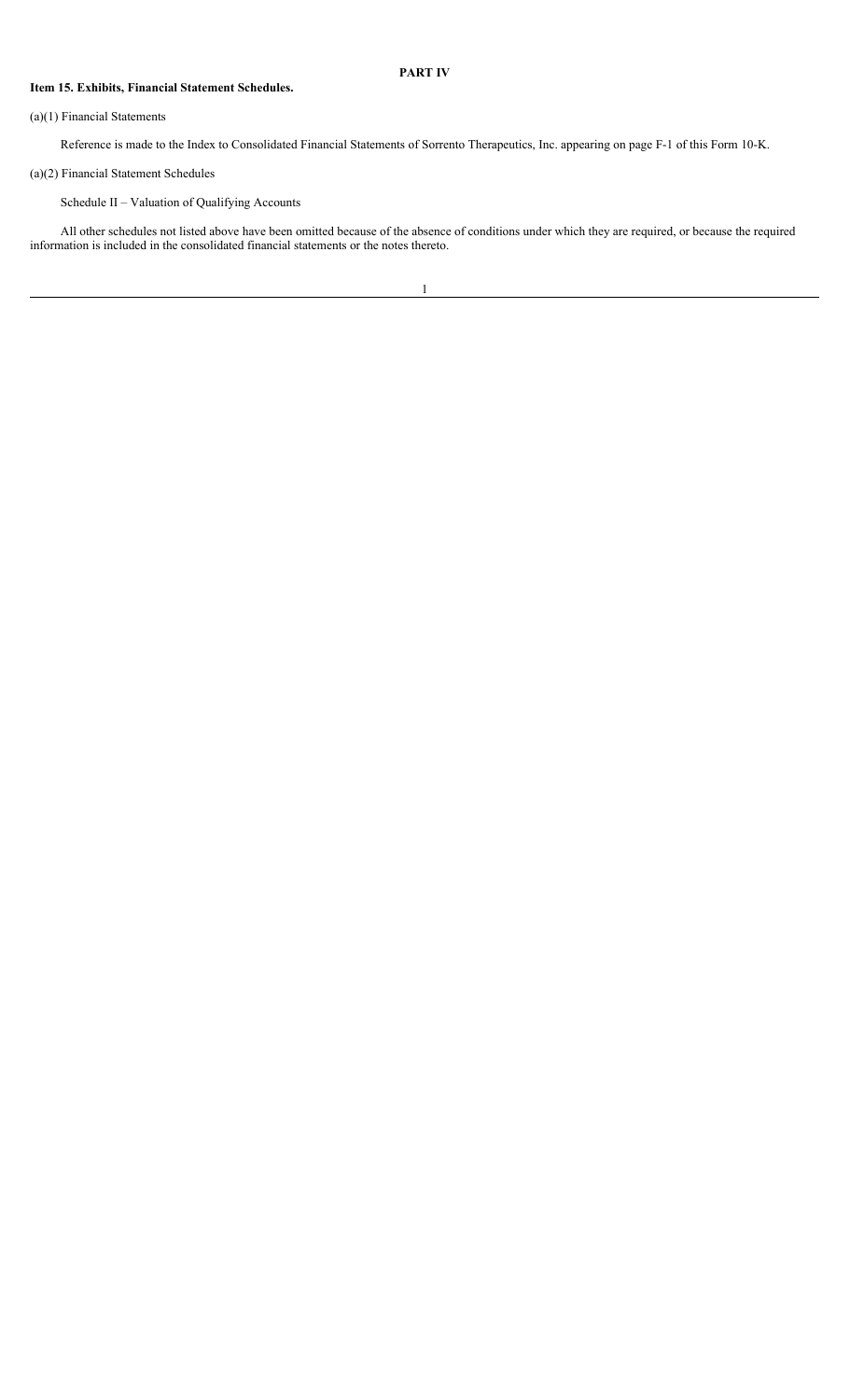### **PART IV**

### **Item 15. Exhibits, Financial Statement Schedules.**

#### (a)(1) Financial Statements

Reference is made to the Index to Consolidated Financial Statements of Sorrento Therapeutics, Inc. appearing on page F-1 of this Form 10-K.

# (a)(2) Financial Statement Schedules

Schedule II – Valuation of Qualifying Accounts

All other schedules not listed above have been omitted because of the absence of conditions under which they are required, or because the required information is included in the consolidated financial statements or the notes thereto.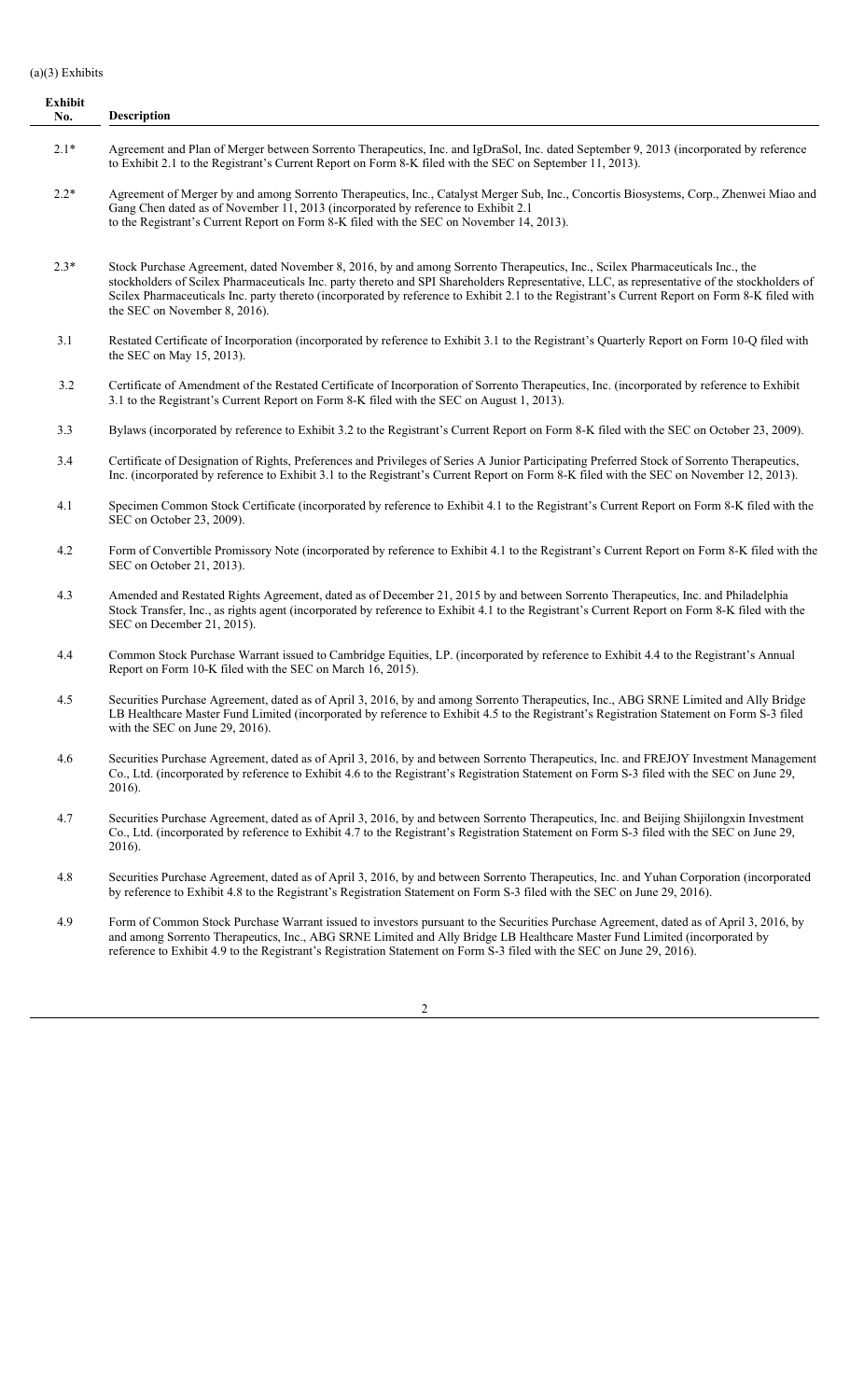#### (a)(3) Exhibits

**Exhibit No. Description** 2.1\* Agreement and Plan of Merger between Sorrento Therapeutics, Inc. and IgDraSol, Inc. dated September 9, 2013 (incorporated by reference to Exhibit 2.1 to the Registrant's Current Report on Form 8-K filed with the SEC on September 11, 2013). 2.2\* Agreement of Merger by and among Sorrento Therapeutics, Inc., Catalyst Merger Sub, Inc., Concortis Biosystems, Corp., Zhenwei Miao and Gang Chen dated as of November 11, 2013 (incorporated by reference to Exhibit 2.1 to the Registrant's Current Report on Form 8-K filed with the SEC on November 14, 2013). 2.3\* Stock Purchase Agreement, dated November 8, 2016, by and among Sorrento Therapeutics, Inc., Scilex Pharmaceuticals Inc., the stockholders of Scilex Pharmaceuticals Inc. party thereto and SPI Shareholders Representative, LLC, as representative of the stockholders of Scilex Pharmaceuticals Inc. party thereto (incorporated by reference to Exhibit 2.1 to the Registrant's Current Report on Form 8-K filed with the SEC on November 8, 2016). 3.1 Restated Certificate of Incorporation (incorporated by reference to Exhibit 3.1 to the Registrant's Quarterly Report on Form 10-Q filed with the SEC on May 15, 2013). 3.2 Certificate of Amendment of the Restated Certificate of Incorporation of Sorrento Therapeutics, Inc. (incorporated by reference to Exhibit 3.1 to the Registrant's Current Report on Form 8-K filed with the SEC on August 1, 2013).

3.3 Bylaws (incorporated by reference to Exhibit 3.2 to the Registrant's Current Report on Form 8-K filed with the SEC on October 23, 2009).

- 3.4 Certificate of Designation of Rights, Preferences and Privileges of Series A Junior Participating Preferred Stock of Sorrento Therapeutics, Inc. (incorporated by reference to Exhibit 3.1 to the Registrant's Current Report on Form 8-K filed with the SEC on November 12, 2013).
- 4.1 Specimen Common Stock Certificate (incorporated by reference to Exhibit 4.1 to the Registrant's Current Report on Form 8-K filed with the SEC on October 23, 2009).
- 4.2 Form of Convertible Promissory Note (incorporated by reference to Exhibit 4.1 to the Registrant's Current Report on Form 8-K filed with the SEC on October 21, 2013).
- 4.3 Amended and Restated Rights Agreement, dated as of December 21, 2015 by and between Sorrento Therapeutics, Inc. and Philadelphia Stock Transfer, Inc., as rights agent (incorporated by reference to Exhibit 4.1 to the Registrant's Current Report on Form 8-K filed with the SEC on December 21, 2015).
- 4.4 Common Stock Purchase Warrant issued to Cambridge Equities, LP. (incorporated by reference to Exhibit 4.4 to the Registrant's Annual Report on Form 10-K filed with the SEC on March 16, 2015).
- 4.5 Securities Purchase Agreement, dated as of April 3, 2016, by and among Sorrento Therapeutics, Inc., ABG SRNE Limited and Ally Bridge LB Healthcare Master Fund Limited (incorporated by reference to Exhibit 4.5 to the Registrant's Registration Statement on Form S-3 filed with the SEC on June 29, 2016).
- 4.6 Securities Purchase Agreement, dated as of April 3, 2016, by and between Sorrento Therapeutics, Inc. and FREJOY Investment Management Co., Ltd. (incorporated by reference to Exhibit 4.6 to the Registrant's Registration Statement on Form S-3 filed with the SEC on June 29, 2016).
- 4.7 Securities Purchase Agreement, dated as of April 3, 2016, by and between Sorrento Therapeutics, Inc. and Beijing Shijilongxin Investment Co., Ltd. (incorporated by reference to Exhibit 4.7 to the Registrant's Registration Statement on Form S-3 filed with the SEC on June 29, 2016).
- 4.8 Securities Purchase Agreement, dated as of April 3, 2016, by and between Sorrento Therapeutics, Inc. and Yuhan Corporation (incorporated by reference to Exhibit 4.8 to the Registrant's Registration Statement on Form S-3 filed with the SEC on June 29, 2016).
- 4.9 Form of Common Stock Purchase Warrant issued to investors pursuant to the Securities Purchase Agreement, dated as of April 3, 2016, by and among Sorrento Therapeutics, Inc., ABG SRNE Limited and Ally Bridge LB Healthcare Master Fund Limited (incorporated by reference to Exhibit 4.9 to the Registrant's Registration Statement on Form S-3 filed with the SEC on June 29, 2016).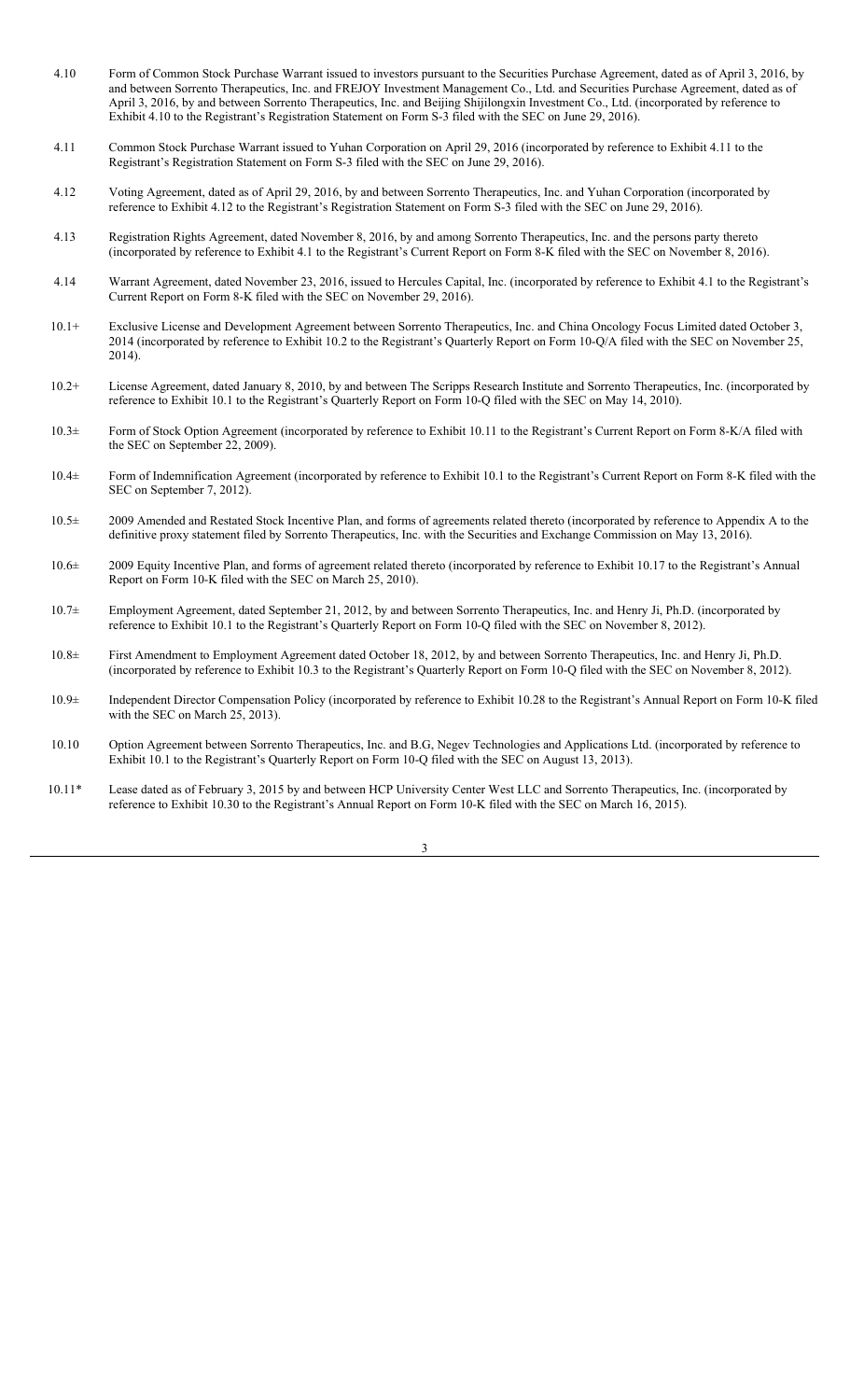- 4.10 Form of Common Stock Purchase Warrant issued to investors pursuant to the Securities Purchase Agreement, dated as of April 3, 2016, by and between Sorrento Therapeutics, Inc. and FREJOY Investment Management Co., Ltd. and Securities Purchase Agreement, dated as of April 3, 2016, by and between Sorrento Therapeutics, Inc. and Beijing Shijilongxin Investment Co., Ltd. (incorporated by reference to Exhibit 4.10 to the Registrant's Registration Statement on Form S-3 filed with the SEC on June 29, 2016).
- 4.11 Common Stock Purchase Warrant issued to Yuhan Corporation on April 29, 2016 (incorporated by reference to Exhibit 4.11 to the Registrant's Registration Statement on Form S-3 filed with the SEC on June 29, 2016).
- 4.12 Voting Agreement, dated as of April 29, 2016, by and between Sorrento Therapeutics, Inc. and Yuhan Corporation (incorporated by reference to Exhibit 4.12 to the Registrant's Registration Statement on Form S-3 filed with the SEC on June 29, 2016).
- 4.13 Registration Rights Agreement, dated November 8, 2016, by and among Sorrento Therapeutics, Inc. and the persons party thereto (incorporated by reference to Exhibit 4.1 to the Registrant's Current Report on Form 8-K filed with the SEC on November 8, 2016).
- 4.14 Warrant Agreement, dated November 23, 2016, issued to Hercules Capital, Inc. (incorporated by reference to Exhibit 4.1 to the Registrant's Current Report on Form 8-K filed with the SEC on November 29, 2016).
- 10.1+ Exclusive License and Development Agreement between Sorrento Therapeutics, Inc. and China Oncology Focus Limited dated October 3, 2014 (incorporated by reference to Exhibit 10.2 to the Registrant's Quarterly Report on Form 10-Q/A filed with the SEC on November 25, 2014).
- 10.2+ License Agreement, dated January 8, 2010, by and between The Scripps Research Institute and Sorrento Therapeutics, Inc. (incorporated by reference to Exhibit 10.1 to the Registrant's Quarterly Report on Form 10-Q filed with the SEC on May 14, 2010).
- 10.3± Form of Stock Option Agreement (incorporated by reference to Exhibit 10.11 to the Registrant's Current Report on Form 8-K/A filed with the SEC on September 22, 2009).
- 10.4± Form of Indemnification Agreement (incorporated by reference to Exhibit 10.1 to the Registrant's Current Report on Form 8-K filed with the SEC on September 7, 2012).
- 10.5± 2009 Amended and Restated Stock Incentive Plan, and forms of agreements related thereto (incorporated by reference to Appendix A to the definitive proxy statement filed by Sorrento Therapeutics, Inc. with the Securities and Exchange Commission on May 13, 2016).
- 10.6± 2009 Equity Incentive Plan, and forms of agreement related thereto (incorporated by reference to Exhibit 10.17 to the Registrant's Annual Report on Form 10-K filed with the SEC on March 25, 2010).
- 10.7± Employment Agreement, dated September 21, 2012, by and between Sorrento Therapeutics, Inc. and Henry Ji, Ph.D. (incorporated by reference to Exhibit 10.1 to the Registrant's Quarterly Report on Form 10-Q filed with the SEC on November 8, 2012).
- 10.8± First Amendment to Employment Agreement dated October 18, 2012, by and between Sorrento Therapeutics, Inc. and Henry Ji, Ph.D. (incorporated by reference to Exhibit 10.3 to the Registrant's Quarterly Report on Form 10-Q filed with the SEC on November 8, 2012).
- 10.9± Independent Director Compensation Policy (incorporated by reference to Exhibit 10.28 to the Registrant's Annual Report on Form 10-K filed with the SEC on March 25, 2013).
- 10.10 Option Agreement between Sorrento Therapeutics, Inc. and B.G, Negev Technologies and Applications Ltd. (incorporated by reference to Exhibit 10.1 to the Registrant's Quarterly Report on Form 10-Q filed with the SEC on August 13, 2013).
- 10.11\* Lease dated as of February 3, 2015 by and between HCP University Center West LLC and Sorrento Therapeutics, Inc. (incorporated by reference to Exhibit 10.30 to the Registrant's Annual Report on Form 10-K filed with the SEC on March 16, 2015).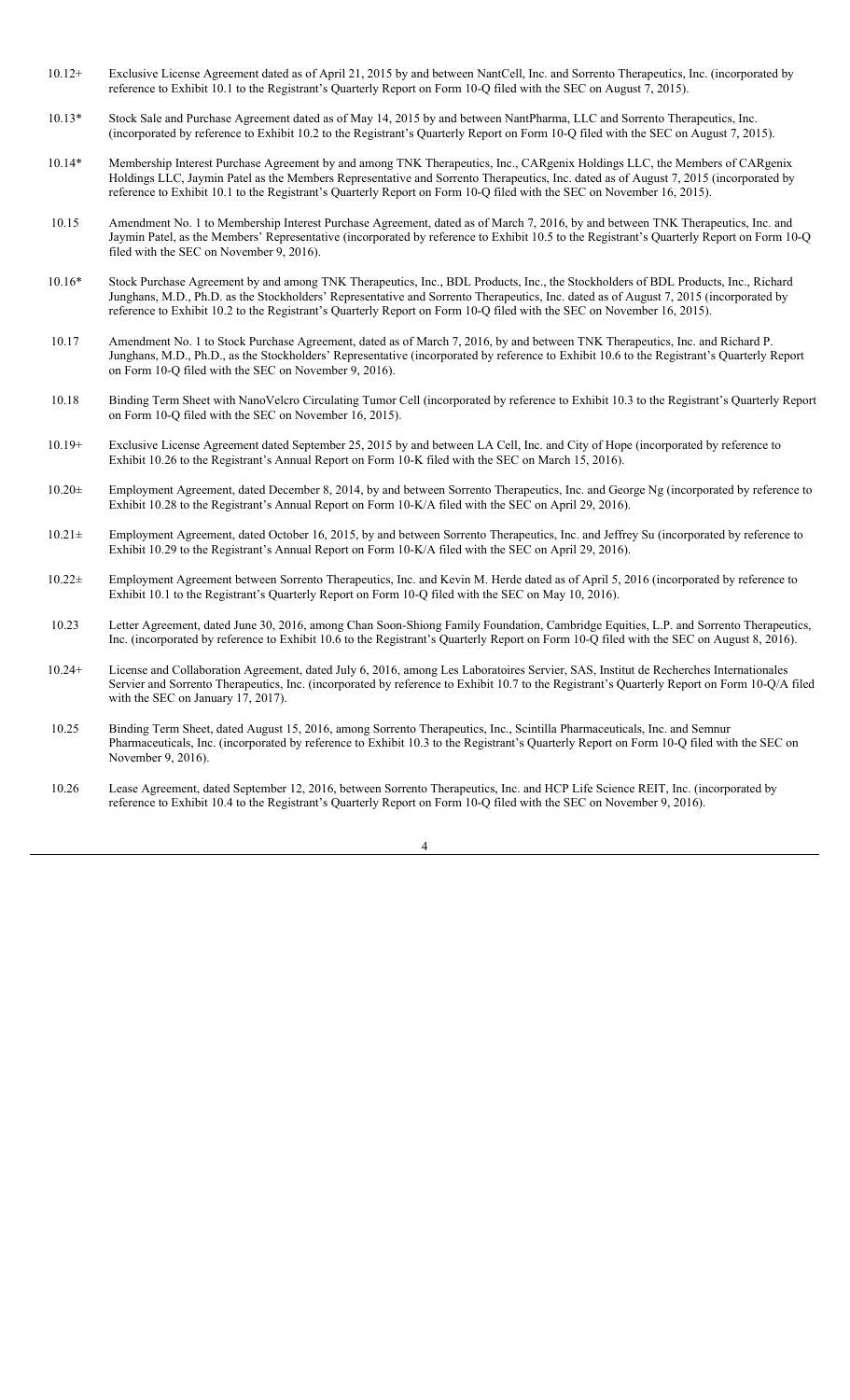- 10.12+ Exclusive License Agreement dated as of April 21, 2015 by and between NantCell, Inc. and Sorrento Therapeutics, Inc. (incorporated by reference to Exhibit 10.1 to the Registrant's Quarterly Report on Form 10-Q filed with the SEC on August 7, 2015).
- 10.13\* Stock Sale and Purchase Agreement dated as of May 14, 2015 by and between NantPharma, LLC and Sorrento Therapeutics, Inc. (incorporated by reference to Exhibit 10.2 to the Registrant's Quarterly Report on Form 10-Q filed with the SEC on August 7, 2015).
- 10.14\* Membership Interest Purchase Agreement by and among TNK Therapeutics, Inc., CARgenix Holdings LLC, the Members of CARgenix Holdings LLC, Jaymin Patel as the Members Representative and Sorrento Therapeutics, Inc. dated as of August 7, 2015 (incorporated by reference to Exhibit 10.1 to the Registrant's Quarterly Report on Form 10-Q filed with the SEC on November 16, 2015).
- 10.15 Amendment No. 1 to Membership Interest Purchase Agreement, dated as of March 7, 2016, by and between TNK Therapeutics, Inc. and Jaymin Patel, as the Members' Representative (incorporated by reference to Exhibit 10.5 to the Registrant's Quarterly Report on Form 10-Q filed with the SEC on November  $9, 2016$ .
- 10.16\* Stock Purchase Agreement by and among TNK Therapeutics, Inc., BDL Products, Inc., the Stockholders of BDL Products, Inc., Richard Junghans, M.D., Ph.D. as the Stockholders' Representative and Sorrento Therapeutics, Inc. dated as of August 7, 2015 (incorporated by reference to Exhibit 10.2 to the Registrant's Quarterly Report on Form 10-Q filed with the SEC on November 16, 2015).
- 10.17 Amendment No. 1 to Stock Purchase Agreement, dated as of March 7, 2016, by and between TNK Therapeutics, Inc. and Richard P. Junghans, M.D., Ph.D., as the Stockholders' Representative (incorporated by reference to Exhibit 10.6 to the Registrant's Quarterly Report on Form 10-Q filed with the SEC on November 9, 2016).
- 10.18 Binding Term Sheet with NanoVelcro Circulating Tumor Cell (incorporated by reference to Exhibit 10.3 to the Registrant's Quarterly Report on Form 10-Q filed with the SEC on November 16, 2015).
- 10.19+ Exclusive License Agreement dated September 25, 2015 by and between LA Cell, Inc. and City of Hope (incorporated by reference to Exhibit 10.26 to the Registrant's Annual Report on Form 10-K filed with the SEC on March 15, 2016).
- 10.20± Employment Agreement, dated December 8, 2014, by and between Sorrento Therapeutics, Inc. and George Ng (incorporated by reference to Exhibit 10.28 to the Registrant's Annual Report on Form 10-K/A filed with the SEC on April 29, 2016).
- 10.21± Employment Agreement, dated October 16, 2015, by and between Sorrento Therapeutics, Inc. and Jeffrey Su (incorporated by reference to Exhibit 10.29 to the Registrant's Annual Report on Form 10-K/A filed with the SEC on April 29, 2016).
- 10.22± Employment Agreement between Sorrento Therapeutics, Inc. and Kevin M. Herde dated as of April 5, 2016 (incorporated by reference to Exhibit 10.1 to the Registrant's Quarterly Report on Form 10-Q filed with the SEC on May 10, 2016).
- 10.23 Letter Agreement, dated June 30, 2016, among Chan Soon-Shiong Family Foundation, Cambridge Equities, L.P. and Sorrento Therapeutics, Inc. (incorporated by reference to Exhibit 10.6 to the Registrant's Quarterly Report on Form 10-Q filed with the SEC on August 8, 2016).
- 10.24+ License and Collaboration Agreement, dated July 6, 2016, among Les Laboratoires Servier, SAS, Institut de Recherches Internationales Servier and Sorrento Therapeutics, Inc. (incorporated by reference to Exhibit 10.7 to the Registrant's Quarterly Report on Form 10-Q/A filed with the SEC on January 17, 2017).
- 10.25 Binding Term Sheet, dated August 15, 2016, among Sorrento Therapeutics, Inc., Scintilla Pharmaceuticals, Inc. and Semnur Pharmaceuticals, Inc. (incorporated by reference to Exhibit 10.3 to the Registrant's Quarterly Report on Form 10-Q filed with the SEC on November 9, 2016).
- 10.26 Lease Agreement, dated September 12, 2016, between Sorrento Therapeutics, Inc. and HCP Life Science REIT, Inc. (incorporated by reference to Exhibit 10.4 to the Registrant's Quarterly Report on Form 10-Q filed with the SEC on November 9, 2016).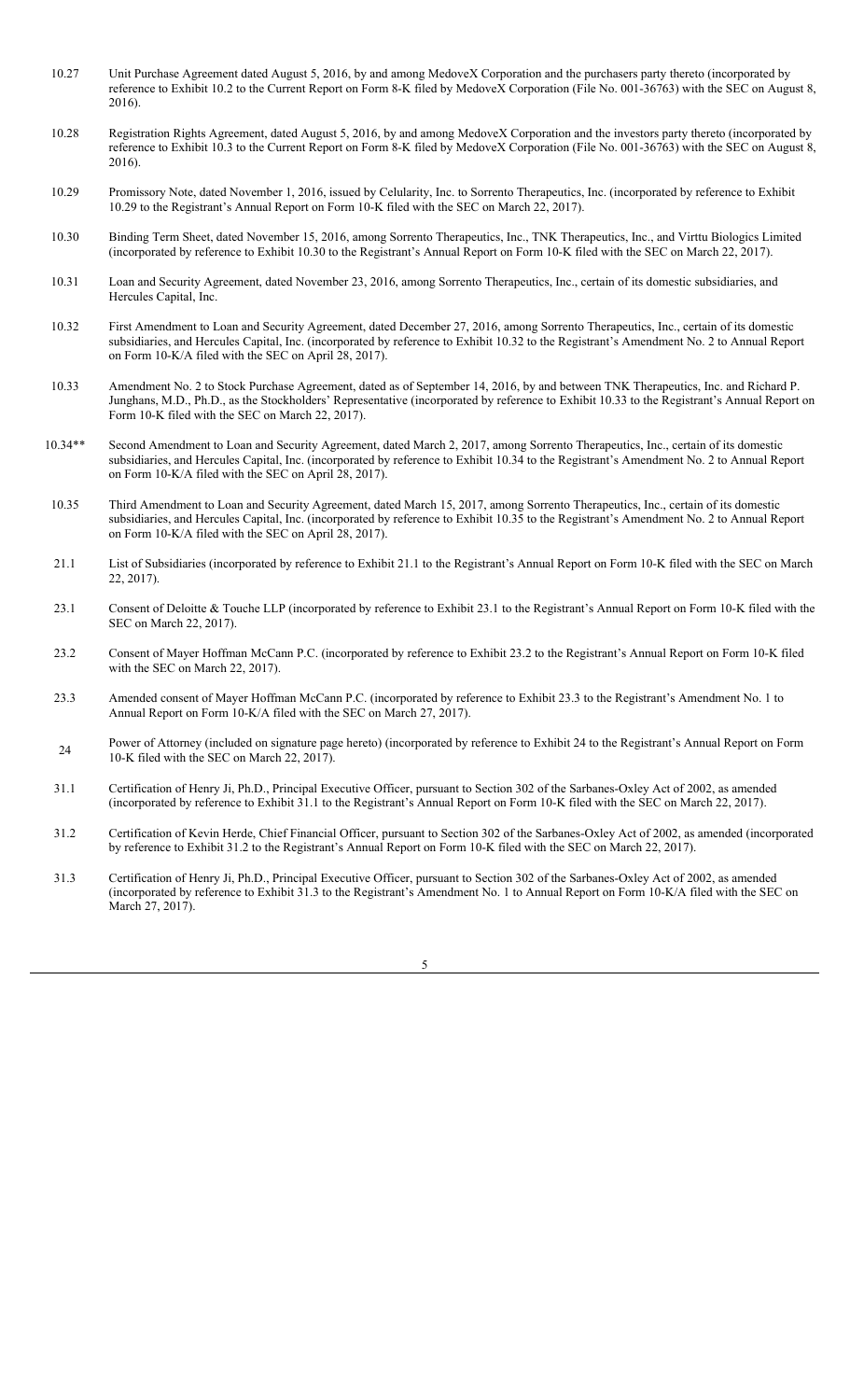- 10.27 Unit Purchase Agreement dated August 5, 2016, by and among MedoveX Corporation and the purchasers party thereto (incorporated by reference to Exhibit 10.2 to the Current Report on Form 8-K filed by MedoveX Corporation (File No. 001-36763) with the SEC on August 8, 2016).
- 10.28 Registration Rights Agreement, dated August 5, 2016, by and among MedoveX Corporation and the investors party thereto (incorporated by reference to Exhibit 10.3 to the Current Report on Form 8-K filed by MedoveX Corporation (File No. 001-36763) with the SEC on August 8, 2016).
- 10.29 Promissory Note, dated November 1, 2016, issued by Celularity, Inc. to Sorrento Therapeutics, Inc. (incorporated by reference to Exhibit 10.29 to the Registrant's Annual Report on Form 10-K filed with the SEC on March 22, 2017).
- 10.30 Binding Term Sheet, dated November 15, 2016, among Sorrento Therapeutics, Inc., TNK Therapeutics, Inc., and Virttu Biologics Limited (incorporated by reference to Exhibit 10.30 to the Registrant's Annual Report on Form 10-K filed with the SEC on March 22, 2017).
- 10.31 Loan and Security Agreement, dated November 23, 2016, among Sorrento Therapeutics, Inc., certain of its domestic subsidiaries, and Hercules Capital, Inc.
- 10.32 First Amendment to Loan and Security Agreement, dated December 27, 2016, among Sorrento Therapeutics, Inc., certain of its domestic subsidiaries, and Hercules Capital, Inc. (incorporated by reference to Exhibit 10.32 to the Registrant's Amendment No. 2 to Annual Report on Form 10-K/A filed with the SEC on April 28, 2017).
- 10.33 Amendment No. 2 to Stock Purchase Agreement, dated as of September 14, 2016, by and between TNK Therapeutics, Inc. and Richard P. Junghans, M.D., Ph.D., as the Stockholders' Representative (incorporated by reference to Exhibit 10.33 to the Registrant's Annual Report on Form 10-K filed with the SEC on March 22, 2017).
- 10.34\*\* Second Amendment to Loan and Security Agreement, dated March 2, 2017, among Sorrento Therapeutics, Inc., certain of its domestic subsidiaries, and Hercules Capital, Inc. (incorporated by reference to Exhibit 10.34 to the Registrant's Amendment No. 2 to Annual Report on Form 10-K/A filed with the SEC on April 28, 2017).
- 10.35 Third Amendment to Loan and Security Agreement, dated March 15, 2017, among Sorrento Therapeutics, Inc., certain of its domestic subsidiaries, and Hercules Capital, Inc. (incorporated by reference to Exhibit 10.35 to the Registrant's Amendment No. 2 to Annual Report on Form 10-K/A filed with the SEC on April 28, 2017).
- 21.1 List of Subsidiaries (incorporated by reference to Exhibit 21.1 to the Registrant's Annual Report on Form 10-K filed with the SEC on March 22, 2017).
- 23.1 Consent of Deloitte & Touche LLP (incorporated by reference to Exhibit 23.1 to the Registrant's Annual Report on Form 10-K filed with the SEC on March 22, 2017).
- 23.2 Consent of Mayer Hoffman McCann P.C. (incorporated by reference to Exhibit 23.2 to the Registrant's Annual Report on Form 10-K filed with the SEC on March 22, 2017).
- 23.3 Amended consent of Mayer Hoffman McCann P.C. (incorporated by reference to Exhibit 23.3 to the Registrant's Amendment No. 1 to Annual Report on Form 10-K/A filed with the SEC on March 27, 2017).
- Power of Attorney (included on signature page hereto) (incorporated by reference to Exhibit 24 to the Registrant's Annual Report on Form 10-K filed with the SEC on March 22, 2017).
- 31.1 Certification of Henry Ji, Ph.D., Principal Executive Officer, pursuant to Section 302 of the Sarbanes-Oxley Act of 2002, as amended (incorporated by reference to Exhibit 31.1 to the Registrant's Annual Report on Form 10-K filed with the SEC on March 22, 2017).
- 31.2 Certification of Kevin Herde, Chief Financial Officer, pursuant to Section 302 of the Sarbanes-Oxley Act of 2002, as amended (incorporated by reference to Exhibit 31.2 to the Registrant's Annual Report on Form 10-K filed with the SEC on March 22, 2017).
- 31.3 Certification of Henry Ji, Ph.D., Principal Executive Officer, pursuant to Section 302 of the Sarbanes-Oxley Act of 2002, as amended (incorporated by reference to Exhibit 31.3 to the Registrant's Amendment No. 1 to Annual Report on Form 10-K/A filed with the SEC on March 27, 2017).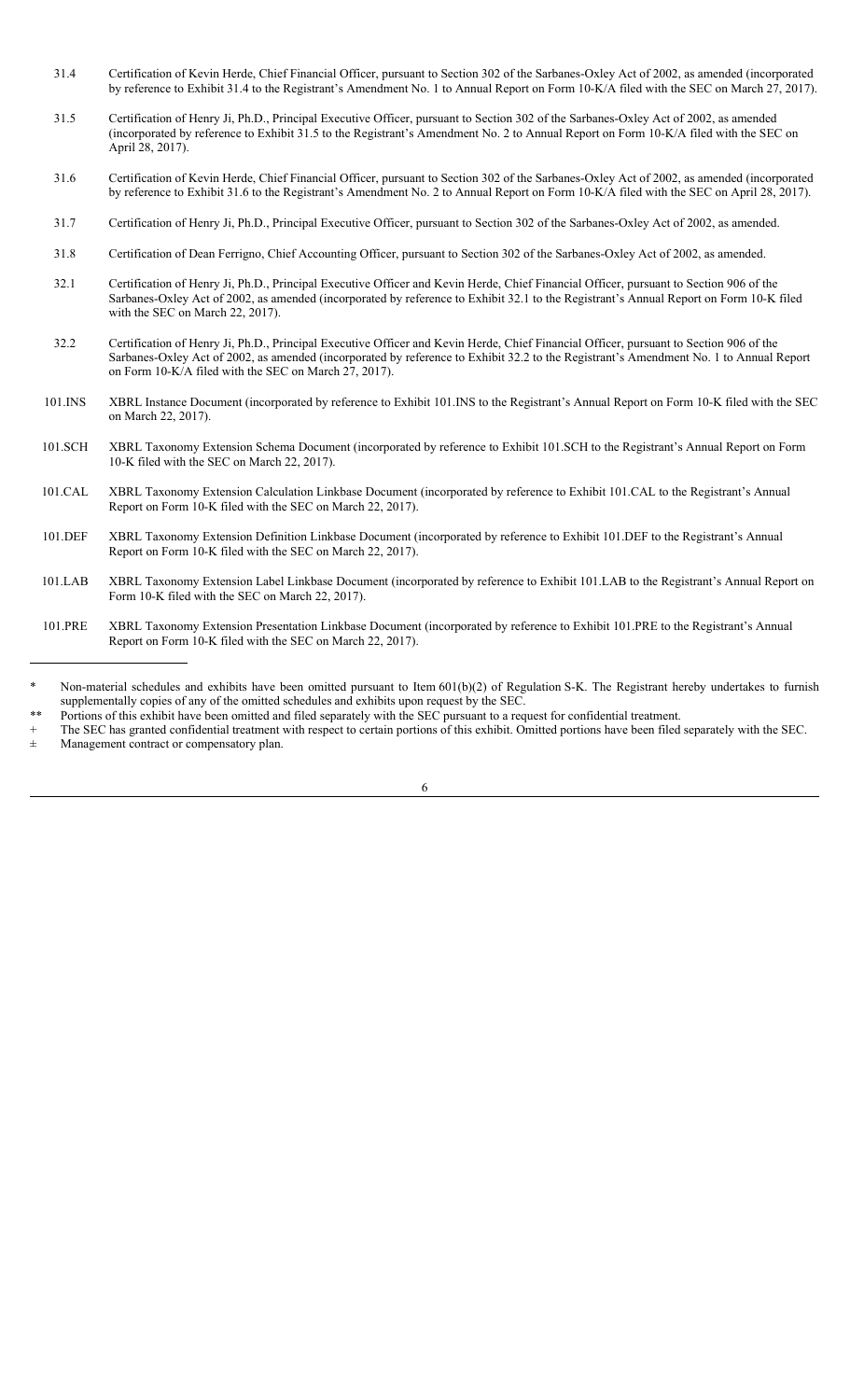- 31.4 Certification of Kevin Herde, Chief Financial Officer, pursuant to Section 302 of the Sarbanes-Oxley Act of 2002, as amended (incorporated by reference to Exhibit 31.4 to the Registrant's Amendment No. 1 to Annual Report on Form 10-K/A filed with the SEC on March 27, 2017).
- 31.5 Certification of Henry Ji, Ph.D., Principal Executive Officer, pursuant to Section 302 of the Sarbanes-Oxley Act of 2002, as amended (incorporated by reference to Exhibit 31.5 to the Registrant's Amendment No. 2 to Annual Report on Form 10-K/A filed with the SEC on April 28, 2017).
- 31.6 Certification of Kevin Herde, Chief Financial Officer, pursuant to Section 302 of the Sarbanes-Oxley Act of 2002, as amended (incorporated by reference to Exhibit 31.6 to the Registrant's Amendment No. 2 to Annual Report on Form 10-K/A filed with the SEC on April 28, 2017).
- 31.7 Certification of Henry Ji, Ph.D., Principal Executive Officer, pursuant to Section 302 of the Sarbanes-Oxley Act of 2002, as amended.
- 31.8 Certification of Dean Ferrigno, Chief Accounting Officer, pursuant to Section 302 of the Sarbanes-Oxley Act of 2002, as amended.
- 32.1 Certification of Henry Ji, Ph.D., Principal Executive Officer and Kevin Herde, Chief Financial Officer, pursuant to Section 906 of the Sarbanes-Oxley Act of 2002, as amended (incorporated by reference to Exhibit 32.1 to the Registrant's Annual Report on Form 10-K filed with the SEC on March 22, 2017).
- 32.2 Certification of Henry Ji, Ph.D., Principal Executive Officer and Kevin Herde, Chief Financial Officer, pursuant to Section 906 of the Sarbanes-Oxley Act of 2002, as amended (incorporated by reference to Exhibit 32.2 to the Registrant's Amendment No. 1 to Annual Report on Form 10-K/A filed with the SEC on March 27, 2017).
- 101.INS XBRL Instance Document (incorporated by reference to Exhibit 101.INS to the Registrant's Annual Report on Form 10-K filed with the SEC on March 22, 2017).
- 101.SCH XBRL Taxonomy Extension Schema Document (incorporated by reference to Exhibit 101.SCH to the Registrant's Annual Report on Form 10-K filed with the SEC on March 22, 2017).
- 101.CAL XBRL Taxonomy Extension Calculation Linkbase Document (incorporated by reference to Exhibit 101.CAL to the Registrant's Annual Report on Form 10-K filed with the SEC on March 22, 2017).
- 101.DEF XBRL Taxonomy Extension Definition Linkbase Document (incorporated by reference to Exhibit 101.DEF to the Registrant's Annual Report on Form 10-K filed with the SEC on March 22, 2017).
- 101.LAB XBRL Taxonomy Extension Label Linkbase Document (incorporated by reference to Exhibit 101.LAB to the Registrant's Annual Report on Form 10-K filed with the SEC on March 22, 2017).
- 101.PRE XBRL Taxonomy Extension Presentation Linkbase Document (incorporated by reference to Exhibit 101.PRE to the Registrant's Annual Report on Form 10-K filed with the SEC on March 22, 2017).

- Portions of this exhibit have been omitted and filed separately with the SEC pursuant to a request for confidential treatment.
- The SEC has granted confidential treatment with respect to certain portions of this exhibit. Omitted portions have been filed separately with the SEC.

Management contract or compensatory plan.

Non-material schedules and exhibits have been omitted pursuant to Item 601(b)(2) of Regulation S-K. The Registrant hereby undertakes to furnish supplementally copies of any of the omitted schedules and exhibits upon request by the SEC.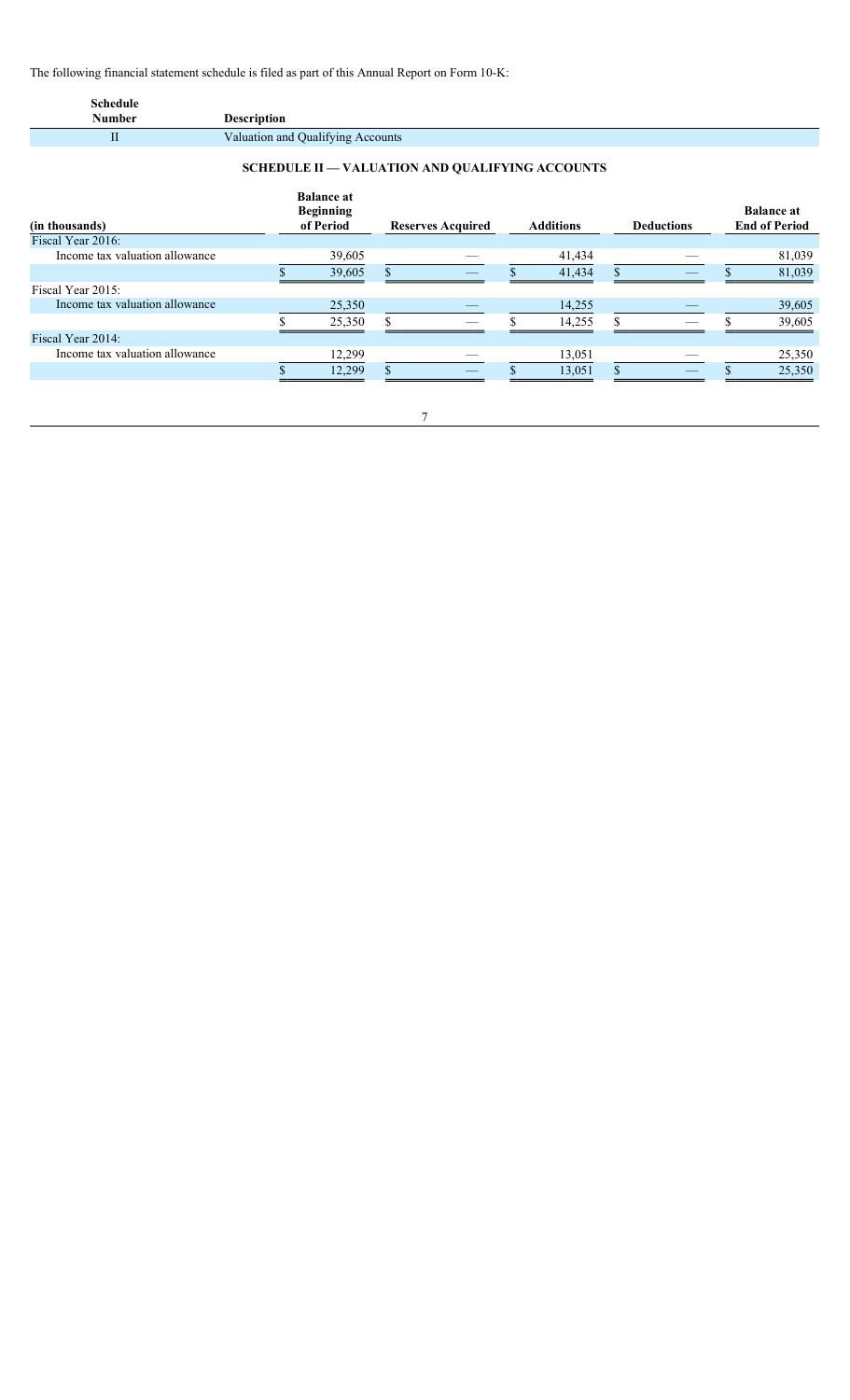The following financial statement schedule is filed as part of this Annual Report on Form 10-K:

| <b>Schedule</b><br><b>Number</b>                       | <b>Description</b> |  |                                                    |    |                          |  |                  |              |                   |                                           |
|--------------------------------------------------------|--------------------|--|----------------------------------------------------|----|--------------------------|--|------------------|--------------|-------------------|-------------------------------------------|
| $\mathbf{I}$                                           |                    |  | Valuation and Qualifying Accounts                  |    |                          |  |                  |              |                   |                                           |
| <b>SCHEDULE II - VALUATION AND QUALIFYING ACCOUNTS</b> |                    |  |                                                    |    |                          |  |                  |              |                   |                                           |
| (in thousands)                                         |                    |  | <b>Balance at</b><br><b>Beginning</b><br>of Period |    | <b>Reserves Acquired</b> |  | <b>Additions</b> |              | <b>Deductions</b> | <b>Balance at</b><br><b>End of Period</b> |
| Fiscal Year 2016:                                      |                    |  |                                                    |    |                          |  |                  |              |                   |                                           |
| Income tax valuation allowance                         |                    |  | 39,605                                             |    |                          |  | 41,434           |              |                   | 81,039                                    |
|                                                        |                    |  | 39,605                                             | \$ |                          |  | 41,434           | \$           |                   | 81,039                                    |
| Fiscal Year 2015:                                      |                    |  |                                                    |    |                          |  |                  |              |                   |                                           |
| Income tax valuation allowance                         |                    |  | 25,350                                             |    |                          |  | 14,255           |              |                   | 39,605                                    |
|                                                        |                    |  | 25,350                                             | \$ |                          |  | 14,255           | \$           |                   | 39,605                                    |
| Fiscal Year 2014:                                      |                    |  |                                                    |    |                          |  |                  |              |                   |                                           |
| Income tax valuation allowance                         |                    |  | 12,299                                             |    |                          |  | 13,051           |              |                   | 25,350                                    |
|                                                        |                    |  | 12,299                                             | \$ |                          |  | 13,051           | $\mathbf{s}$ |                   | 25,350                                    |
|                                                        |                    |  |                                                    |    |                          |  |                  |              |                   |                                           |

7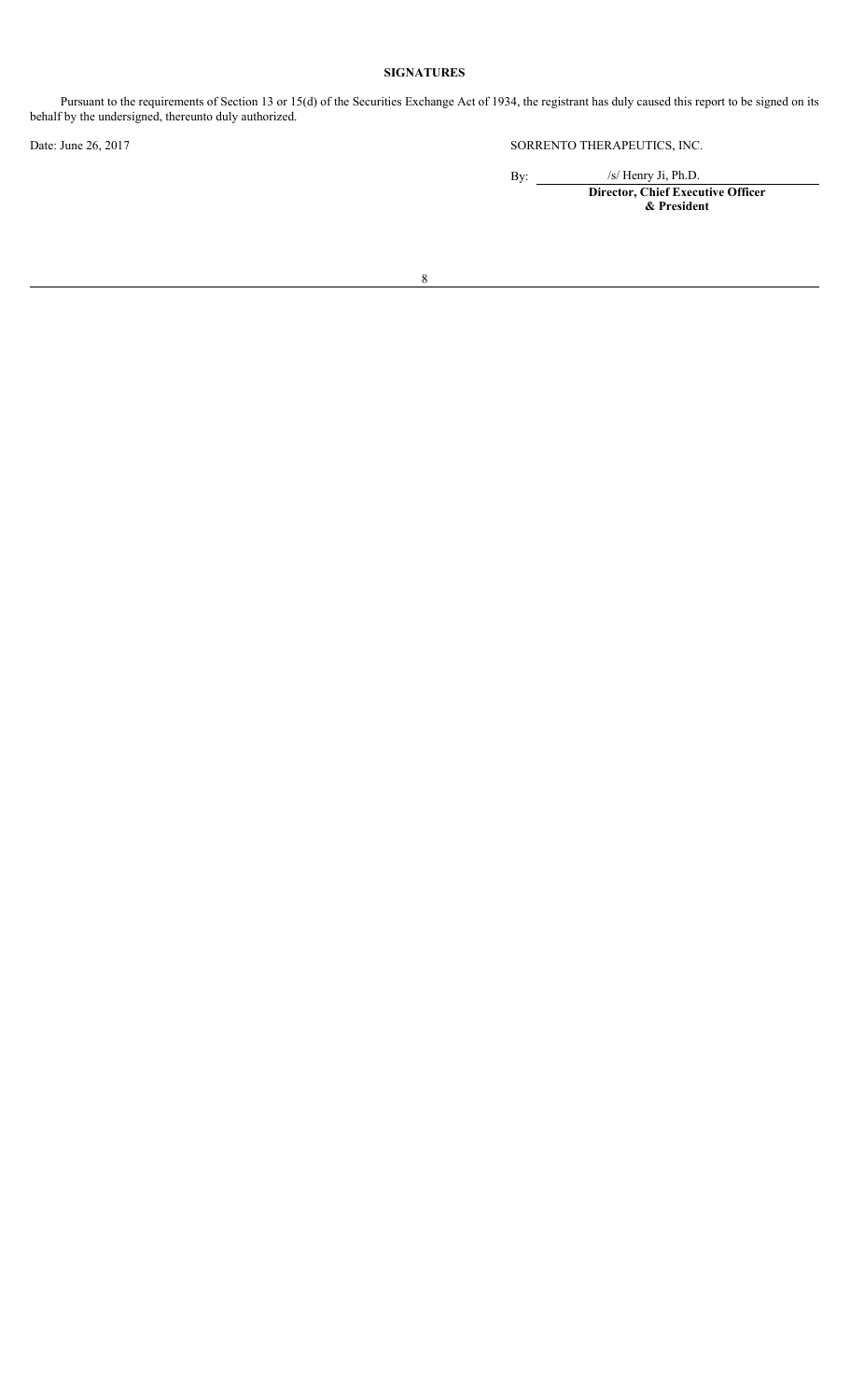# **SIGNATURES**

Pursuant to the requirements of Section 13 or 15(d) of the Securities Exchange Act of 1934, the registrant has duly caused this report to be signed on its behalf by the undersigned, thereunto duly authorized.

Date: June 26, 2017 SORRENTO THERAPEUTICS, INC.

By:  $\frac{1}{\sqrt{S}}$  Henry Ji, Ph.D.

**Director, Chief Executive Officer & President**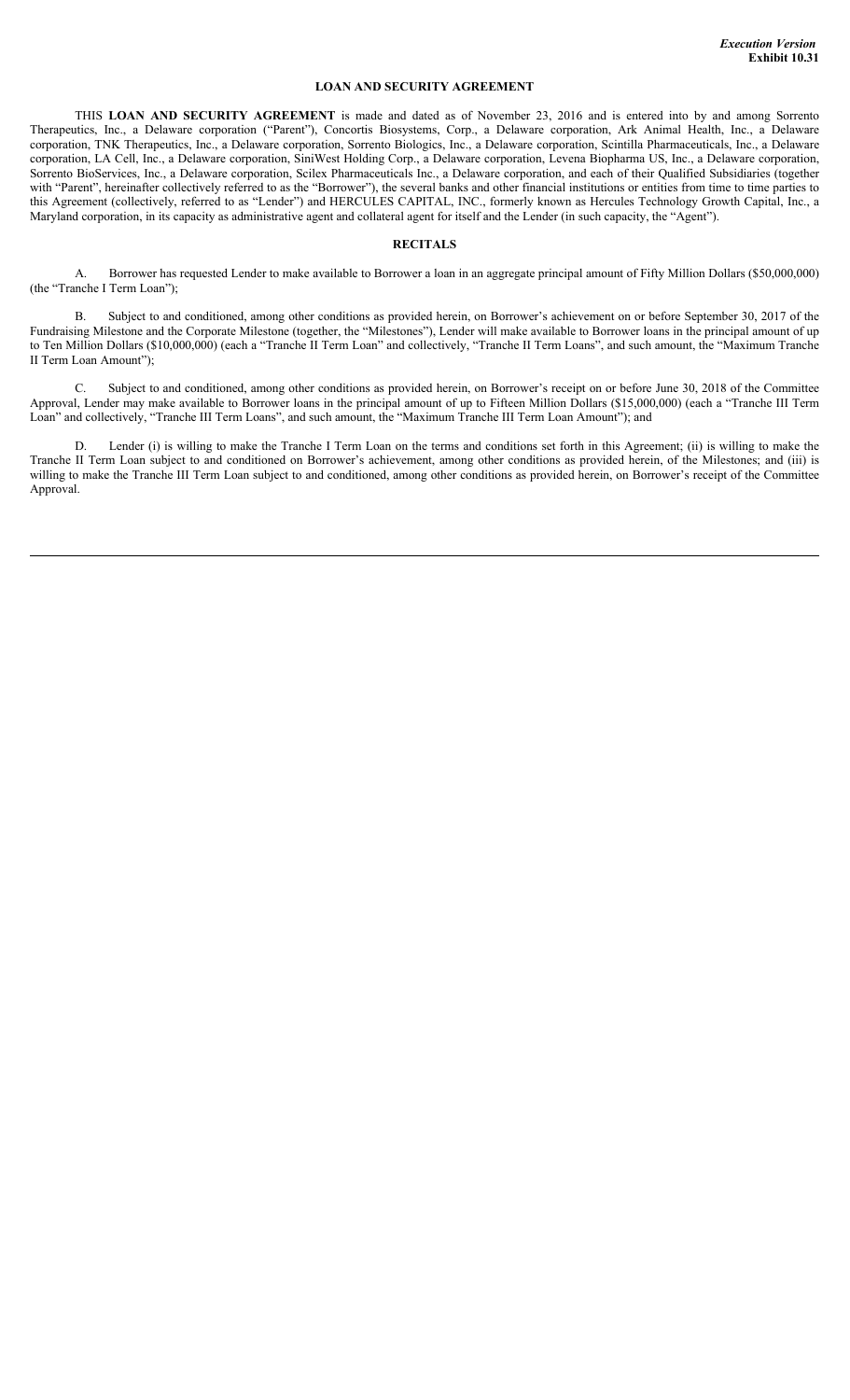### **LOAN AND SECURITY AGREEMENT**

THIS **LOAN AND SECURITY AGREEMENT** is made and dated as of November 23, 2016 and is entered into by and among Sorrento Therapeutics, Inc., a Delaware corporation ("Parent"), Concortis Biosystems, Corp., a Delaware corporation, Ark Animal Health, Inc., a Delaware corporation, TNK Therapeutics, Inc., a Delaware corporation, Sorrento Biologics, Inc., a Delaware corporation, Scintilla Pharmaceuticals, Inc., a Delaware corporation, LA Cell, Inc., a Delaware corporation, SiniWest Holding Corp., a Delaware corporation, Levena Biopharma US, Inc., a Delaware corporation, Sorrento BioServices, Inc., a Delaware corporation, Scilex Pharmaceuticals Inc., a Delaware corporation, and each of their Qualified Subsidiaries (together with "Parent", hereinafter collectively referred to as the "Borrower"), the several banks and other financial institutions or entities from time to time parties to this Agreement (collectively, referred to as "Lender") and HERCULES CAPITAL, INC., formerly known as Hercules Technology Growth Capital, Inc., a Maryland corporation, in its capacity as administrative agent and collateral agent for itself and the Lender (in such capacity, the "Agent").

### **RECITALS**

A. Borrower has requested Lender to make available to Borrower a loan in an aggregate principal amount of Fifty Million Dollars (\$50,000,000) (the "Tranche I Term Loan");

B. Subject to and conditioned, among other conditions as provided herein, on Borrower's achievement on or before September 30, 2017 of the Fundraising Milestone and the Corporate Milestone (together, the "Milestones"), Lender will make available to Borrower loans in the principal amount of up to Ten Million Dollars (\$10,000,000) (each a "Tranche II Term Loan" and collectively, "Tranche II Term Loans", and such amount, the "Maximum Tranche II Term Loan Amount");

C. Subject to and conditioned, among other conditions as provided herein, on Borrower's receipt on or before June 30, 2018 of the Committee Approval, Lender may make available to Borrower loans in the principal amount of up to Fifteen Million Dollars (\$15,000,000) (each a "Tranche III Term Loan" and collectively, "Tranche III Term Loans", and such amount, the "Maximum Tranche III Term Loan Amount"); and

Lender (i) is willing to make the Tranche I Term Loan on the terms and conditions set forth in this Agreement; (ii) is willing to make the Tranche II Term Loan subject to and conditioned on Borrower's achievement, among other conditions as provided herein, of the Milestones; and (iii) is willing to make the Tranche III Term Loan subject to and conditioned, among other conditions as provided herein, on Borrower's receipt of the Committee Approval.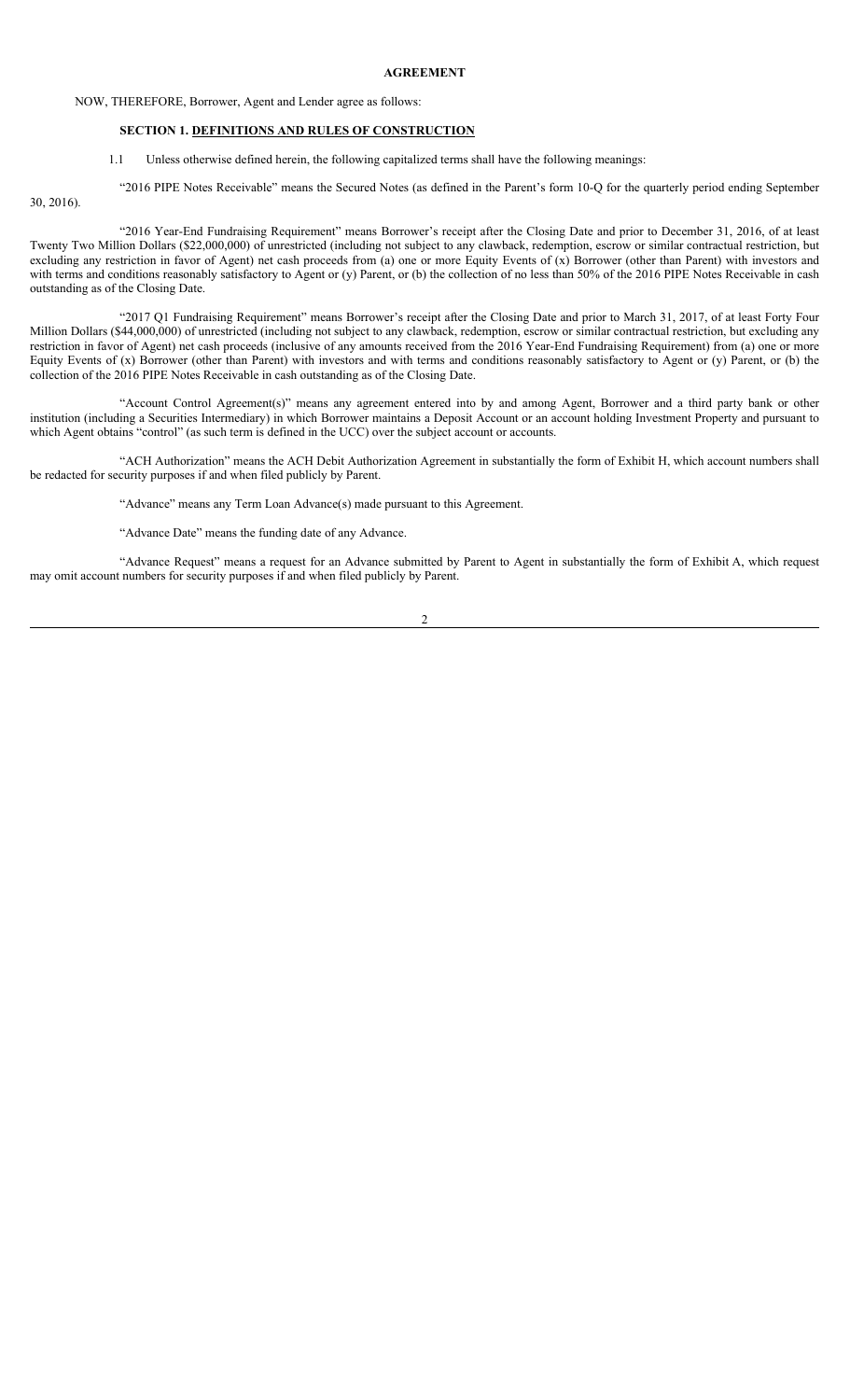#### **AGREEMENT**

### NOW, THEREFORE, Borrower, Agent and Lender agree as follows:

### **SECTION 1. DEFINITIONS AND RULES OF CONSTRUCTION**

1.1 Unless otherwise defined herein, the following capitalized terms shall have the following meanings:

"2016 PIPE Notes Receivable" means the Secured Notes (as defined in the Parent's form 10-Q for the quarterly period ending September

30, 2016).

"2016 Year-End Fundraising Requirement" means Borrower's receipt after the Closing Date and prior to December 31, 2016, of at least Twenty Two Million Dollars (\$22,000,000) of unrestricted (including not subject to any clawback, redemption, escrow or similar contractual restriction, but excluding any restriction in favor of Agent) net cash proceeds from (a) one or more Equity Events of (x) Borrower (other than Parent) with investors and with terms and conditions reasonably satisfactory to Agent or (y) Parent, or (b) the collection of no less than 50% of the 2016 PIPE Notes Receivable in cash outstanding as of the Closing Date.

"2017 Q1 Fundraising Requirement" means Borrower's receipt after the Closing Date and prior to March 31, 2017, of at least Forty Four Million Dollars (\$44,000,000) of unrestricted (including not subject to any clawback, redemption, escrow or similar contractual restriction, but excluding any restriction in favor of Agent) net cash proceeds (inclusive of any amounts received from the 2016 Year-End Fundraising Requirement) from (a) one or more Equity Events of (x) Borrower (other than Parent) with investors and with terms and conditions reasonably satisfactory to Agent or (y) Parent, or (b) the collection of the 2016 PIPE Notes Receivable in cash outstanding as of the Closing Date.

"Account Control Agreement(s)" means any agreement entered into by and among Agent, Borrower and a third party bank or other institution (including a Securities Intermediary) in which Borrower maintains a Deposit Account or an account holding Investment Property and pursuant to which Agent obtains "control" (as such term is defined in the UCC) over the subject account or accounts.

"ACH Authorization" means the ACH Debit Authorization Agreement in substantially the form of Exhibit H, which account numbers shall be redacted for security purposes if and when filed publicly by Parent.

"Advance" means any Term Loan Advance(s) made pursuant to this Agreement.

"Advance Date" means the funding date of any Advance.

"Advance Request" means a request for an Advance submitted by Parent to Agent in substantially the form of Exhibit A, which request may omit account numbers for security purposes if and when filed publicly by Parent.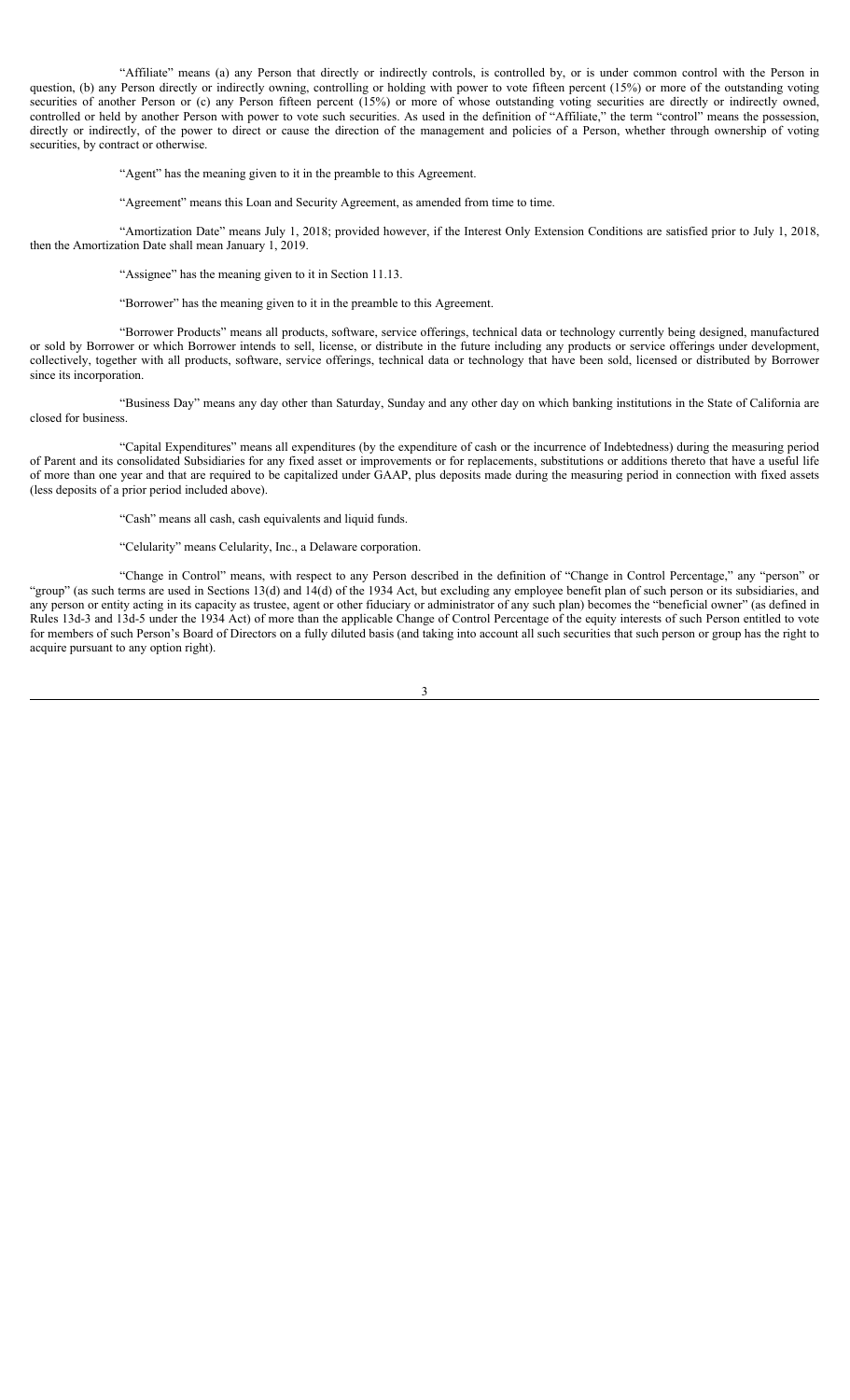"Affiliate" means (a) any Person that directly or indirectly controls, is controlled by, or is under common control with the Person in question, (b) any Person directly or indirectly owning, controlling or holding with power to vote fifteen percent (15%) or more of the outstanding voting securities of another Person or (c) any Person fifteen percent (15%) or more of whose outstanding voting securities are directly or indirectly owned, controlled or held by another Person with power to vote such securities. As used in the definition of "Affiliate," the term "control" means the possession, directly or indirectly, of the power to direct or cause the direction of the management and policies of a Person, whether through ownership of voting securities, by contract or otherwise.

"Agent" has the meaning given to it in the preamble to this Agreement.

"Agreement" means this Loan and Security Agreement, as amended from time to time.

"Amortization Date" means July 1, 2018; provided however, if the Interest Only Extension Conditions are satisfied prior to July 1, 2018, then the Amortization Date shall mean January 1, 2019.

"Assignee" has the meaning given to it in Section 11.13.

"Borrower" has the meaning given to it in the preamble to this Agreement.

"Borrower Products" means all products, software, service offerings, technical data or technology currently being designed, manufactured or sold by Borrower or which Borrower intends to sell, license, or distribute in the future including any products or service offerings under development, collectively, together with all products, software, service offerings, technical data or technology that have been sold, licensed or distributed by Borrower since its incorporation.

"Business Day" means any day other than Saturday, Sunday and any other day on which banking institutions in the State of California are closed for business.

"Capital Expenditures" means all expenditures (by the expenditure of cash or the incurrence of Indebtedness) during the measuring period of Parent and its consolidated Subsidiaries for any fixed asset or improvements or for replacements, substitutions or additions thereto that have a useful life of more than one year and that are required to be capitalized under GAAP, plus deposits made during the measuring period in connection with fixed assets (less deposits of a prior period included above).

"Cash" means all cash, cash equivalents and liquid funds.

"Celularity" means Celularity, Inc., a Delaware corporation.

"Change in Control" means, with respect to any Person described in the definition of "Change in Control Percentage," any "person" or "group" (as such terms are used in Sections 13(d) and 14(d) of the 1934 Act, but excluding any employee benefit plan of such person or its subsidiaries, and any person or entity acting in its capacity as trustee, agent or other fiduciary or administrator of any such plan) becomes the "beneficial owner" (as defined in Rules 13d-3 and 13d-5 under the 1934 Act) of more than the applicable Change of Control Percentage of the equity interests of such Person entitled to vote for members of such Person's Board of Directors on a fully diluted basis (and taking into account all such securities that such person or group has the right to acquire pursuant to any option right).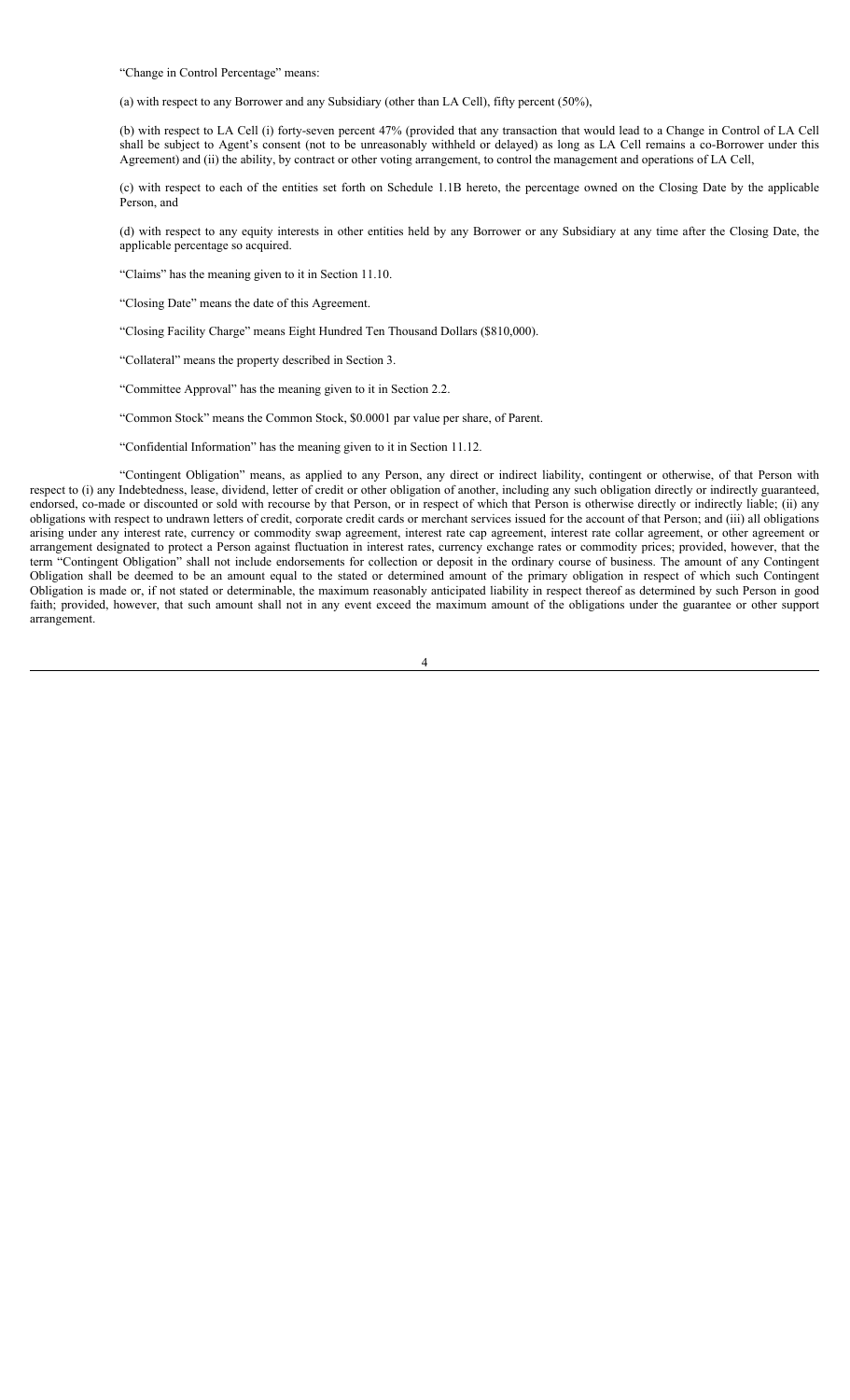"Change in Control Percentage" means:

(a) with respect to any Borrower and any Subsidiary (other than LA Cell), fifty percent (50%),

(b) with respect to LA Cell (i) forty-seven percent 47% (provided that any transaction that would lead to a Change in Control of LA Cell shall be subject to Agent's consent (not to be unreasonably withheld or delayed) as long as LA Cell remains a co-Borrower under this Agreement) and (ii) the ability, by contract or other voting arrangement, to control the management and operations of LA Cell,

(c) with respect to each of the entities set forth on Schedule 1.1B hereto, the percentage owned on the Closing Date by the applicable Person, and

(d) with respect to any equity interests in other entities held by any Borrower or any Subsidiary at any time after the Closing Date, the applicable percentage so acquired.

"Claims" has the meaning given to it in Section 11.10.

"Closing Date" means the date of this Agreement.

"Closing Facility Charge" means Eight Hundred Ten Thousand Dollars (\$810,000).

"Collateral" means the property described in Section 3.

"Committee Approval" has the meaning given to it in Section 2.2.

"Common Stock" means the Common Stock, \$0.0001 par value per share, of Parent.

"Confidential Information" has the meaning given to it in Section 11.12.

"Contingent Obligation" means, as applied to any Person, any direct or indirect liability, contingent or otherwise, of that Person with respect to (i) any Indebtedness, lease, dividend, letter of credit or other obligation of another, including any such obligation directly or indirectly guaranteed, endorsed, co-made or discounted or sold with recourse by that Person, or in respect of which that Person is otherwise directly or indirectly liable; (ii) any obligations with respect to undrawn letters of credit, corporate credit cards or merchant services issued for the account of that Person; and (iii) all obligations arising under any interest rate, currency or commodity swap agreement, interest rate cap agreement, interest rate collar agreement, or other agreement or arrangement designated to protect a Person against fluctuation in interest rates, currency exchange rates or commodity prices; provided, however, that the term "Contingent Obligation" shall not include endorsements for collection or deposit in the ordinary course of business. The amount of any Contingent Obligation shall be deemed to be an amount equal to the stated or determined amount of the primary obligation in respect of which such Contingent Obligation is made or, if not stated or determinable, the maximum reasonably anticipated liability in respect thereof as determined by such Person in good faith; provided, however, that such amount shall not in any event exceed the maximum amount of the obligations under the guarantee or other support arrangement.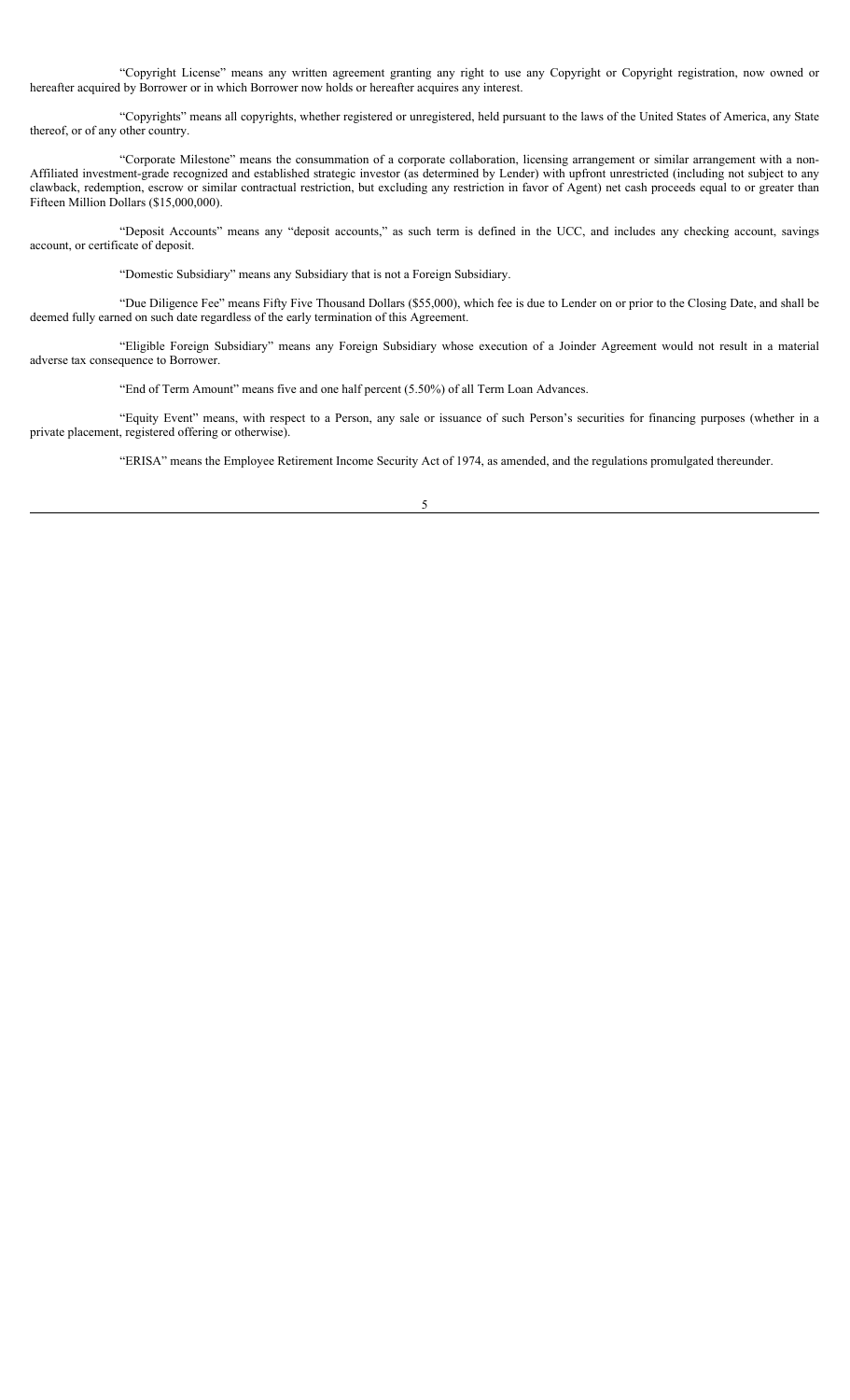"Copyright License" means any written agreement granting any right to use any Copyright or Copyright registration, now owned or hereafter acquired by Borrower or in which Borrower now holds or hereafter acquires any interest.

"Copyrights" means all copyrights, whether registered or unregistered, held pursuant to the laws of the United States of America, any State thereof, or of any other country.

"Corporate Milestone" means the consummation of a corporate collaboration, licensing arrangement or similar arrangement with a non-Affiliated investment-grade recognized and established strategic investor (as determined by Lender) with upfront unrestricted (including not subject to any clawback, redemption, escrow or similar contractual restriction, but excluding any restriction in favor of Agent) net cash proceeds equal to or greater than Fifteen Million Dollars (\$15,000,000).

"Deposit Accounts" means any "deposit accounts," as such term is defined in the UCC, and includes any checking account, savings account, or certificate of deposit.

"Domestic Subsidiary" means any Subsidiary that is not a Foreign Subsidiary.

"Due Diligence Fee" means Fifty Five Thousand Dollars (\$55,000), which fee is due to Lender on or prior to the Closing Date, and shall be deemed fully earned on such date regardless of the early termination of this Agreement.

"Eligible Foreign Subsidiary" means any Foreign Subsidiary whose execution of a Joinder Agreement would not result in a material adverse tax consequence to Borrower.

"End of Term Amount" means five and one half percent (5.50%) of all Term Loan Advances.

"Equity Event" means, with respect to a Person, any sale or issuance of such Person's securities for financing purposes (whether in a private placement, registered offering or otherwise).

"ERISA" means the Employee Retirement Income Security Act of 1974, as amended, and the regulations promulgated thereunder.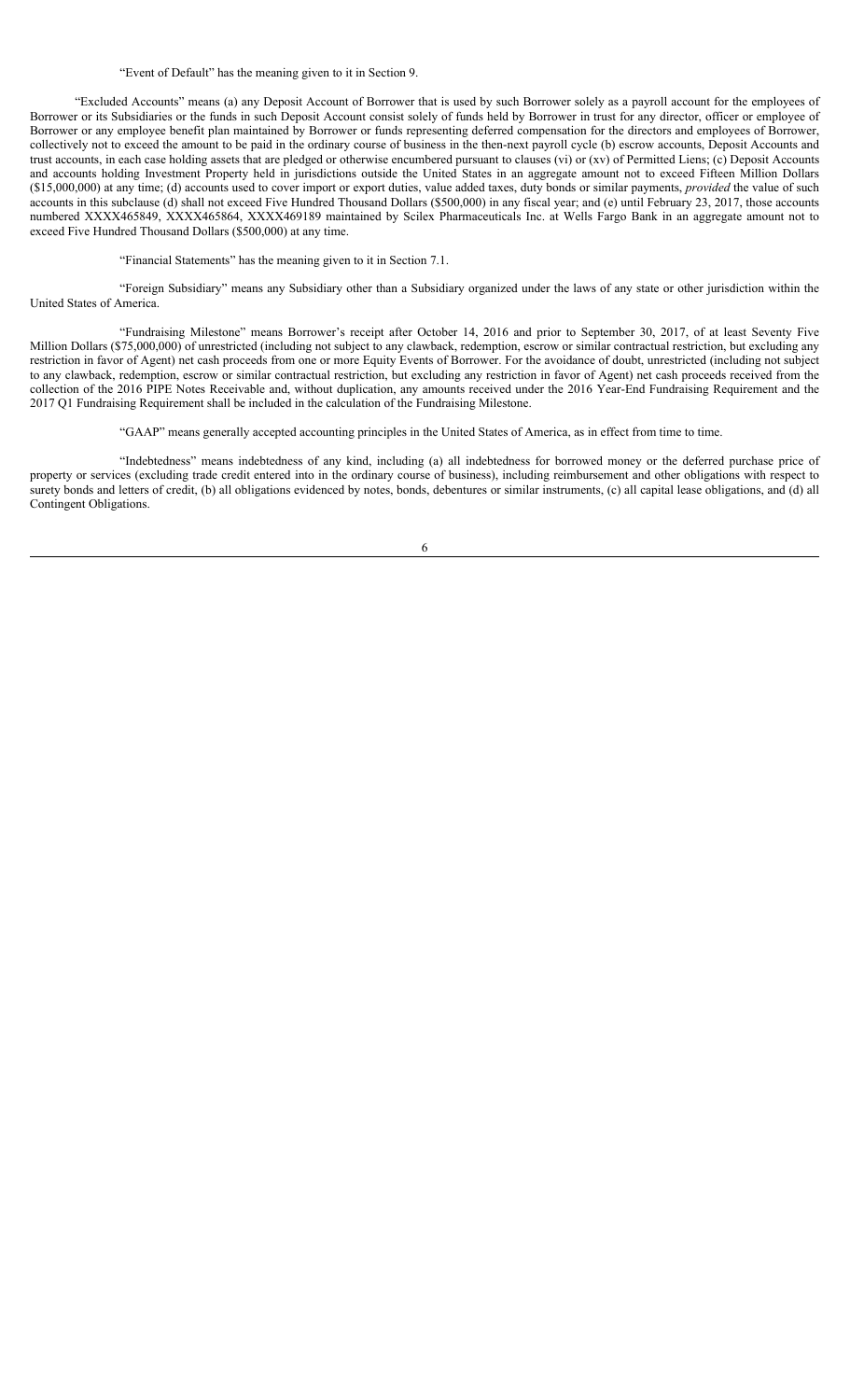#### "Event of Default" has the meaning given to it in Section 9.

"Excluded Accounts" means (a) any Deposit Account of Borrower that is used by such Borrower solely as a payroll account for the employees of Borrower or its Subsidiaries or the funds in such Deposit Account consist solely of funds held by Borrower in trust for any director, officer or employee of Borrower or any employee benefit plan maintained by Borrower or funds representing deferred compensation for the directors and employees of Borrower, collectively not to exceed the amount to be paid in the ordinary course of business in the then-next payroll cycle (b) escrow accounts, Deposit Accounts and trust accounts, in each case holding assets that are pledged or otherwise encumbered pursuant to clauses (vi) or (xv) of Permitted Liens; (c) Deposit Accounts and accounts holding Investment Property held in jurisdictions outside the United States in an aggregate amount not to exceed Fifteen Million Dollars (\$15,000,000) at any time; (d) accounts used to cover import or export duties, value added taxes, duty bonds or similar payments, *provided* the value of such accounts in this subclause (d) shall not exceed Five Hundred Thousand Dollars (\$500,000) in any fiscal year; and (e) until February 23, 2017, those accounts numbered XXXX465849, XXXX465864, XXXX469189 maintained by Scilex Pharmaceuticals Inc. at Wells Fargo Bank in an aggregate amount not to exceed Five Hundred Thousand Dollars (\$500,000) at any time.

"Financial Statements" has the meaning given to it in Section 7.1.

"Foreign Subsidiary" means any Subsidiary other than a Subsidiary organized under the laws of any state or other jurisdiction within the United States of America.

"Fundraising Milestone" means Borrower's receipt after October 14, 2016 and prior to September 30, 2017, of at least Seventy Five Million Dollars (\$75,000,000) of unrestricted (including not subject to any clawback, redemption, escrow or similar contractual restriction, but excluding any restriction in favor of Agent) net cash proceeds from one or more Equity Events of Borrower. For the avoidance of doubt, unrestricted (including not subject to any clawback, redemption, escrow or similar contractual restriction, but excluding any restriction in favor of Agent) net cash proceeds received from the collection of the 2016 PIPE Notes Receivable and, without duplication, any amounts received under the 2016 Year-End Fundraising Requirement and the 2017 Q1 Fundraising Requirement shall be included in the calculation of the Fundraising Milestone.

"GAAP" means generally accepted accounting principles in the United States of America, as in effect from time to time.

"Indebtedness" means indebtedness of any kind, including (a) all indebtedness for borrowed money or the deferred purchase price of property or services (excluding trade credit entered into in the ordinary course of business), including reimbursement and other obligations with respect to surety bonds and letters of credit, (b) all obligations evidenced by notes, bonds, debentures or similar instruments, (c) all capital lease obligations, and (d) all Contingent Obligations.

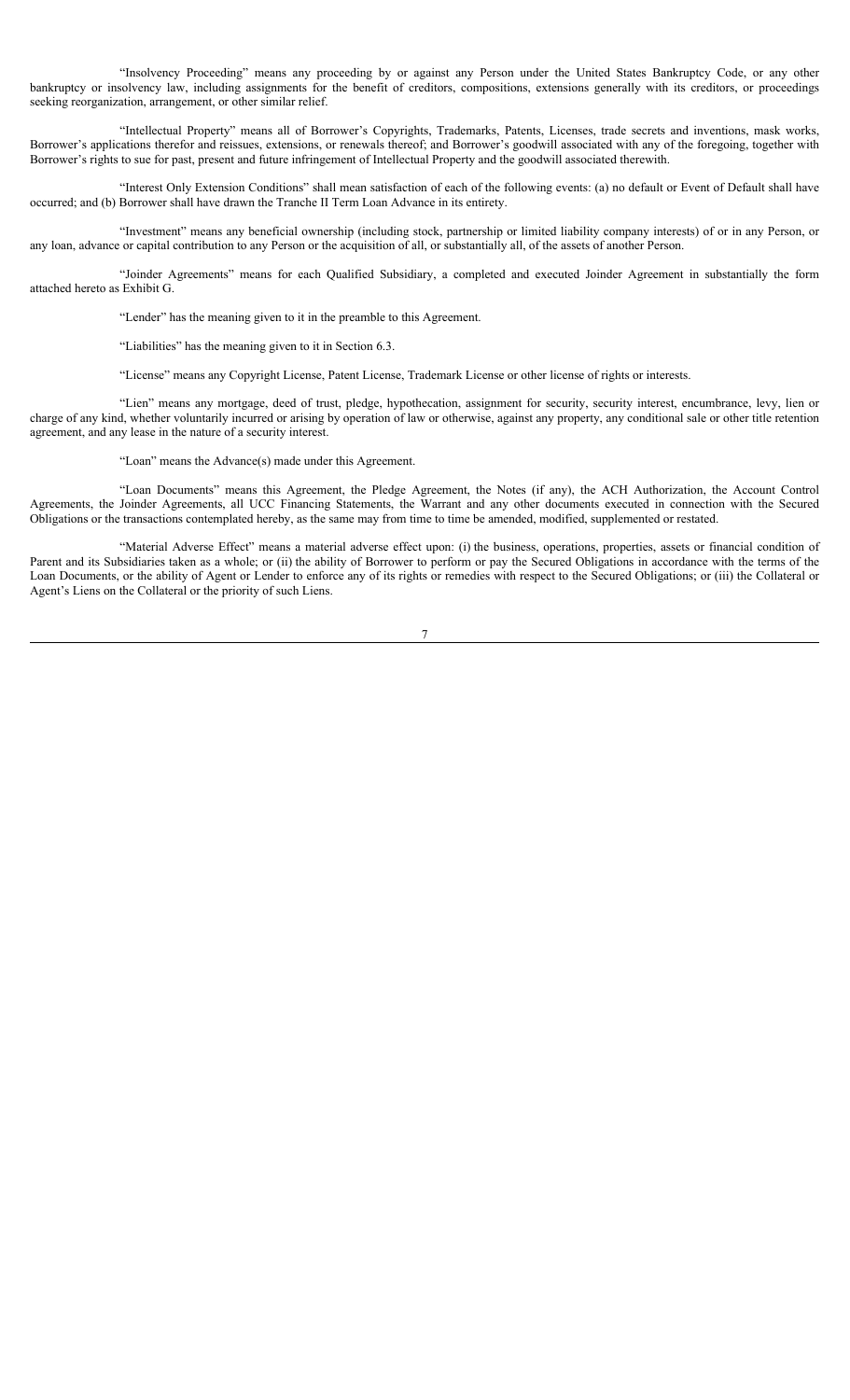"Insolvency Proceeding" means any proceeding by or against any Person under the United States Bankruptcy Code, or any other bankruptcy or insolvency law, including assignments for the benefit of creditors, compositions, extensions generally with its creditors, or proceedings seeking reorganization, arrangement, or other similar relief.

"Intellectual Property" means all of Borrower's Copyrights, Trademarks, Patents, Licenses, trade secrets and inventions, mask works, Borrower's applications therefor and reissues, extensions, or renewals thereof; and Borrower's goodwill associated with any of the foregoing, together with Borrower's rights to sue for past, present and future infringement of Intellectual Property and the goodwill associated therewith.

"Interest Only Extension Conditions" shall mean satisfaction of each of the following events: (a) no default or Event of Default shall have occurred; and (b) Borrower shall have drawn the Tranche II Term Loan Advance in its entirety.

"Investment" means any beneficial ownership (including stock, partnership or limited liability company interests) of or in any Person, or any loan, advance or capital contribution to any Person or the acquisition of all, or substantially all, of the assets of another Person.

"Joinder Agreements" means for each Qualified Subsidiary, a completed and executed Joinder Agreement in substantially the form attached hereto as Exhibit G.

"Lender" has the meaning given to it in the preamble to this Agreement.

"Liabilities" has the meaning given to it in Section 6.3.

"License" means any Copyright License, Patent License, Trademark License or other license of rights or interests.

"Lien" means any mortgage, deed of trust, pledge, hypothecation, assignment for security, security interest, encumbrance, levy, lien or charge of any kind, whether voluntarily incurred or arising by operation of law or otherwise, against any property, any conditional sale or other title retention agreement, and any lease in the nature of a security interest.

"Loan" means the Advance(s) made under this Agreement.

"Loan Documents" means this Agreement, the Pledge Agreement, the Notes (if any), the ACH Authorization, the Account Control Agreements, the Joinder Agreements, all UCC Financing Statements, the Warrant and any other documents executed in connection with the Secured Obligations or the transactions contemplated hereby, as the same may from time to time be amended, modified, supplemented or restated.

"Material Adverse Effect" means a material adverse effect upon: (i) the business, operations, properties, assets or financial condition of Parent and its Subsidiaries taken as a whole; or (ii) the ability of Borrower to perform or pay the Secured Obligations in accordance with the terms of the Loan Documents, or the ability of Agent or Lender to enforce any of its rights or remedies with respect to the Secured Obligations; or (iii) the Collateral or Agent's Liens on the Collateral or the priority of such Liens.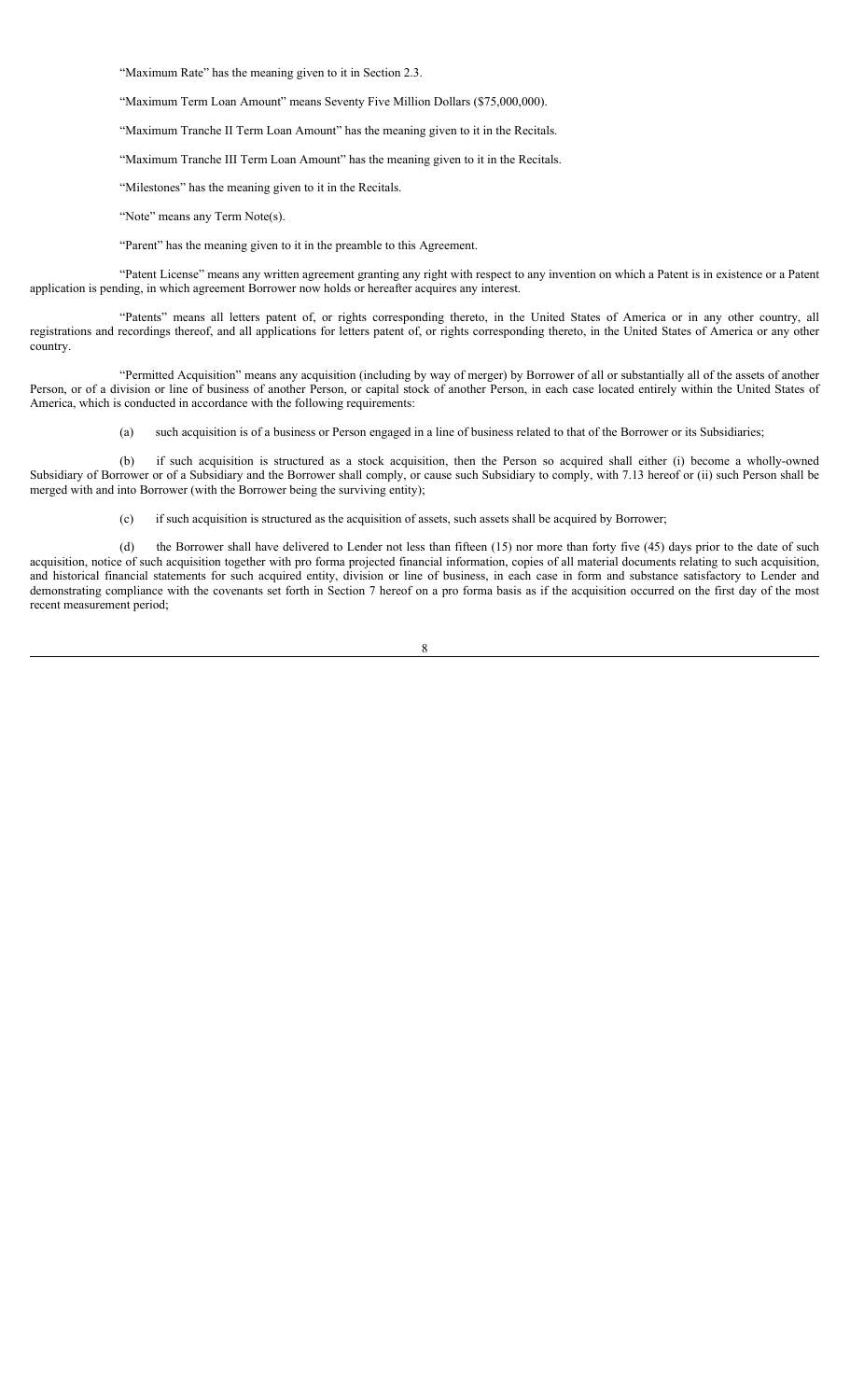"Maximum Rate" has the meaning given to it in Section 2.3.

"Maximum Term Loan Amount" means Seventy Five Million Dollars (\$75,000,000).

"Maximum Tranche II Term Loan Amount" has the meaning given to it in the Recitals.

"Maximum Tranche III Term Loan Amount" has the meaning given to it in the Recitals.

"Milestones" has the meaning given to it in the Recitals.

"Note" means any Term Note(s).

"Parent" has the meaning given to it in the preamble to this Agreement.

"Patent License" means any written agreement granting any right with respect to any invention on which a Patent is in existence or a Patent application is pending, in which agreement Borrower now holds or hereafter acquires any interest.

"Patents" means all letters patent of, or rights corresponding thereto, in the United States of America or in any other country, all registrations and recordings thereof, and all applications for letters patent of, or rights corresponding thereto, in the United States of America or any other country.

"Permitted Acquisition" means any acquisition (including by way of merger) by Borrower of all or substantially all of the assets of another Person, or of a division or line of business of another Person, or capital stock of another Person, in each case located entirely within the United States of America, which is conducted in accordance with the following requirements:

(a) such acquisition is of a business or Person engaged in a line of business related to that of the Borrower or its Subsidiaries;

(b) if such acquisition is structured as a stock acquisition, then the Person so acquired shall either (i) become a wholly-owned Subsidiary of Borrower or of a Subsidiary and the Borrower shall comply, or cause such Subsidiary to comply, with 7.13 hereof or (ii) such Person shall be merged with and into Borrower (with the Borrower being the surviving entity);

(c) if such acquisition is structured as the acquisition of assets, such assets shall be acquired by Borrower;

(d) the Borrower shall have delivered to Lender not less than fifteen (15) nor more than forty five (45) days prior to the date of such acquisition, notice of such acquisition together with pro forma projected financial information, copies of all material documents relating to such acquisition, and historical financial statements for such acquired entity, division or line of business, in each case in form and substance satisfactory to Lender and demonstrating compliance with the covenants set forth in Section 7 hereof on a pro forma basis as if the acquisition occurred on the first day of the most recent measurement period;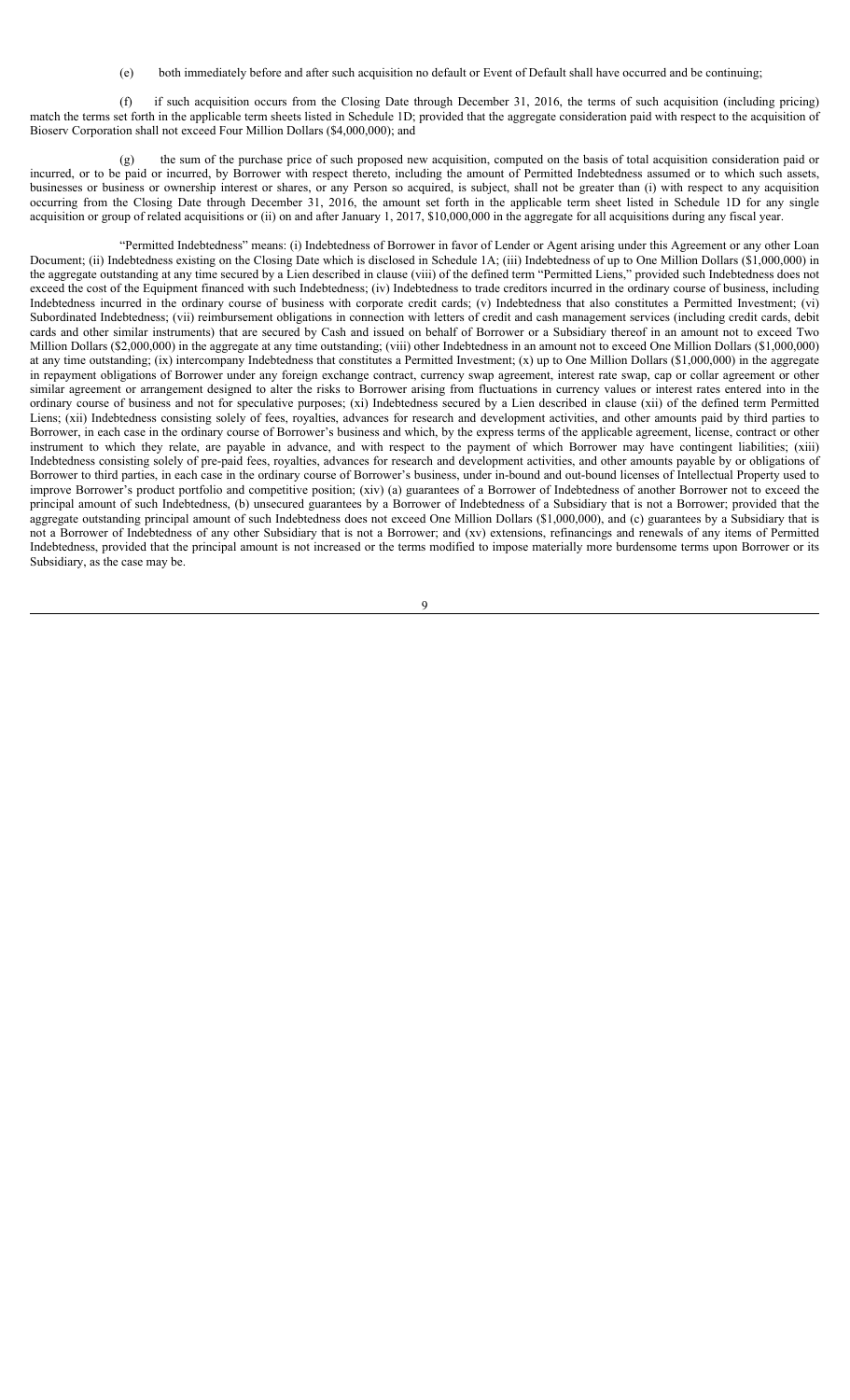(e) both immediately before and after such acquisition no default or Event of Default shall have occurred and be continuing;

(f) if such acquisition occurs from the Closing Date through December 31, 2016, the terms of such acquisition (including pricing) match the terms set forth in the applicable term sheets listed in Schedule 1D; provided that the aggregate consideration paid with respect to the acquisition of Bioserv Corporation shall not exceed Four Million Dollars (\$4,000,000); and

(g) the sum of the purchase price of such proposed new acquisition, computed on the basis of total acquisition consideration paid or incurred, or to be paid or incurred, by Borrower with respect thereto, including the amount of Permitted Indebtedness assumed or to which such assets, businesses or business or ownership interest or shares, or any Person so acquired, is subject, shall not be greater than (i) with respect to any acquisition occurring from the Closing Date through December 31, 2016, the amount set forth in the applicable term sheet listed in Schedule 1D for any single acquisition or group of related acquisitions or (ii) on and after January 1, 2017, \$10,000,000 in the aggregate for all acquisitions during any fiscal year.

"Permitted Indebtedness" means: (i) Indebtedness of Borrower in favor of Lender or Agent arising under this Agreement or any other Loan Document; (ii) Indebtedness existing on the Closing Date which is disclosed in Schedule 1A; (iii) Indebtedness of up to One Million Dollars (\$1,000,000) in the aggregate outstanding at any time secured by a Lien described in clause (viii) of the defined term "Permitted Liens," provided such Indebtedness does not exceed the cost of the Equipment financed with such Indebtedness; (iv) Indebtedness to trade creditors incurred in the ordinary course of business, including Indebtedness incurred in the ordinary course of business with corporate credit cards; (v) Indebtedness that also constitutes a Permitted Investment; (vi) Subordinated Indebtedness; (vii) reimbursement obligations in connection with letters of credit and cash management services (including credit cards, debit cards and other similar instruments) that are secured by Cash and issued on behalf of Borrower or a Subsidiary thereof in an amount not to exceed Two Million Dollars (\$2,000,000) in the aggregate at any time outstanding; (viii) other Indebtedness in an amount not to exceed One Million Dollars (\$1,000,000) at any time outstanding; (ix) intercompany Indebtedness that constitutes a Permitted Investment; (x) up to One Million Dollars (\$1,000,000) in the aggregate in repayment obligations of Borrower under any foreign exchange contract, currency swap agreement, interest rate swap, cap or collar agreement or other similar agreement or arrangement designed to alter the risks to Borrower arising from fluctuations in currency values or interest rates entered into in the ordinary course of business and not for speculative purposes; (xi) Indebtedness secured by a Lien described in clause (xii) of the defined term Permitted Liens; (xii) Indebtedness consisting solely of fees, royalties, advances for research and development activities, and other amounts paid by third parties to Borrower, in each case in the ordinary course of Borrower's business and which, by the express terms of the applicable agreement, license, contract or other instrument to which they relate, are payable in advance, and with respect to the payment of which Borrower may have contingent liabilities; (xiii) Indebtedness consisting solely of pre-paid fees, royalties, advances for research and development activities, and other amounts payable by or obligations of Borrower to third parties, in each case in the ordinary course of Borrower's business, under in-bound and out-bound licenses of Intellectual Property used to improve Borrower's product portfolio and competitive position; (xiv) (a) guarantees of a Borrower of Indebtedness of another Borrower not to exceed the principal amount of such Indebtedness, (b) unsecured guarantees by a Borrower of Indebtedness of a Subsidiary that is not a Borrower; provided that the aggregate outstanding principal amount of such Indebtedness does not exceed One Million Dollars (\$1,000,000), and (c) guarantees by a Subsidiary that is not a Borrower of Indebtedness of any other Subsidiary that is not a Borrower; and (xv) extensions, refinancings and renewals of any items of Permitted Indebtedness, provided that the principal amount is not increased or the terms modified to impose materially more burdensome terms upon Borrower or its Subsidiary, as the case may be.

 $\overline{Q}$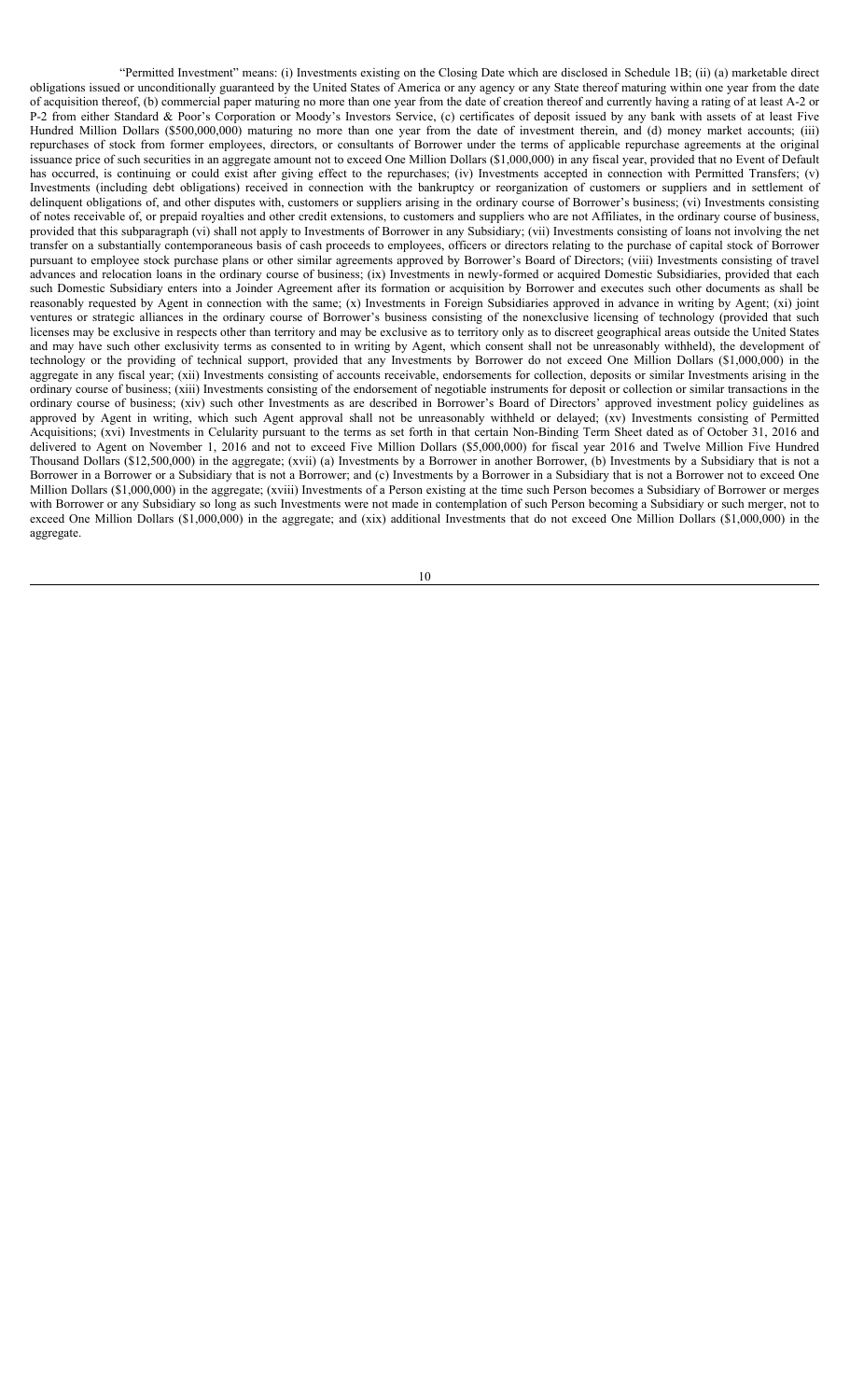"Permitted Investment" means: (i) Investments existing on the Closing Date which are disclosed in Schedule 1B; (ii) (a) marketable direct obligations issued or unconditionally guaranteed by the United States of America or any agency or any State thereof maturing within one year from the date of acquisition thereof, (b) commercial paper maturing no more than one year from the date of creation thereof and currently having a rating of at least A-2 or P-2 from either Standard & Poor's Corporation or Moody's Investors Service, (c) certificates of deposit issued by any bank with assets of at least Five Hundred Million Dollars (\$500,000,000) maturing no more than one year from the date of investment therein, and (d) money market accounts; (iii) repurchases of stock from former employees, directors, or consultants of Borrower under the terms of applicable repurchase agreements at the original issuance price of such securities in an aggregate amount not to exceed One Million Dollars (\$1,000,000) in any fiscal year, provided that no Event of Default has occurred, is continuing or could exist after giving effect to the repurchases; (iv) Investments accepted in connection with Permitted Transfers; (v) Investments (including debt obligations) received in connection with the bankruptcy or reorganization of customers or suppliers and in settlement of delinquent obligations of, and other disputes with, customers or suppliers arising in the ordinary course of Borrower's business; (vi) Investments consisting of notes receivable of, or prepaid royalties and other credit extensions, to customers and suppliers who are not Affiliates, in the ordinary course of business, provided that this subparagraph (vi) shall not apply to Investments of Borrower in any Subsidiary; (vii) Investments consisting of loans not involving the net transfer on a substantially contemporaneous basis of cash proceeds to employees, officers or directors relating to the purchase of capital stock of Borrower pursuant to employee stock purchase plans or other similar agreements approved by Borrower's Board of Directors; (viii) Investments consisting of travel advances and relocation loans in the ordinary course of business; (ix) Investments in newly-formed or acquired Domestic Subsidiaries, provided that each such Domestic Subsidiary enters into a Joinder Agreement after its formation or acquisition by Borrower and executes such other documents as shall be reasonably requested by Agent in connection with the same; (x) Investments in Foreign Subsidiaries approved in advance in writing by Agent; (xi) joint ventures or strategic alliances in the ordinary course of Borrower's business consisting of the nonexclusive licensing of technology (provided that such licenses may be exclusive in respects other than territory and may be exclusive as to territory only as to discreet geographical areas outside the United States and may have such other exclusivity terms as consented to in writing by Agent, which consent shall not be unreasonably withheld), the development of technology or the providing of technical support, provided that any Investments by Borrower do not exceed One Million Dollars (\$1,000,000) in the aggregate in any fiscal year; (xii) Investments consisting of accounts receivable, endorsements for collection, deposits or similar Investments arising in the ordinary course of business; (xiii) Investments consisting of the endorsement of negotiable instruments for deposit or collection or similar transactions in the ordinary course of business; (xiv) such other Investments as are described in Borrower's Board of Directors' approved investment policy guidelines as approved by Agent in writing, which such Agent approval shall not be unreasonably withheld or delayed; (xv) Investments consisting of Permitted Acquisitions; (xvi) Investments in Celularity pursuant to the terms as set forth in that certain Non-Binding Term Sheet dated as of October 31, 2016 and delivered to Agent on November 1, 2016 and not to exceed Five Million Dollars (\$5,000,000) for fiscal year 2016 and Twelve Million Five Hundred Thousand Dollars (\$12,500,000) in the aggregate; (xvii) (a) Investments by a Borrower in another Borrower, (b) Investments by a Subsidiary that is not a Borrower in a Borrower or a Subsidiary that is not a Borrower; and (c) Investments by a Borrower in a Subsidiary that is not a Borrower not to exceed One Million Dollars (\$1,000,000) in the aggregate; (xviii) Investments of a Person existing at the time such Person becomes a Subsidiary of Borrower or merges with Borrower or any Subsidiary so long as such Investments were not made in contemplation of such Person becoming a Subsidiary or such merger, not to exceed One Million Dollars (\$1,000,000) in the aggregate; and (xix) additional Investments that do not exceed One Million Dollars (\$1,000,000) in the aggregate.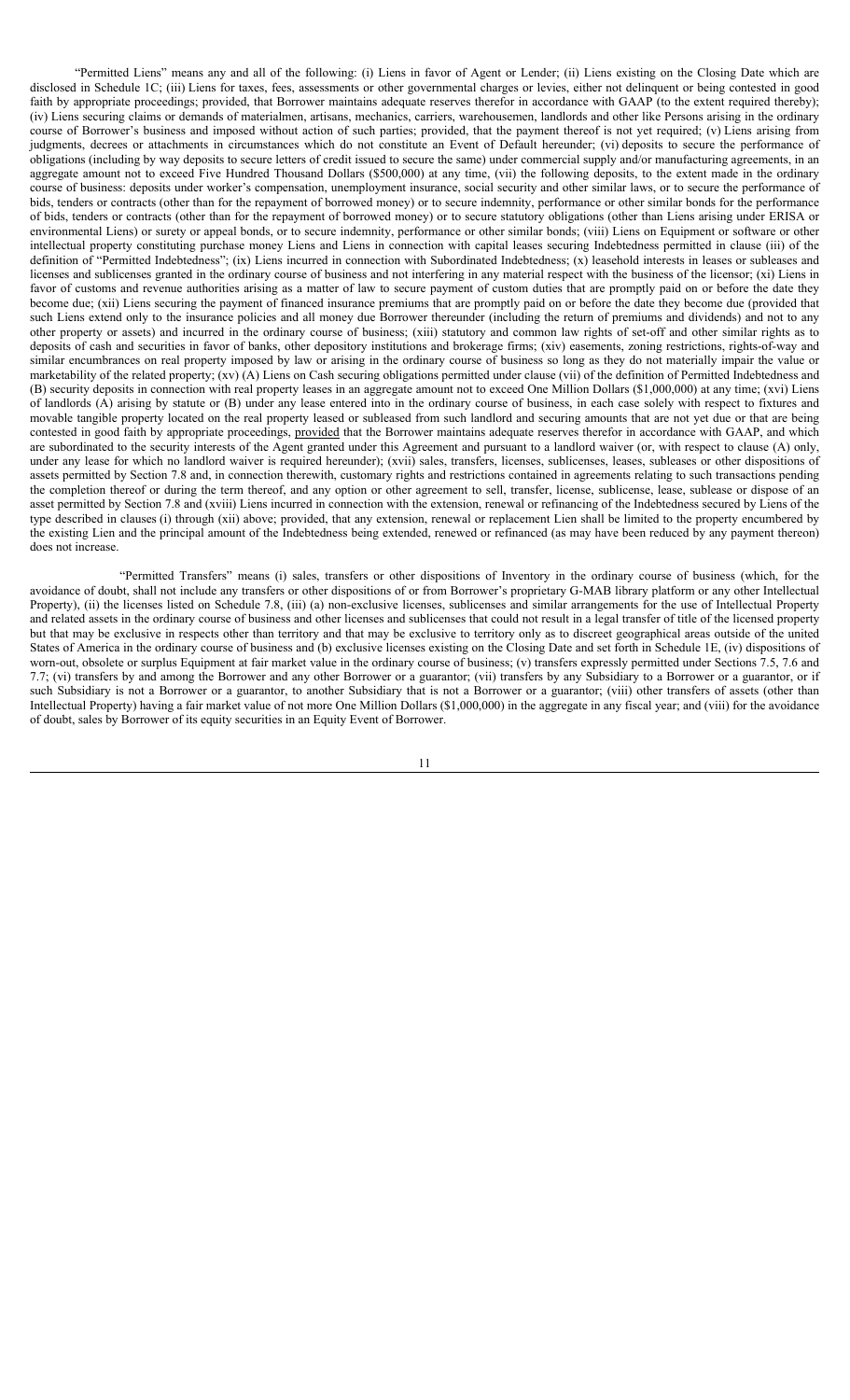"Permitted Liens" means any and all of the following: (i) Liens in favor of Agent or Lender; (ii) Liens existing on the Closing Date which are disclosed in Schedule 1C; (iii) Liens for taxes, fees, assessments or other governmental charges or levies, either not delinquent or being contested in good faith by appropriate proceedings; provided, that Borrower maintains adequate reserves therefor in accordance with GAAP (to the extent required thereby); (iv) Liens securing claims or demands of materialmen, artisans, mechanics, carriers, warehousemen, landlords and other like Persons arising in the ordinary course of Borrower's business and imposed without action of such parties; provided, that the payment thereof is not yet required; (v) Liens arising from judgments, decrees or attachments in circumstances which do not constitute an Event of Default hereunder; (vi) deposits to secure the performance of obligations (including by way deposits to secure letters of credit issued to secure the same) under commercial supply and/or manufacturing agreements, in an aggregate amount not to exceed Five Hundred Thousand Dollars (\$500,000) at any time, (vii) the following deposits, to the extent made in the ordinary course of business: deposits under worker's compensation, unemployment insurance, social security and other similar laws, or to secure the performance of bids, tenders or contracts (other than for the repayment of borrowed money) or to secure indemnity, performance or other similar bonds for the performance of bids, tenders or contracts (other than for the repayment of borrowed money) or to secure statutory obligations (other than Liens arising under ERISA or environmental Liens) or surety or appeal bonds, or to secure indemnity, performance or other similar bonds; (viii) Liens on Equipment or software or other intellectual property constituting purchase money Liens and Liens in connection with capital leases securing Indebtedness permitted in clause (iii) of the definition of "Permitted Indebtedness"; (ix) Liens incurred in connection with Subordinated Indebtedness; (x) leasehold interests in leases or subleases and licenses and sublicenses granted in the ordinary course of business and not interfering in any material respect with the business of the licensor; (xi) Liens in favor of customs and revenue authorities arising as a matter of law to secure payment of custom duties that are promptly paid on or before the date they become due; (xii) Liens securing the payment of financed insurance premiums that are promptly paid on or before the date they become due (provided that such Liens extend only to the insurance policies and all money due Borrower thereunder (including the return of premiums and dividends) and not to any other property or assets) and incurred in the ordinary course of business; (xiii) statutory and common law rights of set-off and other similar rights as to deposits of cash and securities in favor of banks, other depository institutions and brokerage firms; (xiv) easements, zoning restrictions, rights-of-way and similar encumbrances on real property imposed by law or arising in the ordinary course of business so long as they do not materially impair the value or marketability of the related property; (xv) (A) Liens on Cash securing obligations permitted under clause (vii) of the definition of Permitted Indebtedness and (B) security deposits in connection with real property leases in an aggregate amount not to exceed One Million Dollars (\$1,000,000) at any time; (xvi) Liens of landlords (A) arising by statute or (B) under any lease entered into in the ordinary course of business, in each case solely with respect to fixtures and movable tangible property located on the real property leased or subleased from such landlord and securing amounts that are not yet due or that are being contested in good faith by appropriate proceedings, provided that the Borrower maintains adequate reserves therefor in accordance with GAAP, and which are subordinated to the security interests of the Agent granted under this Agreement and pursuant to a landlord waiver (or, with respect to clause (A) only, under any lease for which no landlord waiver is required hereunder); (xvii) sales, transfers, licenses, sublicenses, leases, subleases or other dispositions of assets permitted by Section 7.8 and, in connection therewith, customary rights and restrictions contained in agreements relating to such transactions pending the completion thereof or during the term thereof, and any option or other agreement to sell, transfer, license, sublicense, lease, sublease or dispose of an asset permitted by Section 7.8 and (xviii) Liens incurred in connection with the extension, renewal or refinancing of the Indebtedness secured by Liens of the type described in clauses (i) through (xii) above; provided, that any extension, renewal or replacement Lien shall be limited to the property encumbered by the existing Lien and the principal amount of the Indebtedness being extended, renewed or refinanced (as may have been reduced by any payment thereon) does not increase.

"Permitted Transfers" means (i) sales, transfers or other dispositions of Inventory in the ordinary course of business (which, for the avoidance of doubt, shall not include any transfers or other dispositions of or from Borrower's proprietary G-MAB library platform or any other Intellectual Property), (ii) the licenses listed on Schedule 7.8, (iii) (a) non-exclusive licenses, sublicenses and similar arrangements for the use of Intellectual Property and related assets in the ordinary course of business and other licenses and sublicenses that could not result in a legal transfer of title of the licensed property but that may be exclusive in respects other than territory and that may be exclusive to territory only as to discreet geographical areas outside of the united States of America in the ordinary course of business and (b) exclusive licenses existing on the Closing Date and set forth in Schedule 1E, (iv) dispositions of worn-out, obsolete or surplus Equipment at fair market value in the ordinary course of business; (v) transfers expressly permitted under Sections 7.5, 7.6 and 7.7; (vi) transfers by and among the Borrower and any other Borrower or a guarantor; (vii) transfers by any Subsidiary to a Borrower or a guarantor, or if such Subsidiary is not a Borrower or a guarantor, to another Subsidiary that is not a Borrower or a guarantor; (viii) other transfers of assets (other than Intellectual Property) having a fair market value of not more One Million Dollars (\$1,000,000) in the aggregate in any fiscal year; and (viii) for the avoidance of doubt, sales by Borrower of its equity securities in an Equity Event of Borrower.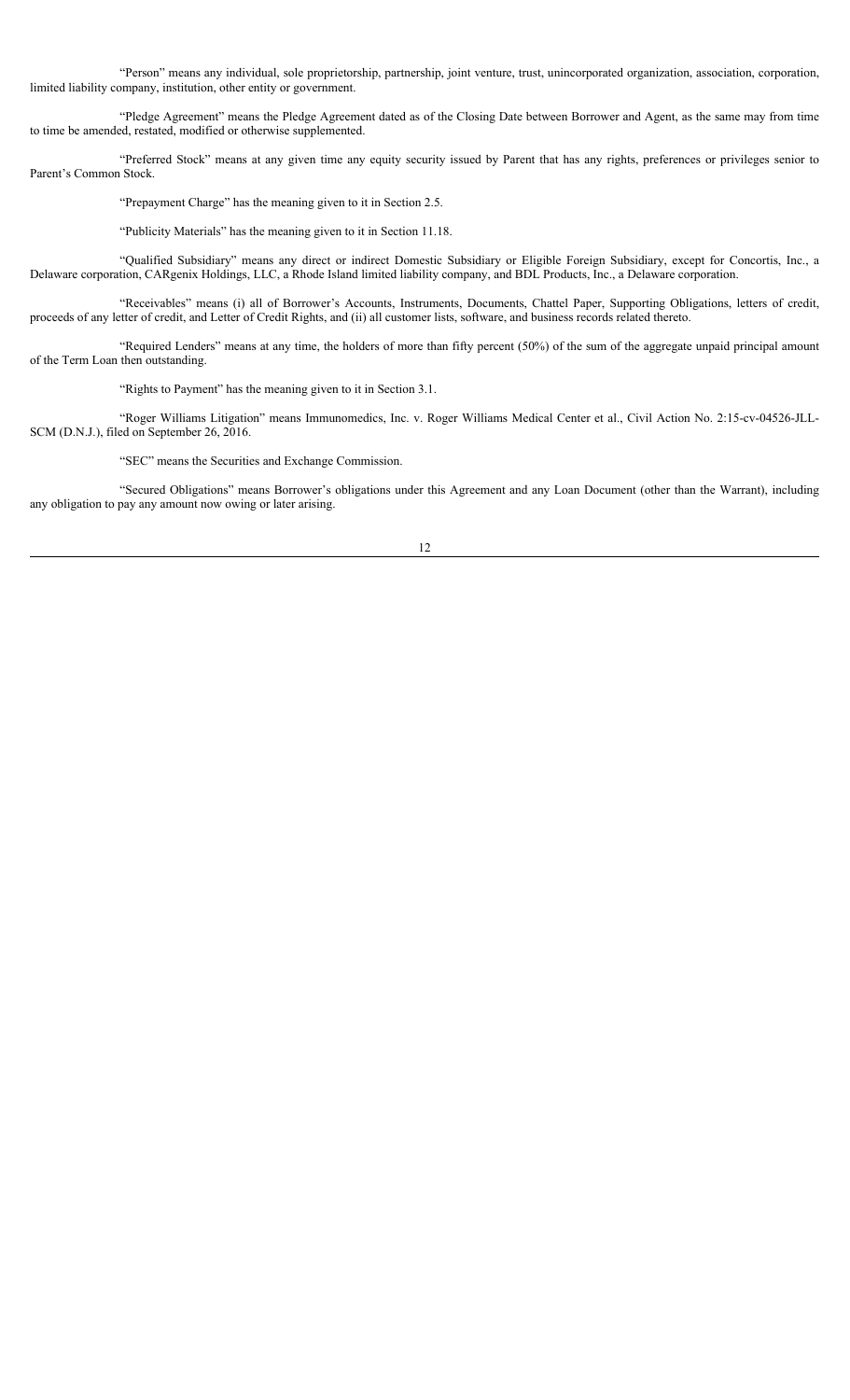"Person" means any individual, sole proprietorship, partnership, joint venture, trust, unincorporated organization, association, corporation, limited liability company, institution, other entity or government.

"Pledge Agreement" means the Pledge Agreement dated as of the Closing Date between Borrower and Agent, as the same may from time to time be amended, restated, modified or otherwise supplemented.

"Preferred Stock" means at any given time any equity security issued by Parent that has any rights, preferences or privileges senior to Parent's Common Stock.

"Prepayment Charge" has the meaning given to it in Section 2.5.

"Publicity Materials" has the meaning given to it in Section 11.18.

"Qualified Subsidiary" means any direct or indirect Domestic Subsidiary or Eligible Foreign Subsidiary, except for Concortis, Inc., a Delaware corporation, CARgenix Holdings, LLC, a Rhode Island limited liability company, and BDL Products, Inc., a Delaware corporation.

"Receivables" means (i) all of Borrower's Accounts, Instruments, Documents, Chattel Paper, Supporting Obligations, letters of credit, proceeds of any letter of credit, and Letter of Credit Rights, and (ii) all customer lists, software, and business records related thereto.

"Required Lenders" means at any time, the holders of more than fifty percent (50%) of the sum of the aggregate unpaid principal amount of the Term Loan then outstanding.

"Rights to Payment" has the meaning given to it in Section 3.1.

"Roger Williams Litigation" means Immunomedics, Inc. v. Roger Williams Medical Center et al., Civil Action No. 2:15-cv-04526-JLL-SCM (D.N.J.), filed on September 26, 2016.

"SEC" means the Securities and Exchange Commission.

"Secured Obligations" means Borrower's obligations under this Agreement and any Loan Document (other than the Warrant), including any obligation to pay any amount now owing or later arising.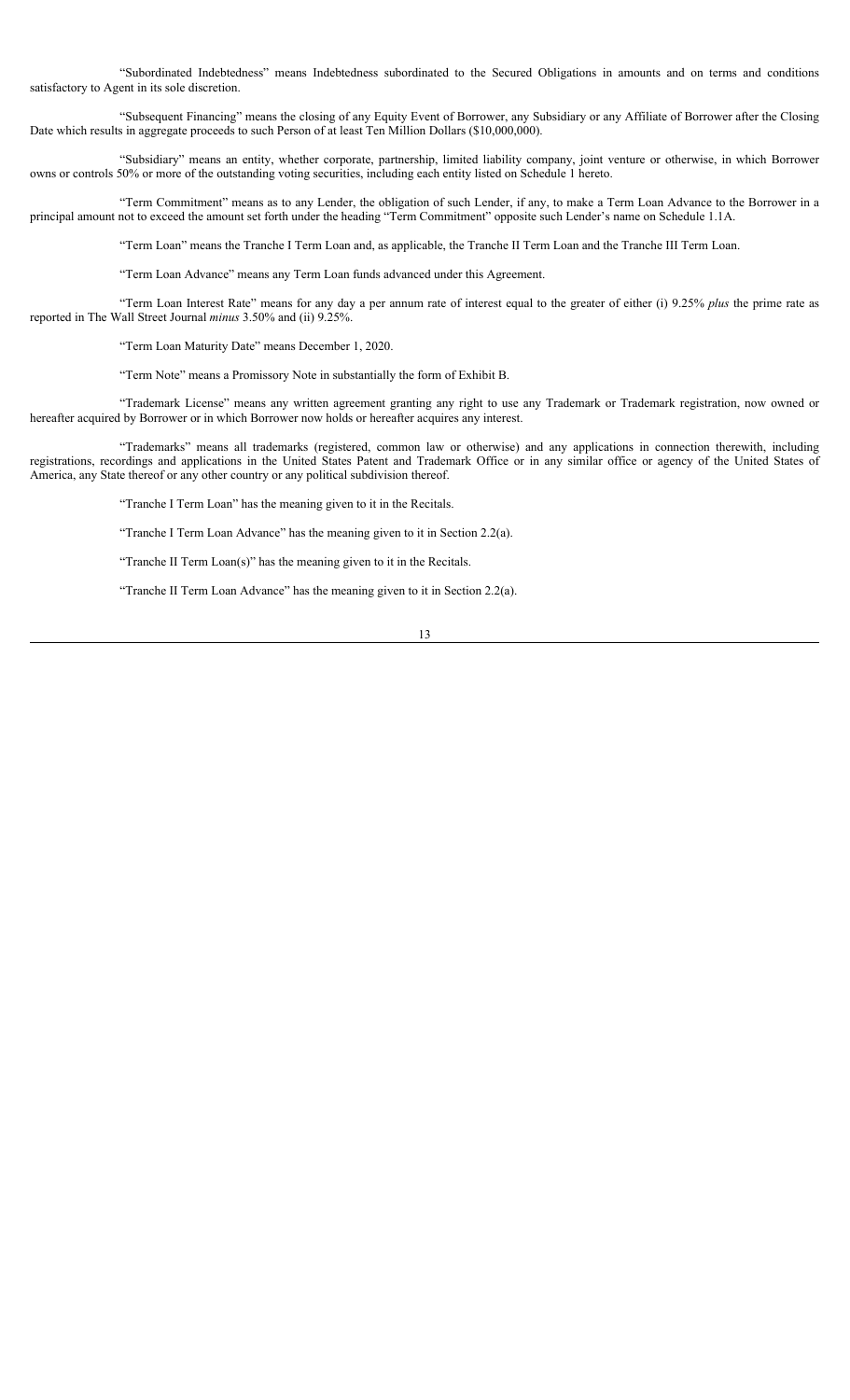"Subordinated Indebtedness" means Indebtedness subordinated to the Secured Obligations in amounts and on terms and conditions satisfactory to Agent in its sole discretion.

"Subsequent Financing" means the closing of any Equity Event of Borrower, any Subsidiary or any Affiliate of Borrower after the Closing Date which results in aggregate proceeds to such Person of at least Ten Million Dollars (\$10,000,000).

"Subsidiary" means an entity, whether corporate, partnership, limited liability company, joint venture or otherwise, in which Borrower owns or controls 50% or more of the outstanding voting securities, including each entity listed on Schedule 1 hereto.

"Term Commitment" means as to any Lender, the obligation of such Lender, if any, to make a Term Loan Advance to the Borrower in a principal amount not to exceed the amount set forth under the heading "Term Commitment" opposite such Lender's name on Schedule 1.1A.

"Term Loan" means the Tranche I Term Loan and, as applicable, the Tranche II Term Loan and the Tranche III Term Loan.

"Term Loan Advance" means any Term Loan funds advanced under this Agreement.

"Term Loan Interest Rate" means for any day a per annum rate of interest equal to the greater of either (i) 9.25% *plus* the prime rate as reported in The Wall Street Journal *minus* 3.50% and (ii) 9.25%.

"Term Loan Maturity Date" means December 1, 2020.

"Term Note" means a Promissory Note in substantially the form of Exhibit B.

"Trademark License" means any written agreement granting any right to use any Trademark or Trademark registration, now owned or hereafter acquired by Borrower or in which Borrower now holds or hereafter acquires any interest.

"Trademarks" means all trademarks (registered, common law or otherwise) and any applications in connection therewith, including registrations, recordings and applications in the United States Patent and Trademark Office or in any similar office or agency of the United States of America, any State thereof or any other country or any political subdivision thereof.

"Tranche I Term Loan" has the meaning given to it in the Recitals.

"Tranche I Term Loan Advance" has the meaning given to it in Section 2.2(a).

"Tranche II Term Loan(s)" has the meaning given to it in the Recitals.

"Tranche II Term Loan Advance" has the meaning given to it in Section 2.2(a).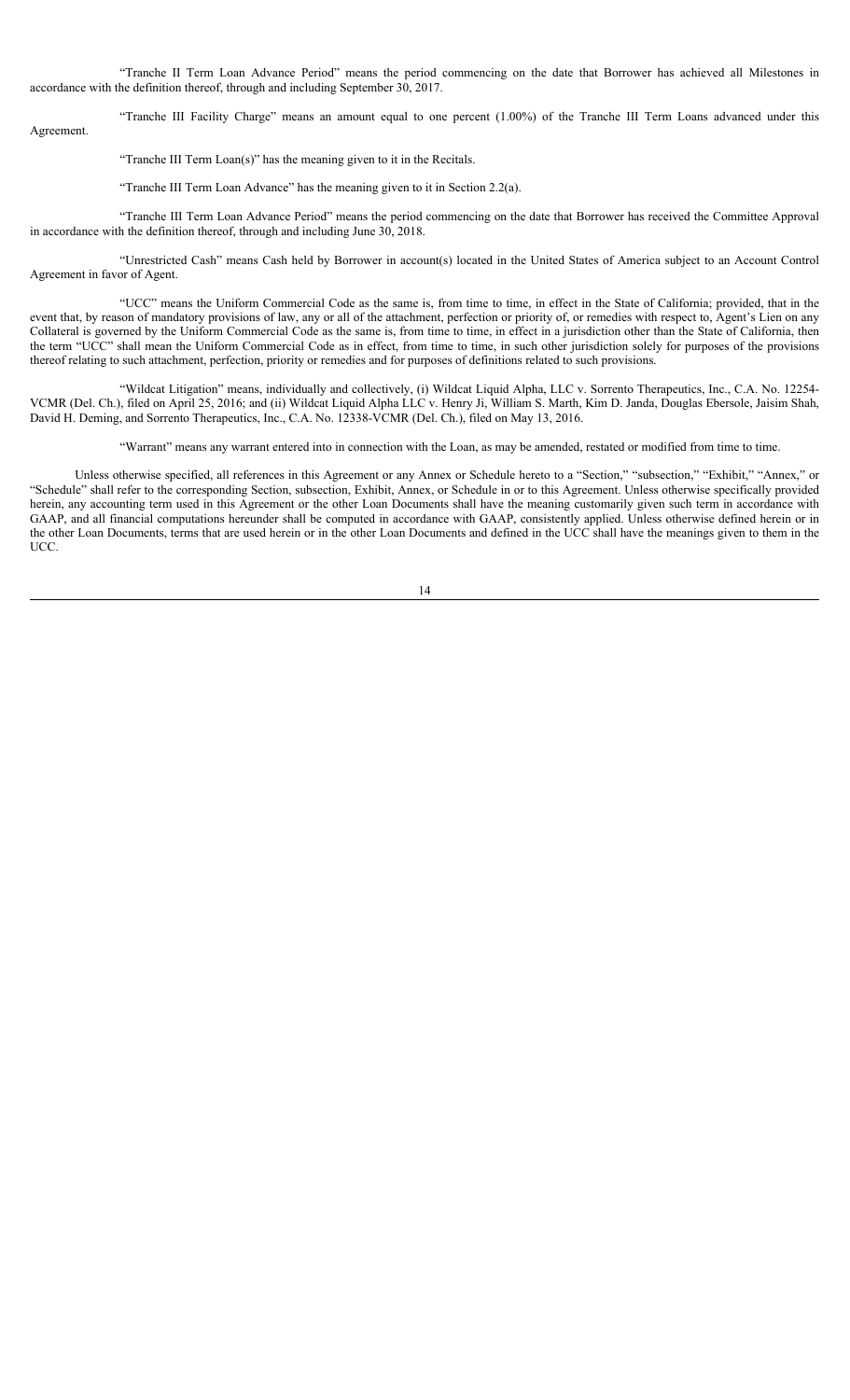"Tranche II Term Loan Advance Period" means the period commencing on the date that Borrower has achieved all Milestones in accordance with the definition thereof, through and including September 30, 2017.

"Tranche III Facility Charge" means an amount equal to one percent (1.00%) of the Tranche III Term Loans advanced under this Agreement.

"Tranche III Term Loan(s)" has the meaning given to it in the Recitals.

"Tranche III Term Loan Advance" has the meaning given to it in Section 2.2(a).

"Tranche III Term Loan Advance Period" means the period commencing on the date that Borrower has received the Committee Approval in accordance with the definition thereof, through and including June 30, 2018.

"Unrestricted Cash" means Cash held by Borrower in account(s) located in the United States of America subject to an Account Control Agreement in favor of Agent.

"UCC" means the Uniform Commercial Code as the same is, from time to time, in effect in the State of California; provided, that in the event that, by reason of mandatory provisions of law, any or all of the attachment, perfection or priority of, or remedies with respect to, Agent's Lien on any Collateral is governed by the Uniform Commercial Code as the same is, from time to time, in effect in a jurisdiction other than the State of California, then the term "UCC" shall mean the Uniform Commercial Code as in effect, from time to time, in such other jurisdiction solely for purposes of the provisions thereof relating to such attachment, perfection, priority or remedies and for purposes of definitions related to such provisions.

"Wildcat Litigation" means, individually and collectively, (i) Wildcat Liquid Alpha, LLC v. Sorrento Therapeutics, Inc., C.A. No. 12254- VCMR (Del. Ch.), filed on April 25, 2016; and (ii) Wildcat Liquid Alpha LLC v. Henry Ji, William S. Marth, Kim D. Janda, Douglas Ebersole, Jaisim Shah, David H. Deming, and Sorrento Therapeutics, Inc., C.A. No. 12338-VCMR (Del. Ch.), filed on May 13, 2016.

"Warrant" means any warrant entered into in connection with the Loan, as may be amended, restated or modified from time to time.

Unless otherwise specified, all references in this Agreement or any Annex or Schedule hereto to a "Section," "subsection," "Exhibit," "Annex," or "Schedule" shall refer to the corresponding Section, subsection, Exhibit, Annex, or Schedule in or to this Agreement. Unless otherwise specifically provided herein, any accounting term used in this Agreement or the other Loan Documents shall have the meaning customarily given such term in accordance with GAAP, and all financial computations hereunder shall be computed in accordance with GAAP, consistently applied. Unless otherwise defined herein or in the other Loan Documents, terms that are used herein or in the other Loan Documents and defined in the UCC shall have the meanings given to them in the UCC.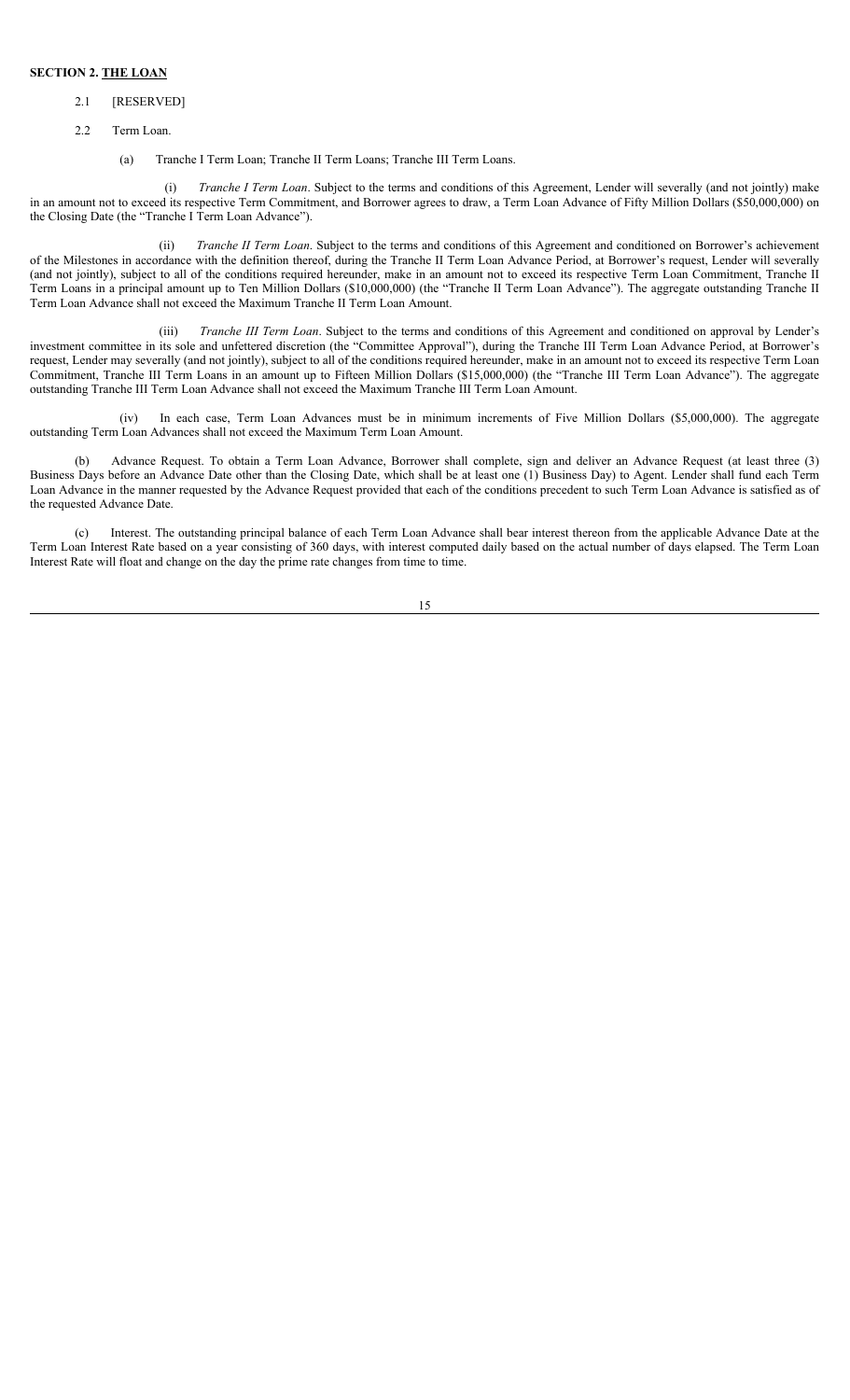### **SECTION 2. THE LOAN**

#### 2.1 [RESERVED]

- 2.2 Term Loan.
	- (a) Tranche I Term Loan; Tranche II Term Loans; Tranche III Term Loans.

(i) *Tranche I Term Loan*. Subject to the terms and conditions of this Agreement, Lender will severally (and not jointly) make in an amount not to exceed its respective Term Commitment, and Borrower agrees to draw, a Term Loan Advance of Fifty Million Dollars (\$50,000,000) on the Closing Date (the "Tranche I Term Loan Advance").

(ii) *Tranche II Term Loan*. Subject to the terms and conditions of this Agreement and conditioned on Borrower's achievement of the Milestones in accordance with the definition thereof, during the Tranche II Term Loan Advance Period, at Borrower's request, Lender will severally (and not jointly), subject to all of the conditions required hereunder, make in an amount not to exceed its respective Term Loan Commitment, Tranche II Term Loans in a principal amount up to Ten Million Dollars (\$10,000,000) (the "Tranche II Term Loan Advance"). The aggregate outstanding Tranche II Term Loan Advance shall not exceed the Maximum Tranche II Term Loan Amount.

(iii) *Tranche III Term Loan*. Subject to the terms and conditions of this Agreement and conditioned on approval by Lender's investment committee in its sole and unfettered discretion (the "Committee Approval"), during the Tranche III Term Loan Advance Period, at Borrower's request, Lender may severally (and not jointly), subject to all of the conditions required hereunder, make in an amount not to exceed its respective Term Loan Commitment, Tranche III Term Loans in an amount up to Fifteen Million Dollars (\$15,000,000) (the "Tranche III Term Loan Advance"). The aggregate outstanding Tranche III Term Loan Advance shall not exceed the Maximum Tranche III Term Loan Amount.

(iv) In each case, Term Loan Advances must be in minimum increments of Five Million Dollars (\$5,000,000). The aggregate outstanding Term Loan Advances shall not exceed the Maximum Term Loan Amount.

Advance Request. To obtain a Term Loan Advance, Borrower shall complete, sign and deliver an Advance Request (at least three (3) Business Days before an Advance Date other than the Closing Date, which shall be at least one (1) Business Day) to Agent. Lender shall fund each Term Loan Advance in the manner requested by the Advance Request provided that each of the conditions precedent to such Term Loan Advance is satisfied as of the requested Advance Date.

(c) Interest. The outstanding principal balance of each Term Loan Advance shall bear interest thereon from the applicable Advance Date at the Term Loan Interest Rate based on a year consisting of 360 days, with interest computed daily based on the actual number of days elapsed. The Term Loan Interest Rate will float and change on the day the prime rate changes from time to time.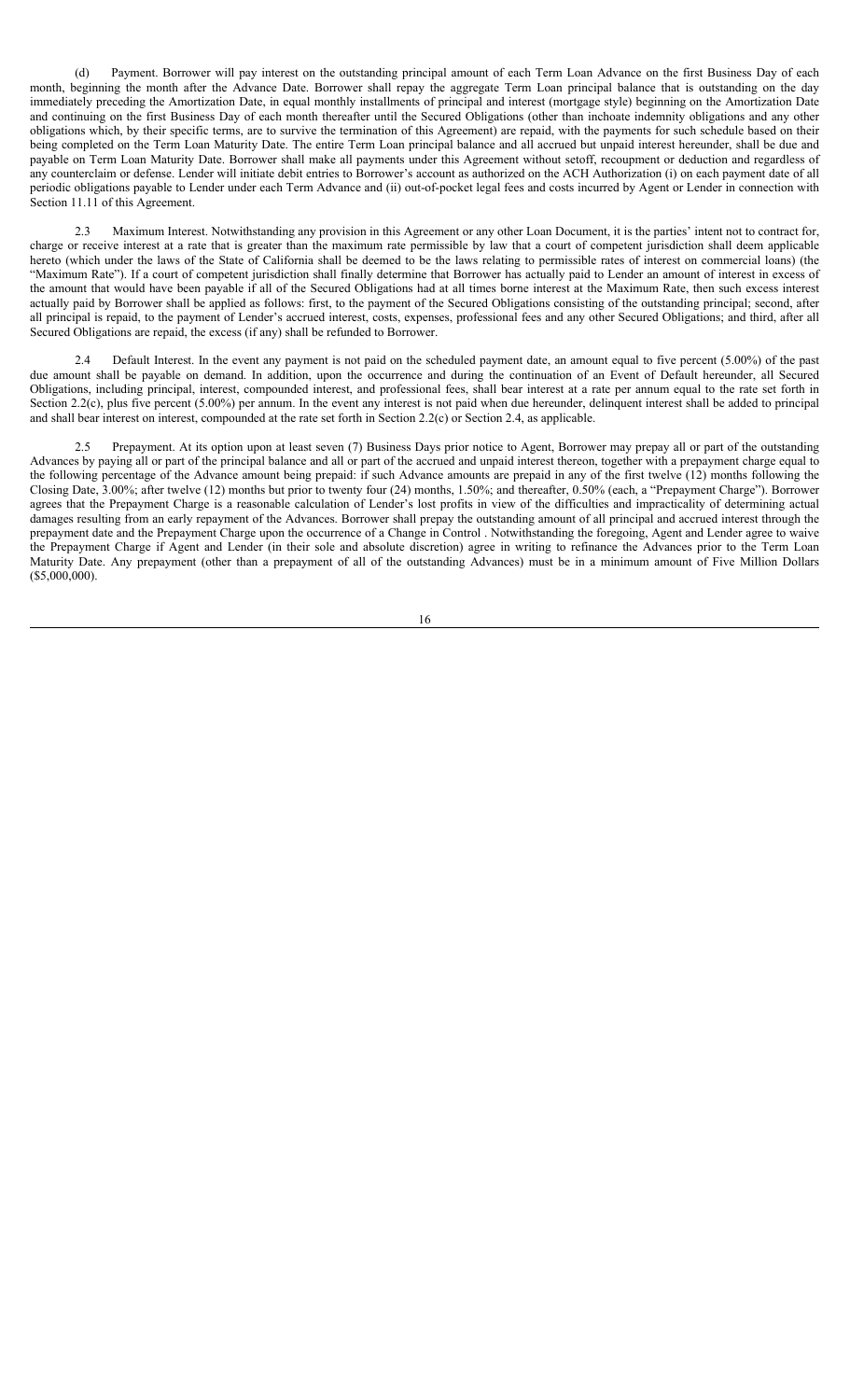(d) Payment. Borrower will pay interest on the outstanding principal amount of each Term Loan Advance on the first Business Day of each month, beginning the month after the Advance Date. Borrower shall repay the aggregate Term Loan principal balance that is outstanding on the day immediately preceding the Amortization Date, in equal monthly installments of principal and interest (mortgage style) beginning on the Amortization Date and continuing on the first Business Day of each month thereafter until the Secured Obligations (other than inchoate indemnity obligations and any other obligations which, by their specific terms, are to survive the termination of this Agreement) are repaid, with the payments for such schedule based on their being completed on the Term Loan Maturity Date. The entire Term Loan principal balance and all accrued but unpaid interest hereunder, shall be due and payable on Term Loan Maturity Date. Borrower shall make all payments under this Agreement without setoff, recoupment or deduction and regardless of any counterclaim or defense. Lender will initiate debit entries to Borrower's account as authorized on the ACH Authorization (i) on each payment date of all periodic obligations payable to Lender under each Term Advance and (ii) out-of-pocket legal fees and costs incurred by Agent or Lender in connection with Section 11.11 of this Agreement.

2.3 Maximum Interest. Notwithstanding any provision in this Agreement or any other Loan Document, it is the parties' intent not to contract for, charge or receive interest at a rate that is greater than the maximum rate permissible by law that a court of competent jurisdiction shall deem applicable hereto (which under the laws of the State of California shall be deemed to be the laws relating to permissible rates of interest on commercial loans) (the "Maximum Rate"). If a court of competent jurisdiction shall finally determine that Borrower has actually paid to Lender an amount of interest in excess of the amount that would have been payable if all of the Secured Obligations had at all times borne interest at the Maximum Rate, then such excess interest actually paid by Borrower shall be applied as follows: first, to the payment of the Secured Obligations consisting of the outstanding principal; second, after all principal is repaid, to the payment of Lender's accrued interest, costs, expenses, professional fees and any other Secured Obligations; and third, after all Secured Obligations are repaid, the excess (if any) shall be refunded to Borrower.

2.4 Default Interest. In the event any payment is not paid on the scheduled payment date, an amount equal to five percent (5.00%) of the past due amount shall be payable on demand. In addition, upon the occurrence and during the continuation of an Event of Default hereunder, all Secured Obligations, including principal, interest, compounded interest, and professional fees, shall bear interest at a rate per annum equal to the rate set forth in Section 2.2(c), plus five percent (5.00%) per annum. In the event any interest is not paid when due hereunder, delinquent interest shall be added to principal and shall bear interest on interest, compounded at the rate set forth in Section 2.2(c) or Section 2.4, as applicable.

Prepayment. At its option upon at least seven (7) Business Days prior notice to Agent, Borrower may prepay all or part of the outstanding Advances by paying all or part of the principal balance and all or part of the accrued and unpaid interest thereon, together with a prepayment charge equal to the following percentage of the Advance amount being prepaid: if such Advance amounts are prepaid in any of the first twelve (12) months following the Closing Date, 3.00%; after twelve (12) months but prior to twenty four (24) months, 1.50%; and thereafter, 0.50% (each, a "Prepayment Charge"). Borrower agrees that the Prepayment Charge is a reasonable calculation of Lender's lost profits in view of the difficulties and impracticality of determining actual damages resulting from an early repayment of the Advances. Borrower shall prepay the outstanding amount of all principal and accrued interest through the prepayment date and the Prepayment Charge upon the occurrence of a Change in Control . Notwithstanding the foregoing, Agent and Lender agree to waive the Prepayment Charge if Agent and Lender (in their sole and absolute discretion) agree in writing to refinance the Advances prior to the Term Loan Maturity Date. Any prepayment (other than a prepayment of all of the outstanding Advances) must be in a minimum amount of Five Million Dollars  $($ \$5,000,000).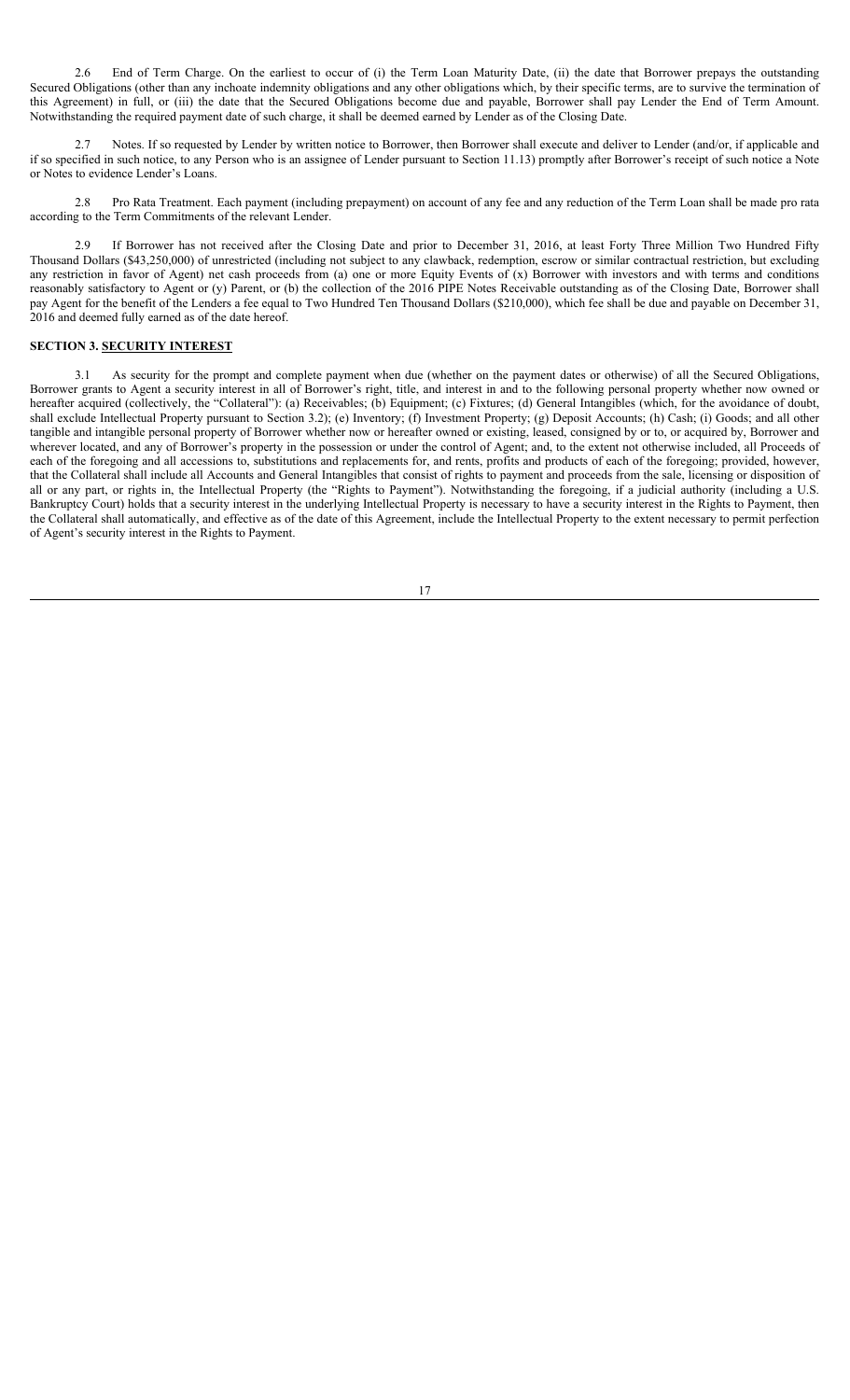2.6 End of Term Charge. On the earliest to occur of (i) the Term Loan Maturity Date, (ii) the date that Borrower prepays the outstanding Secured Obligations (other than any inchoate indemnity obligations and any other obligations which, by their specific terms, are to survive the termination of this Agreement) in full, or (iii) the date that the Secured Obligations become due and payable, Borrower shall pay Lender the End of Term Amount. Notwithstanding the required payment date of such charge, it shall be deemed earned by Lender as of the Closing Date.

2.7 Notes. If so requested by Lender by written notice to Borrower, then Borrower shall execute and deliver to Lender (and/or, if applicable and if so specified in such notice, to any Person who is an assignee of Lender pursuant to Section 11.13) promptly after Borrower's receipt of such notice a Note or Notes to evidence Lender's Loans.

2.8 Pro Rata Treatment. Each payment (including prepayment) on account of any fee and any reduction of the Term Loan shall be made pro rata according to the Term Commitments of the relevant Lender.

2.9 If Borrower has not received after the Closing Date and prior to December 31, 2016, at least Forty Three Million Two Hundred Fifty Thousand Dollars (\$43,250,000) of unrestricted (including not subject to any clawback, redemption, escrow or similar contractual restriction, but excluding any restriction in favor of Agent) net cash proceeds from (a) one or more Equity Events of (x) Borrower with investors and with terms and conditions reasonably satisfactory to Agent or (y) Parent, or (b) the collection of the 2016 PIPE Notes Receivable outstanding as of the Closing Date, Borrower shall pay Agent for the benefit of the Lenders a fee equal to Two Hundred Ten Thousand Dollars (\$210,000), which fee shall be due and payable on December 31, 2016 and deemed fully earned as of the date hereof.

# **SECTION 3. SECURITY INTEREST**

3.1 As security for the prompt and complete payment when due (whether on the payment dates or otherwise) of all the Secured Obligations, Borrower grants to Agent a security interest in all of Borrower's right, title, and interest in and to the following personal property whether now owned or hereafter acquired (collectively, the "Collateral"): (a) Receivables; (b) Equipment; (c) Fixtures; (d) General Intangibles (which, for the avoidance of doubt, shall exclude Intellectual Property pursuant to Section 3.2); (e) Inventory; (f) Investment Property; (g) Deposit Accounts; (h) Cash; (i) Goods; and all other tangible and intangible personal property of Borrower whether now or hereafter owned or existing, leased, consigned by or to, or acquired by, Borrower and wherever located, and any of Borrower's property in the possession or under the control of Agent; and, to the extent not otherwise included, all Proceeds of each of the foregoing and all accessions to, substitutions and replacements for, and rents, profits and products of each of the foregoing; provided, however, that the Collateral shall include all Accounts and General Intangibles that consist of rights to payment and proceeds from the sale, licensing or disposition of all or any part, or rights in, the Intellectual Property (the "Rights to Payment"). Notwithstanding the foregoing, if a judicial authority (including a U.S. Bankruptcy Court) holds that a security interest in the underlying Intellectual Property is necessary to have a security interest in the Rights to Payment, then the Collateral shall automatically, and effective as of the date of this Agreement, include the Intellectual Property to the extent necessary to permit perfection of Agent's security interest in the Rights to Payment.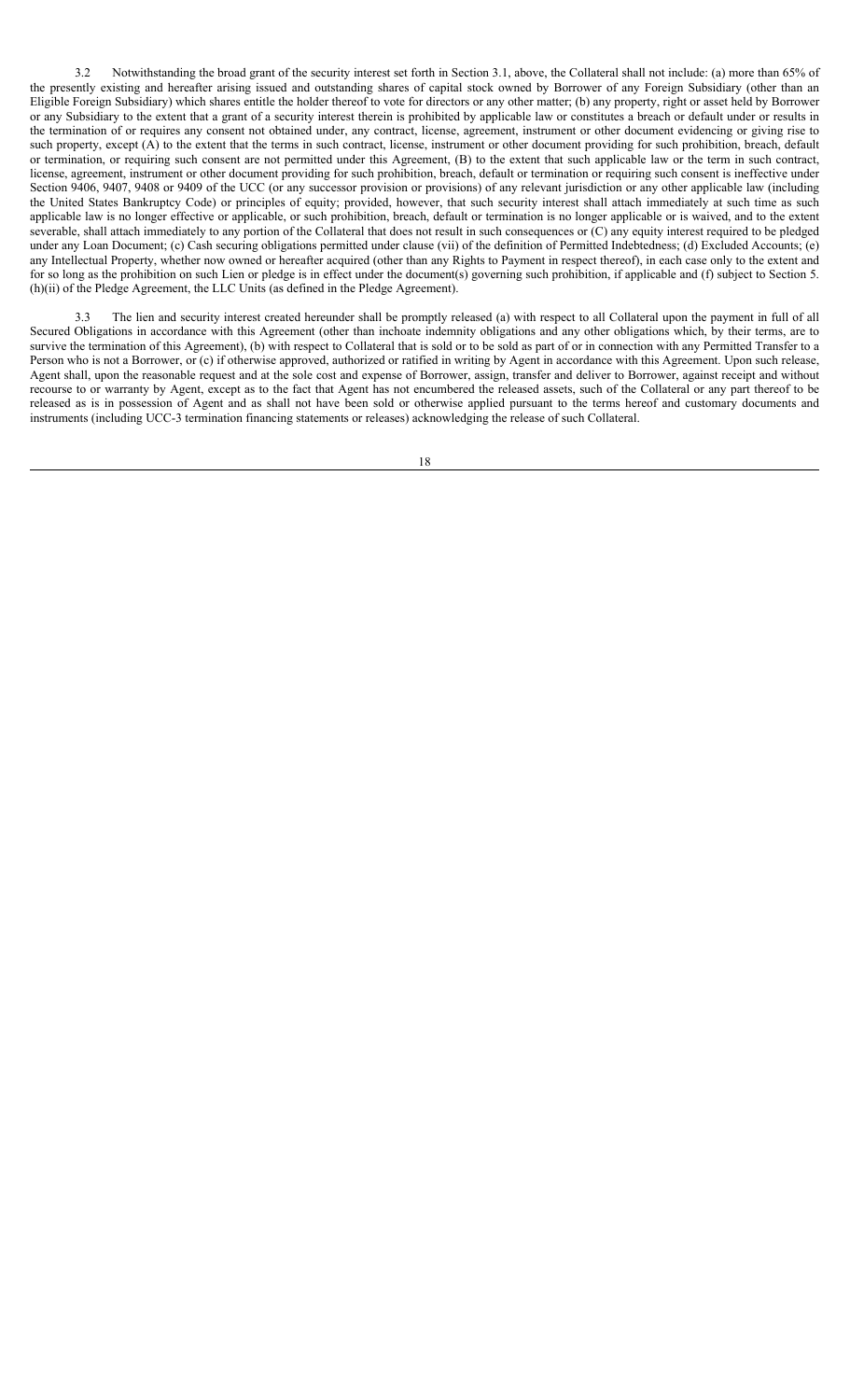3.2 Notwithstanding the broad grant of the security interest set forth in Section 3.1, above, the Collateral shall not include: (a) more than 65% of the presently existing and hereafter arising issued and outstanding shares of capital stock owned by Borrower of any Foreign Subsidiary (other than an Eligible Foreign Subsidiary) which shares entitle the holder thereof to vote for directors or any other matter; (b) any property, right or asset held by Borrower or any Subsidiary to the extent that a grant of a security interest therein is prohibited by applicable law or constitutes a breach or default under or results in the termination of or requires any consent not obtained under, any contract, license, agreement, instrument or other document evidencing or giving rise to such property, except (A) to the extent that the terms in such contract, license, instrument or other document providing for such prohibition, breach, default or termination, or requiring such consent are not permitted under this Agreement, (B) to the extent that such applicable law or the term in such contract, license, agreement, instrument or other document providing for such prohibition, breach, default or termination or requiring such consent is ineffective under Section 9406, 9407, 9408 or 9409 of the UCC (or any successor provision or provisions) of any relevant jurisdiction or any other applicable law (including the United States Bankruptcy Code) or principles of equity; provided, however, that such security interest shall attach immediately at such time as such applicable law is no longer effective or applicable, or such prohibition, breach, default or termination is no longer applicable or is waived, and to the extent severable, shall attach immediately to any portion of the Collateral that does not result in such consequences or (C) any equity interest required to be pledged under any Loan Document; (c) Cash securing obligations permitted under clause (vii) of the definition of Permitted Indebtedness; (d) Excluded Accounts; (e) any Intellectual Property, whether now owned or hereafter acquired (other than any Rights to Payment in respect thereof), in each case only to the extent and for so long as the prohibition on such Lien or pledge is in effect under the document(s) governing such prohibition, if applicable and (f) subject to Section 5. (h)(ii) of the Pledge Agreement, the LLC Units (as defined in the Pledge Agreement).

3.3 The lien and security interest created hereunder shall be promptly released (a) with respect to all Collateral upon the payment in full of all Secured Obligations in accordance with this Agreement (other than inchoate indemnity obligations and any other obligations which, by their terms, are to survive the termination of this Agreement), (b) with respect to Collateral that is sold or to be sold as part of or in connection with any Permitted Transfer to a Person who is not a Borrower, or (c) if otherwise approved, authorized or ratified in writing by Agent in accordance with this Agreement. Upon such release, Agent shall, upon the reasonable request and at the sole cost and expense of Borrower, assign, transfer and deliver to Borrower, against receipt and without recourse to or warranty by Agent, except as to the fact that Agent has not encumbered the released assets, such of the Collateral or any part thereof to be released as is in possession of Agent and as shall not have been sold or otherwise applied pursuant to the terms hereof and customary documents and instruments (including UCC-3 termination financing statements or releases) acknowledging the release of such Collateral.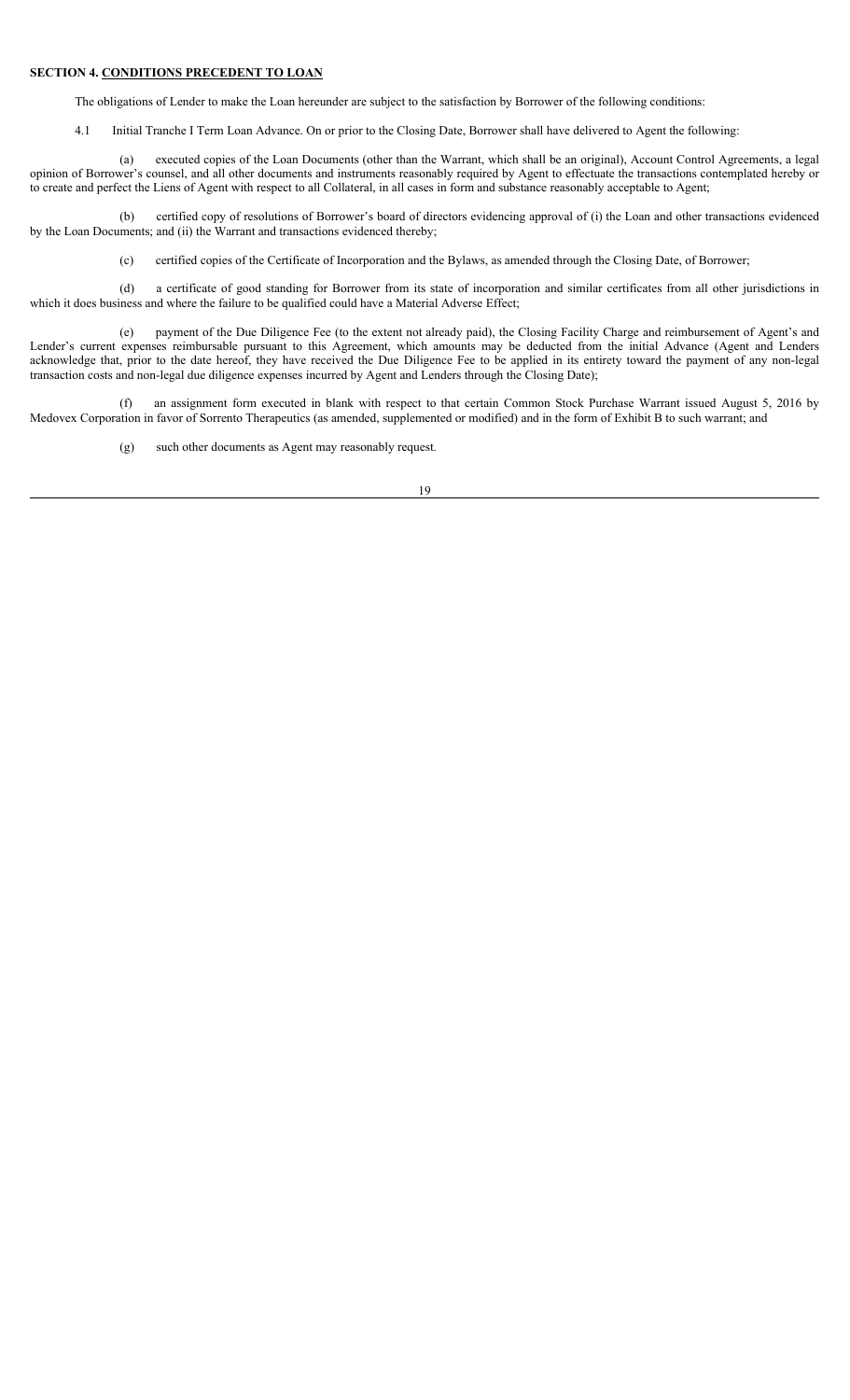### **SECTION 4. CONDITIONS PRECEDENT TO LOAN**

The obligations of Lender to make the Loan hereunder are subject to the satisfaction by Borrower of the following conditions:

4.1 Initial Tranche I Term Loan Advance. On or prior to the Closing Date, Borrower shall have delivered to Agent the following:

(a) executed copies of the Loan Documents (other than the Warrant, which shall be an original), Account Control Agreements, a legal opinion of Borrower's counsel, and all other documents and instruments reasonably required by Agent to effectuate the transactions contemplated hereby or to create and perfect the Liens of Agent with respect to all Collateral, in all cases in form and substance reasonably acceptable to Agent;

(b) certified copy of resolutions of Borrower's board of directors evidencing approval of (i) the Loan and other transactions evidenced by the Loan Documents; and (ii) the Warrant and transactions evidenced thereby;

(c) certified copies of the Certificate of Incorporation and the Bylaws, as amended through the Closing Date, of Borrower;

(d) a certificate of good standing for Borrower from its state of incorporation and similar certificates from all other jurisdictions in which it does business and where the failure to be qualified could have a Material Adverse Effect;

(e) payment of the Due Diligence Fee (to the extent not already paid), the Closing Facility Charge and reimbursement of Agent's and Lender's current expenses reimbursable pursuant to this Agreement, which amounts may be deducted from the initial Advance (Agent and Lenders acknowledge that, prior to the date hereof, they have received the Due Diligence Fee to be applied in its entirety toward the payment of any non-legal transaction costs and non-legal due diligence expenses incurred by Agent and Lenders through the Closing Date);

(f) an assignment form executed in blank with respect to that certain Common Stock Purchase Warrant issued August 5, 2016 by Medovex Corporation in favor of Sorrento Therapeutics (as amended, supplemented or modified) and in the form of Exhibit B to such warrant; and

(g) such other documents as Agent may reasonably request.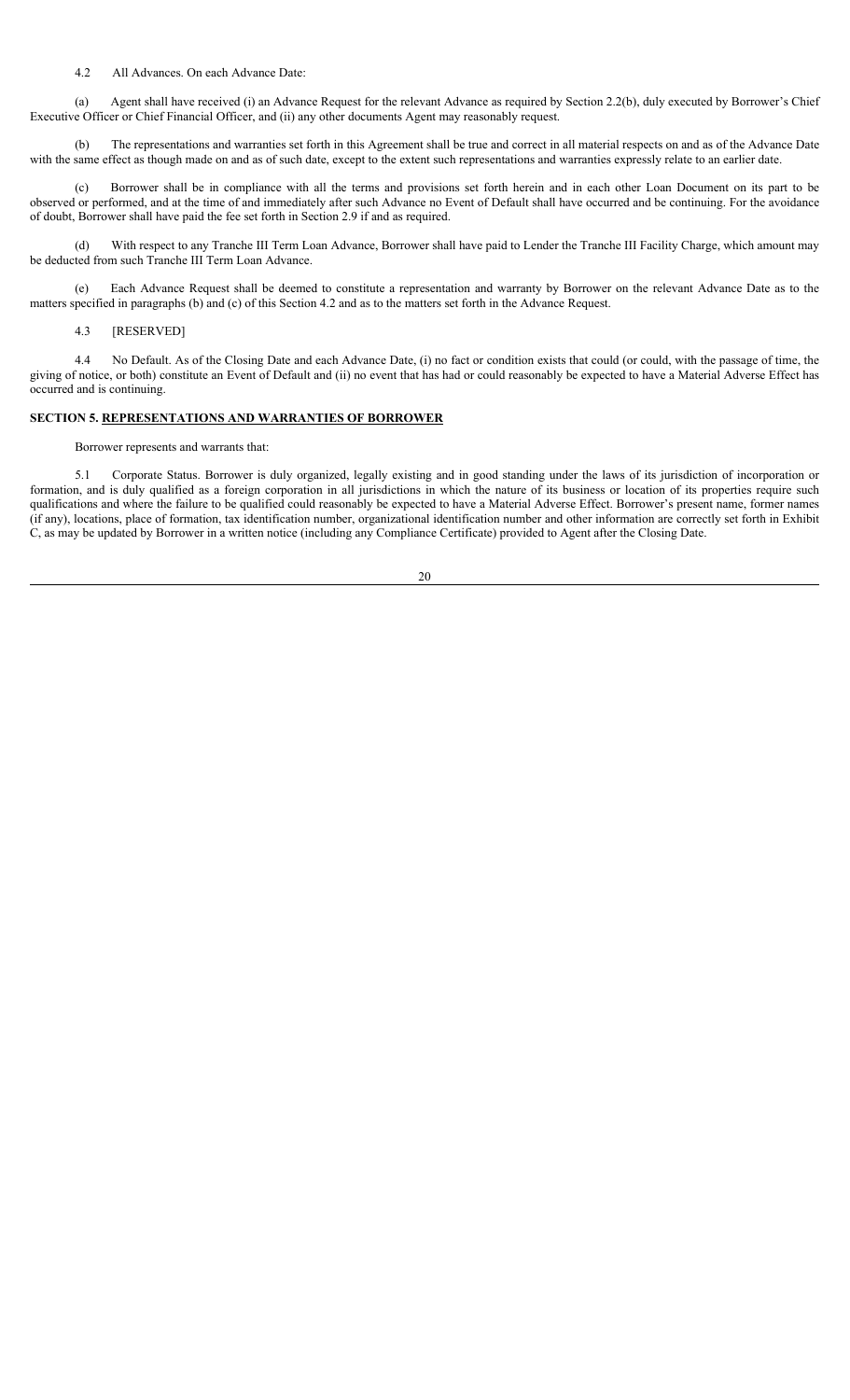#### 4.2 All Advances. On each Advance Date:

(a) Agent shall have received (i) an Advance Request for the relevant Advance as required by Section 2.2(b), duly executed by Borrower's Chief Executive Officer or Chief Financial Officer, and (ii) any other documents Agent may reasonably request.

(b) The representations and warranties set forth in this Agreement shall be true and correct in all material respects on and as of the Advance Date with the same effect as though made on and as of such date, except to the extent such representations and warranties expressly relate to an earlier date.

(c) Borrower shall be in compliance with all the terms and provisions set forth herein and in each other Loan Document on its part to be observed or performed, and at the time of and immediately after such Advance no Event of Default shall have occurred and be continuing. For the avoidance of doubt, Borrower shall have paid the fee set forth in Section 2.9 if and as required.

(d) With respect to any Tranche III Term Loan Advance, Borrower shall have paid to Lender the Tranche III Facility Charge, which amount may be deducted from such Tranche III Term Loan Advance.

(e) Each Advance Request shall be deemed to constitute a representation and warranty by Borrower on the relevant Advance Date as to the matters specified in paragraphs (b) and (c) of this Section 4.2 and as to the matters set forth in the Advance Request.

4.3 [RESERVED]

4.4 No Default. As of the Closing Date and each Advance Date, (i) no fact or condition exists that could (or could, with the passage of time, the giving of notice, or both) constitute an Event of Default and (ii) no event that has had or could reasonably be expected to have a Material Adverse Effect has occurred and is continuing.

# **SECTION 5. REPRESENTATIONS AND WARRANTIES OF BORROWER**

Borrower represents and warrants that:

5.1 Corporate Status. Borrower is duly organized, legally existing and in good standing under the laws of its jurisdiction of incorporation or formation, and is duly qualified as a foreign corporation in all jurisdictions in which the nature of its business or location of its properties require such qualifications and where the failure to be qualified could reasonably be expected to have a Material Adverse Effect. Borrower's present name, former names (if any), locations, place of formation, tax identification number, organizational identification number and other information are correctly set forth in Exhibit C, as may be updated by Borrower in a written notice (including any Compliance Certificate) provided to Agent after the Closing Date.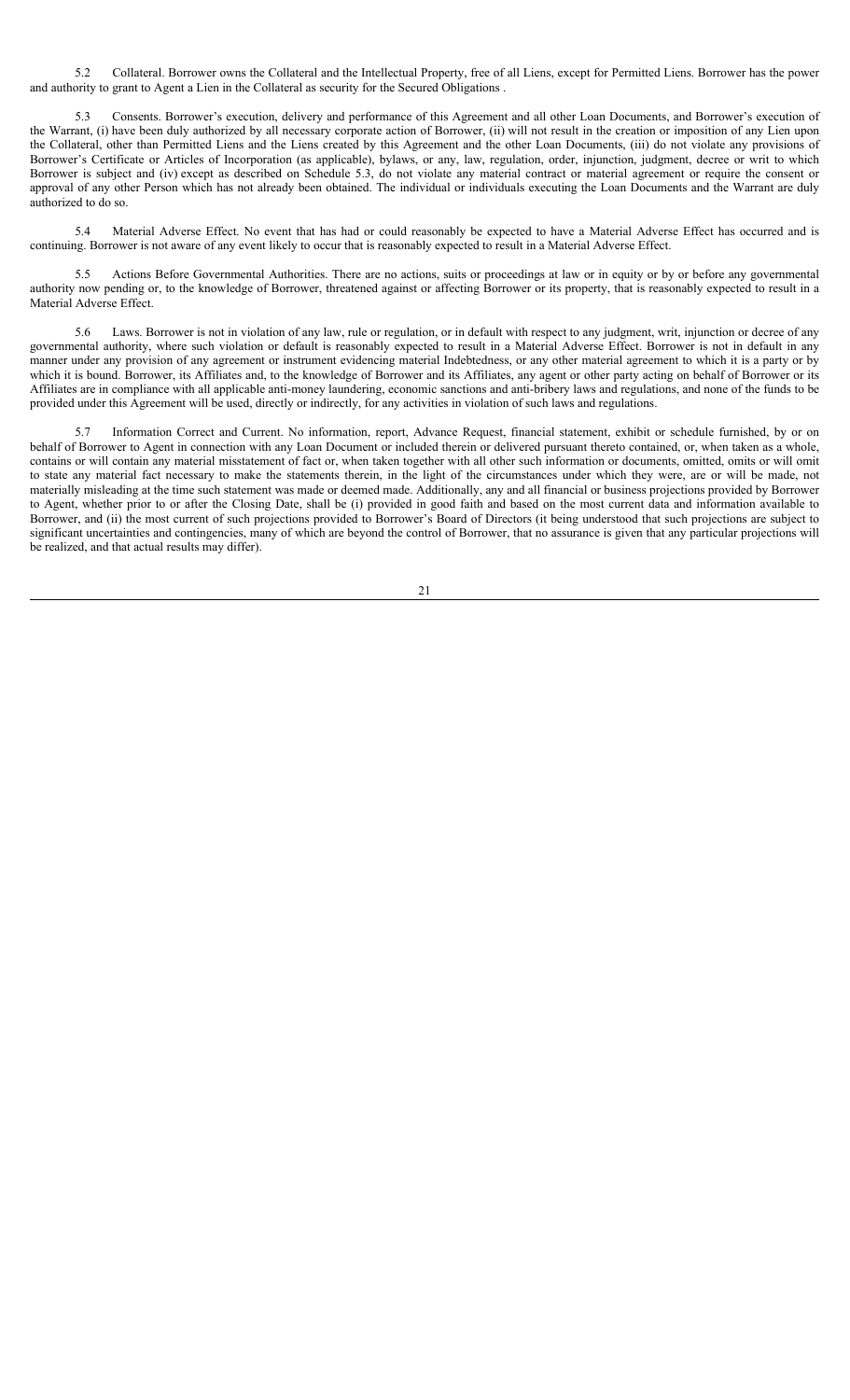5.2 Collateral. Borrower owns the Collateral and the Intellectual Property, free of all Liens, except for Permitted Liens. Borrower has the power and authority to grant to Agent a Lien in the Collateral as security for the Secured Obligations .

5.3 Consents. Borrower's execution, delivery and performance of this Agreement and all other Loan Documents, and Borrower's execution of the Warrant, (i) have been duly authorized by all necessary corporate action of Borrower, (ii) will not result in the creation or imposition of any Lien upon the Collateral, other than Permitted Liens and the Liens created by this Agreement and the other Loan Documents, (iii) do not violate any provisions of Borrower's Certificate or Articles of Incorporation (as applicable), bylaws, or any, law, regulation, order, injunction, judgment, decree or writ to which Borrower is subject and (iv) except as described on Schedule 5.3, do not violate any material contract or material agreement or require the consent or approval of any other Person which has not already been obtained. The individual or individuals executing the Loan Documents and the Warrant are duly authorized to do so.

5.4 Material Adverse Effect. No event that has had or could reasonably be expected to have a Material Adverse Effect has occurred and is continuing. Borrower is not aware of any event likely to occur that is reasonably expected to result in a Material Adverse Effect.

5.5 Actions Before Governmental Authorities. There are no actions, suits or proceedings at law or in equity or by or before any governmental authority now pending or, to the knowledge of Borrower, threatened against or affecting Borrower or its property, that is reasonably expected to result in a Material Adverse Effect.

5.6 Laws. Borrower is not in violation of any law, rule or regulation, or in default with respect to any judgment, writ, injunction or decree of any governmental authority, where such violation or default is reasonably expected to result in a Material Adverse Effect. Borrower is not in default in any manner under any provision of any agreement or instrument evidencing material Indebtedness, or any other material agreement to which it is a party or by which it is bound. Borrower, its Affiliates and, to the knowledge of Borrower and its Affiliates, any agent or other party acting on behalf of Borrower or its Affiliates are in compliance with all applicable anti-money laundering, economic sanctions and anti-bribery laws and regulations, and none of the funds to be provided under this Agreement will be used, directly or indirectly, for any activities in violation of such laws and regulations.

5.7 Information Correct and Current. No information, report, Advance Request, financial statement, exhibit or schedule furnished, by or on behalf of Borrower to Agent in connection with any Loan Document or included therein or delivered pursuant thereto contained, or, when taken as a whole, contains or will contain any material misstatement of fact or, when taken together with all other such information or documents, omitted, omits or will omit to state any material fact necessary to make the statements therein, in the light of the circumstances under which they were, are or will be made, not materially misleading at the time such statement was made or deemed made. Additionally, any and all financial or business projections provided by Borrower to Agent, whether prior to or after the Closing Date, shall be (i) provided in good faith and based on the most current data and information available to Borrower, and (ii) the most current of such projections provided to Borrower's Board of Directors (it being understood that such projections are subject to significant uncertainties and contingencies, many of which are beyond the control of Borrower, that no assurance is given that any particular projections will be realized, and that actual results may differ).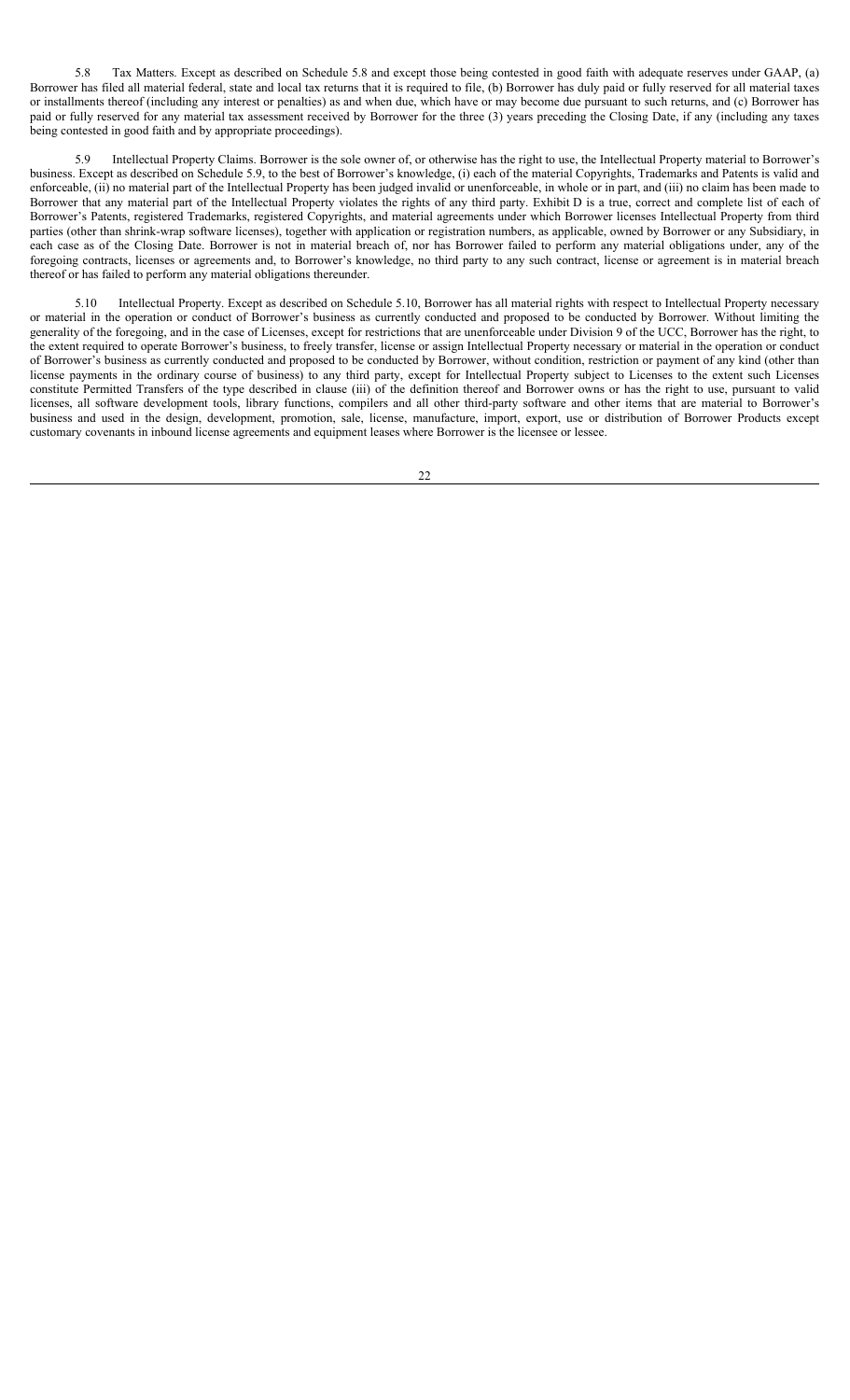5.8 Tax Matters. Except as described on Schedule 5.8 and except those being contested in good faith with adequate reserves under GAAP, (a) Borrower has filed all material federal, state and local tax returns that it is required to file, (b) Borrower has duly paid or fully reserved for all material taxes or installments thereof (including any interest or penalties) as and when due, which have or may become due pursuant to such returns, and (c) Borrower has paid or fully reserved for any material tax assessment received by Borrower for the three (3) years preceding the Closing Date, if any (including any taxes being contested in good faith and by appropriate proceedings).

5.9 Intellectual Property Claims. Borrower is the sole owner of, or otherwise has the right to use, the Intellectual Property material to Borrower's business. Except as described on Schedule 5.9, to the best of Borrower's knowledge, (i) each of the material Copyrights, Trademarks and Patents is valid and enforceable, (ii) no material part of the Intellectual Property has been judged invalid or unenforceable, in whole or in part, and (iii) no claim has been made to Borrower that any material part of the Intellectual Property violates the rights of any third party. Exhibit D is a true, correct and complete list of each of Borrower's Patents, registered Trademarks, registered Copyrights, and material agreements under which Borrower licenses Intellectual Property from third parties (other than shrink-wrap software licenses), together with application or registration numbers, as applicable, owned by Borrower or any Subsidiary, in each case as of the Closing Date. Borrower is not in material breach of, nor has Borrower failed to perform any material obligations under, any of the foregoing contracts, licenses or agreements and, to Borrower's knowledge, no third party to any such contract, license or agreement is in material breach thereof or has failed to perform any material obligations thereunder.

5.10 Intellectual Property. Except as described on Schedule 5.10, Borrower has all material rights with respect to Intellectual Property necessary or material in the operation or conduct of Borrower's business as currently conducted and proposed to be conducted by Borrower. Without limiting the generality of the foregoing, and in the case of Licenses, except for restrictions that are unenforceable under Division 9 of the UCC, Borrower has the right, to the extent required to operate Borrower's business, to freely transfer, license or assign Intellectual Property necessary or material in the operation or conduct of Borrower's business as currently conducted and proposed to be conducted by Borrower, without condition, restriction or payment of any kind (other than license payments in the ordinary course of business) to any third party, except for Intellectual Property subject to Licenses to the extent such Licenses constitute Permitted Transfers of the type described in clause (iii) of the definition thereof and Borrower owns or has the right to use, pursuant to valid licenses, all software development tools, library functions, compilers and all other third-party software and other items that are material to Borrower's business and used in the design, development, promotion, sale, license, manufacture, import, export, use or distribution of Borrower Products except customary covenants in inbound license agreements and equipment leases where Borrower is the licensee or lessee.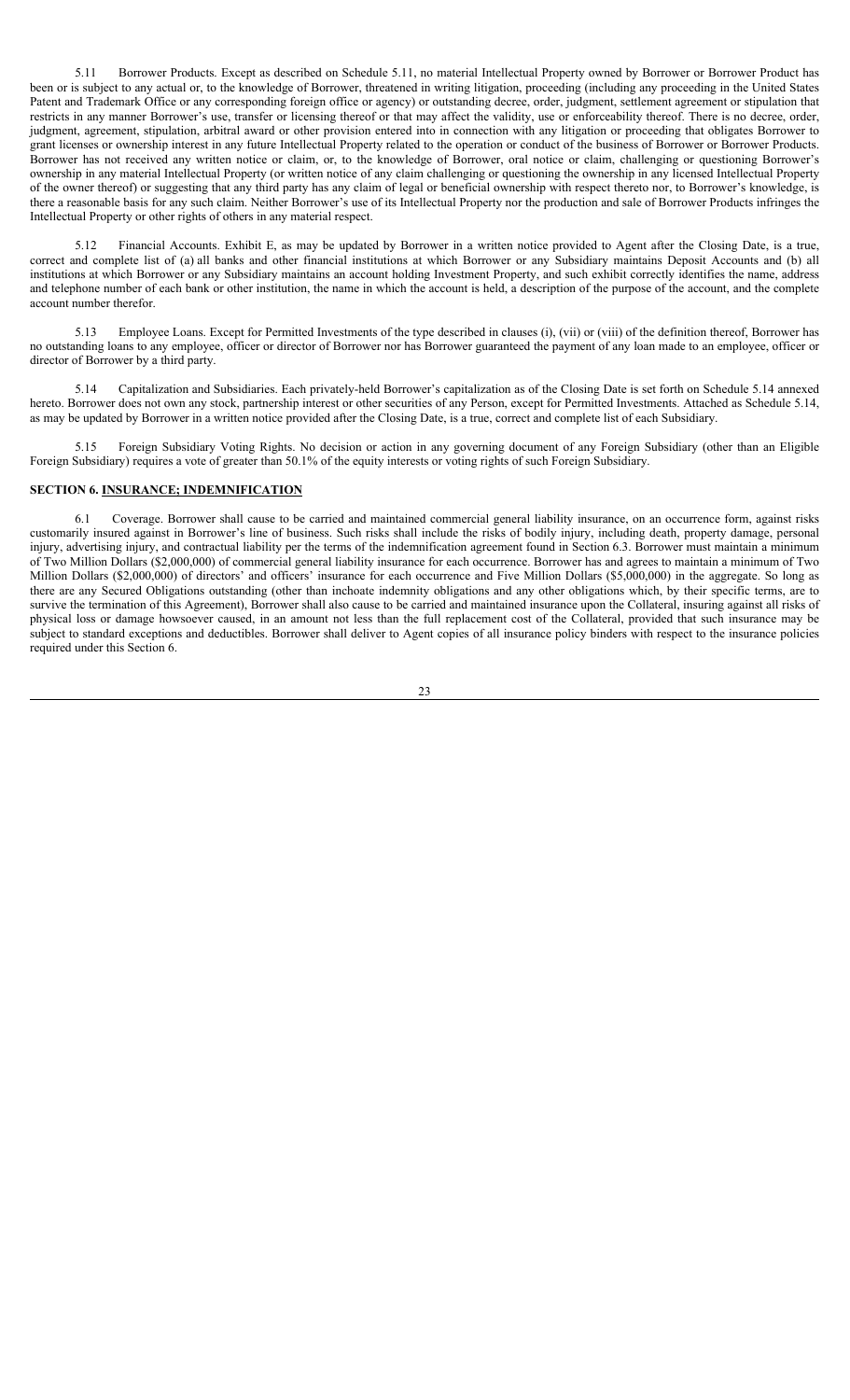5.11 Borrower Products. Except as described on Schedule 5.11, no material Intellectual Property owned by Borrower or Borrower Product has been or is subject to any actual or, to the knowledge of Borrower, threatened in writing litigation, proceeding (including any proceeding in the United States Patent and Trademark Office or any corresponding foreign office or agency) or outstanding decree, order, judgment, settlement agreement or stipulation that restricts in any manner Borrower's use, transfer or licensing thereof or that may affect the validity, use or enforceability thereof. There is no decree, order, judgment, agreement, stipulation, arbitral award or other provision entered into in connection with any litigation or proceeding that obligates Borrower to grant licenses or ownership interest in any future Intellectual Property related to the operation or conduct of the business of Borrower or Borrower Products. Borrower has not received any written notice or claim, or, to the knowledge of Borrower, oral notice or claim, challenging or questioning Borrower's ownership in any material Intellectual Property (or written notice of any claim challenging or questioning the ownership in any licensed Intellectual Property of the owner thereof) or suggesting that any third party has any claim of legal or beneficial ownership with respect thereto nor, to Borrower's knowledge, is there a reasonable basis for any such claim. Neither Borrower's use of its Intellectual Property nor the production and sale of Borrower Products infringes the Intellectual Property or other rights of others in any material respect.

5.12 Financial Accounts. Exhibit E, as may be updated by Borrower in a written notice provided to Agent after the Closing Date, is a true, correct and complete list of (a) all banks and other financial institutions at which Borrower or any Subsidiary maintains Deposit Accounts and (b) all institutions at which Borrower or any Subsidiary maintains an account holding Investment Property, and such exhibit correctly identifies the name, address and telephone number of each bank or other institution, the name in which the account is held, a description of the purpose of the account, and the complete account number therefor.

5.13 Employee Loans. Except for Permitted Investments of the type described in clauses (i), (vii) or (viii) of the definition thereof, Borrower has no outstanding loans to any employee, officer or director of Borrower nor has Borrower guaranteed the payment of any loan made to an employee, officer or director of Borrower by a third party.

5.14 Capitalization and Subsidiaries. Each privately-held Borrower's capitalization as of the Closing Date is set forth on Schedule 5.14 annexed hereto. Borrower does not own any stock, partnership interest or other securities of any Person, except for Permitted Investments. Attached as Schedule 5.14, as may be updated by Borrower in a written notice provided after the Closing Date, is a true, correct and complete list of each Subsidiary.

5.15 Foreign Subsidiary Voting Rights. No decision or action in any governing document of any Foreign Subsidiary (other than an Eligible Foreign Subsidiary) requires a vote of greater than 50.1% of the equity interests or voting rights of such Foreign Subsidiary.

# **SECTION 6. INSURANCE; INDEMNIFICATION**

6.1 Coverage. Borrower shall cause to be carried and maintained commercial general liability insurance, on an occurrence form, against risks customarily insured against in Borrower's line of business. Such risks shall include the risks of bodily injury, including death, property damage, personal injury, advertising injury, and contractual liability per the terms of the indemnification agreement found in Section 6.3. Borrower must maintain a minimum of Two Million Dollars (\$2,000,000) of commercial general liability insurance for each occurrence. Borrower has and agrees to maintain a minimum of Two Million Dollars (\$2,000,000) of directors' and officers' insurance for each occurrence and Five Million Dollars (\$5,000,000) in the aggregate. So long as there are any Secured Obligations outstanding (other than inchoate indemnity obligations and any other obligations which, by their specific terms, are to survive the termination of this Agreement), Borrower shall also cause to be carried and maintained insurance upon the Collateral, insuring against all risks of physical loss or damage howsoever caused, in an amount not less than the full replacement cost of the Collateral, provided that such insurance may be subject to standard exceptions and deductibles. Borrower shall deliver to Agent copies of all insurance policy binders with respect to the insurance policies required under this Section 6.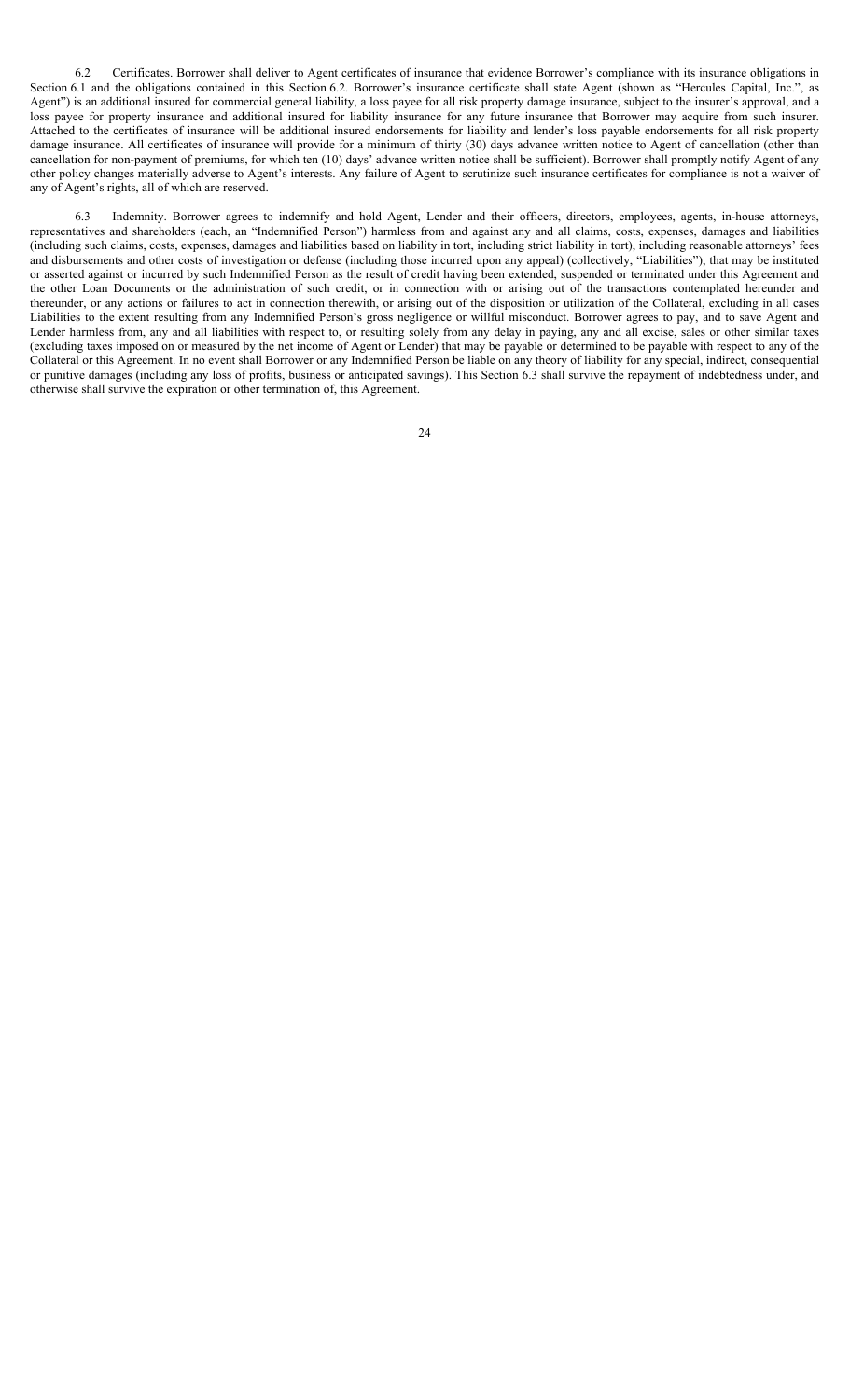6.2 Certificates. Borrower shall deliver to Agent certificates of insurance that evidence Borrower's compliance with its insurance obligations in Section 6.1 and the obligations contained in this Section 6.2. Borrower's insurance certificate shall state Agent (shown as "Hercules Capital, Inc.", as Agent") is an additional insured for commercial general liability, a loss payee for all risk property damage insurance, subject to the insurer's approval, and a loss payee for property insurance and additional insured for liability insurance for any future insurance that Borrower may acquire from such insurer. Attached to the certificates of insurance will be additional insured endorsements for liability and lender's loss payable endorsements for all risk property damage insurance. All certificates of insurance will provide for a minimum of thirty (30) days advance written notice to Agent of cancellation (other than cancellation for non-payment of premiums, for which ten (10) days' advance written notice shall be sufficient). Borrower shall promptly notify Agent of any other policy changes materially adverse to Agent's interests. Any failure of Agent to scrutinize such insurance certificates for compliance is not a waiver of any of Agent's rights, all of which are reserved.

6.3 Indemnity. Borrower agrees to indemnify and hold Agent, Lender and their officers, directors, employees, agents, in-house attorneys, representatives and shareholders (each, an "Indemnified Person") harmless from and against any and all claims, costs, expenses, damages and liabilities (including such claims, costs, expenses, damages and liabilities based on liability in tort, including strict liability in tort), including reasonable attorneys' fees and disbursements and other costs of investigation or defense (including those incurred upon any appeal) (collectively, "Liabilities"), that may be instituted or asserted against or incurred by such Indemnified Person as the result of credit having been extended, suspended or terminated under this Agreement and the other Loan Documents or the administration of such credit, or in connection with or arising out of the transactions contemplated hereunder and thereunder, or any actions or failures to act in connection therewith, or arising out of the disposition or utilization of the Collateral, excluding in all cases Liabilities to the extent resulting from any Indemnified Person's gross negligence or willful misconduct. Borrower agrees to pay, and to save Agent and Lender harmless from, any and all liabilities with respect to, or resulting solely from any delay in paying, any and all excise, sales or other similar taxes (excluding taxes imposed on or measured by the net income of Agent or Lender) that may be payable or determined to be payable with respect to any of the Collateral or this Agreement. In no event shall Borrower or any Indemnified Person be liable on any theory of liability for any special, indirect, consequential or punitive damages (including any loss of profits, business or anticipated savings). This Section 6.3 shall survive the repayment of indebtedness under, and otherwise shall survive the expiration or other termination of, this Agreement.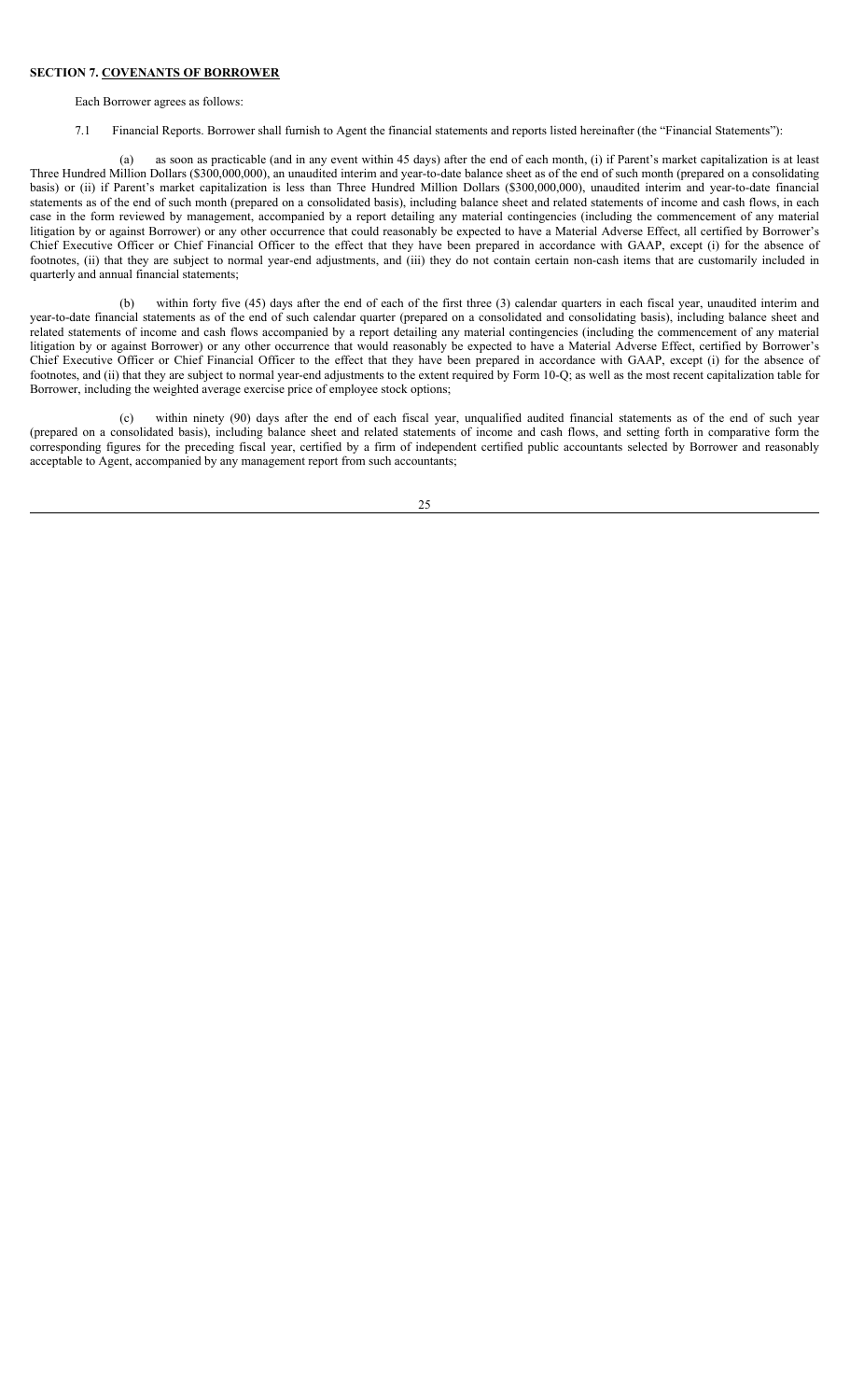#### **SECTION 7. COVENANTS OF BORROWER**

Each Borrower agrees as follows:

7.1 Financial Reports. Borrower shall furnish to Agent the financial statements and reports listed hereinafter (the "Financial Statements"):

(a) as soon as practicable (and in any event within 45 days) after the end of each month, (i) if Parent's market capitalization is at least Three Hundred Million Dollars (\$300,000,000), an unaudited interim and year-to-date balance sheet as of the end of such month (prepared on a consolidating basis) or (ii) if Parent's market capitalization is less than Three Hundred Million Dollars (\$300,000,000), unaudited interim and year-to-date financial statements as of the end of such month (prepared on a consolidated basis), including balance sheet and related statements of income and cash flows, in each case in the form reviewed by management, accompanied by a report detailing any material contingencies (including the commencement of any material litigation by or against Borrower) or any other occurrence that could reasonably be expected to have a Material Adverse Effect, all certified by Borrower's Chief Executive Officer or Chief Financial Officer to the effect that they have been prepared in accordance with GAAP, except (i) for the absence of footnotes, (ii) that they are subject to normal year-end adjustments, and (iii) they do not contain certain non-cash items that are customarily included in quarterly and annual financial statements;

(b) within forty five (45) days after the end of each of the first three (3) calendar quarters in each fiscal year, unaudited interim and year-to-date financial statements as of the end of such calendar quarter (prepared on a consolidated and consolidating basis), including balance sheet and related statements of income and cash flows accompanied by a report detailing any material contingencies (including the commencement of any material litigation by or against Borrower) or any other occurrence that would reasonably be expected to have a Material Adverse Effect, certified by Borrower's Chief Executive Officer or Chief Financial Officer to the effect that they have been prepared in accordance with GAAP, except (i) for the absence of footnotes, and (ii) that they are subject to normal year-end adjustments to the extent required by Form 10-Q; as well as the most recent capitalization table for Borrower, including the weighted average exercise price of employee stock options;

(c) within ninety (90) days after the end of each fiscal year, unqualified audited financial statements as of the end of such year (prepared on a consolidated basis), including balance sheet and related statements of income and cash flows, and setting forth in comparative form the corresponding figures for the preceding fiscal year, certified by a firm of independent certified public accountants selected by Borrower and reasonably acceptable to Agent, accompanied by any management report from such accountants;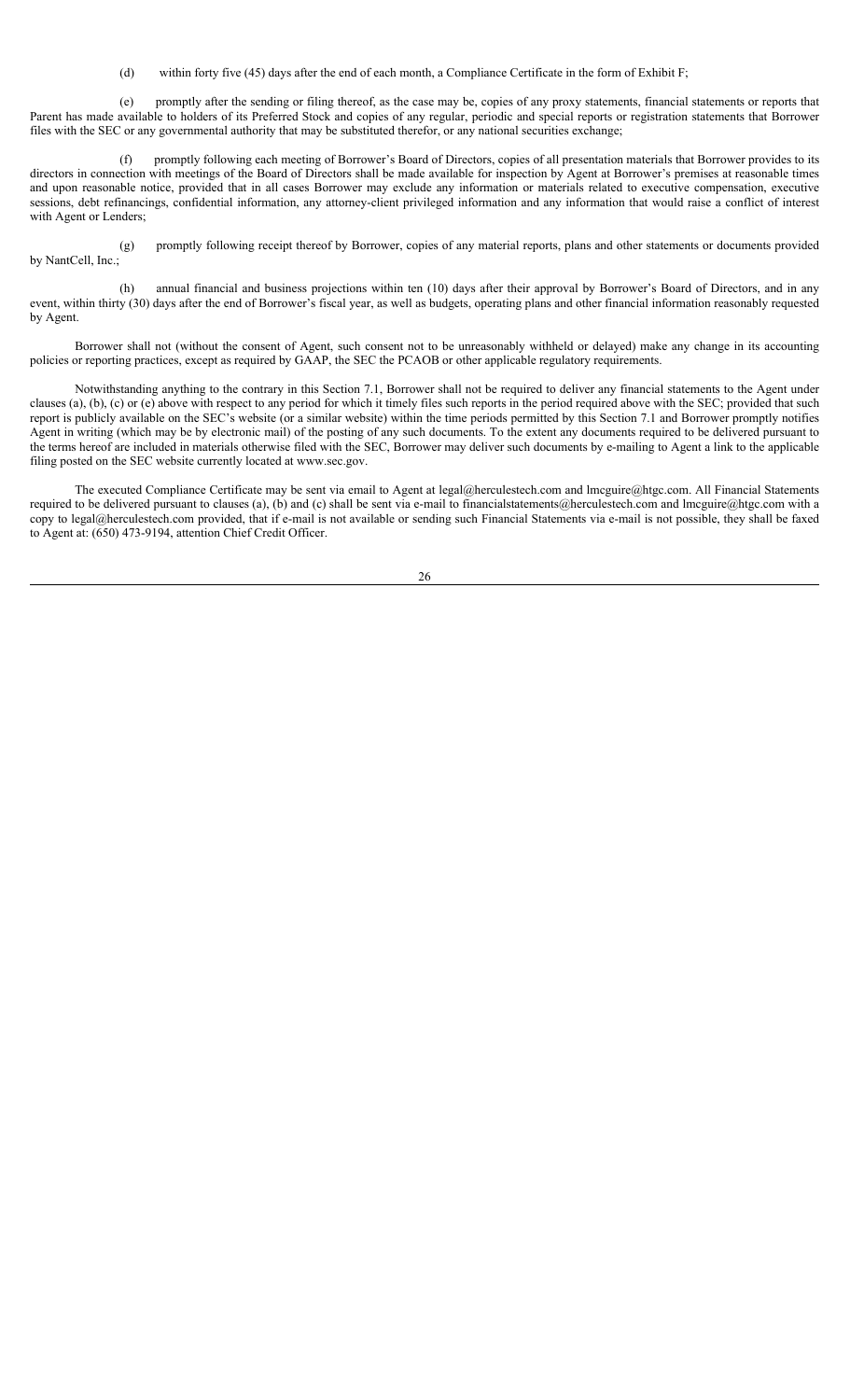(d) within forty five (45) days after the end of each month, a Compliance Certificate in the form of Exhibit F;

(e) promptly after the sending or filing thereof, as the case may be, copies of any proxy statements, financial statements or reports that Parent has made available to holders of its Preferred Stock and copies of any regular, periodic and special reports or registration statements that Borrower files with the SEC or any governmental authority that may be substituted therefor, or any national securities exchange;

(f) promptly following each meeting of Borrower's Board of Directors, copies of all presentation materials that Borrower provides to its directors in connection with meetings of the Board of Directors shall be made available for inspection by Agent at Borrower's premises at reasonable times and upon reasonable notice, provided that in all cases Borrower may exclude any information or materials related to executive compensation, executive sessions, debt refinancings, confidential information, any attorney-client privileged information and any information that would raise a conflict of interest with Agent or Lenders;

(g) promptly following receipt thereof by Borrower, copies of any material reports, plans and other statements or documents provided by NantCell, Inc.;

(h) annual financial and business projections within ten (10) days after their approval by Borrower's Board of Directors, and in any event, within thirty (30) days after the end of Borrower's fiscal year, as well as budgets, operating plans and other financial information reasonably requested by Agent.

Borrower shall not (without the consent of Agent, such consent not to be unreasonably withheld or delayed) make any change in its accounting policies or reporting practices, except as required by GAAP, the SEC the PCAOB or other applicable regulatory requirements.

Notwithstanding anything to the contrary in this Section 7.1, Borrower shall not be required to deliver any financial statements to the Agent under clauses (a), (b), (c) or (e) above with respect to any period for which it timely files such reports in the period required above with the SEC; provided that such report is publicly available on the SEC's website (or a similar website) within the time periods permitted by this Section 7.1 and Borrower promptly notifies Agent in writing (which may be by electronic mail) of the posting of any such documents. To the extent any documents required to be delivered pursuant to the terms hereof are included in materials otherwise filed with the SEC, Borrower may deliver such documents by e-mailing to Agent a link to the applicable filing posted on the SEC website currently located at www.sec.gov.

The executed Compliance Certificate may be sent via email to Agent at legal@herculestech.com and lmcguire@htgc.com. All Financial Statements required to be delivered pursuant to clauses (a), (b) and (c) shall be sent via e-mail to financialstatements@herculestech.com and lmcguire@htgc.com with a copy to legal@herculestech.com provided, that if e-mail is not available or sending such Financial Statements via e-mail is not possible, they shall be faxed to Agent at: (650) 473-9194, attention Chief Credit Officer.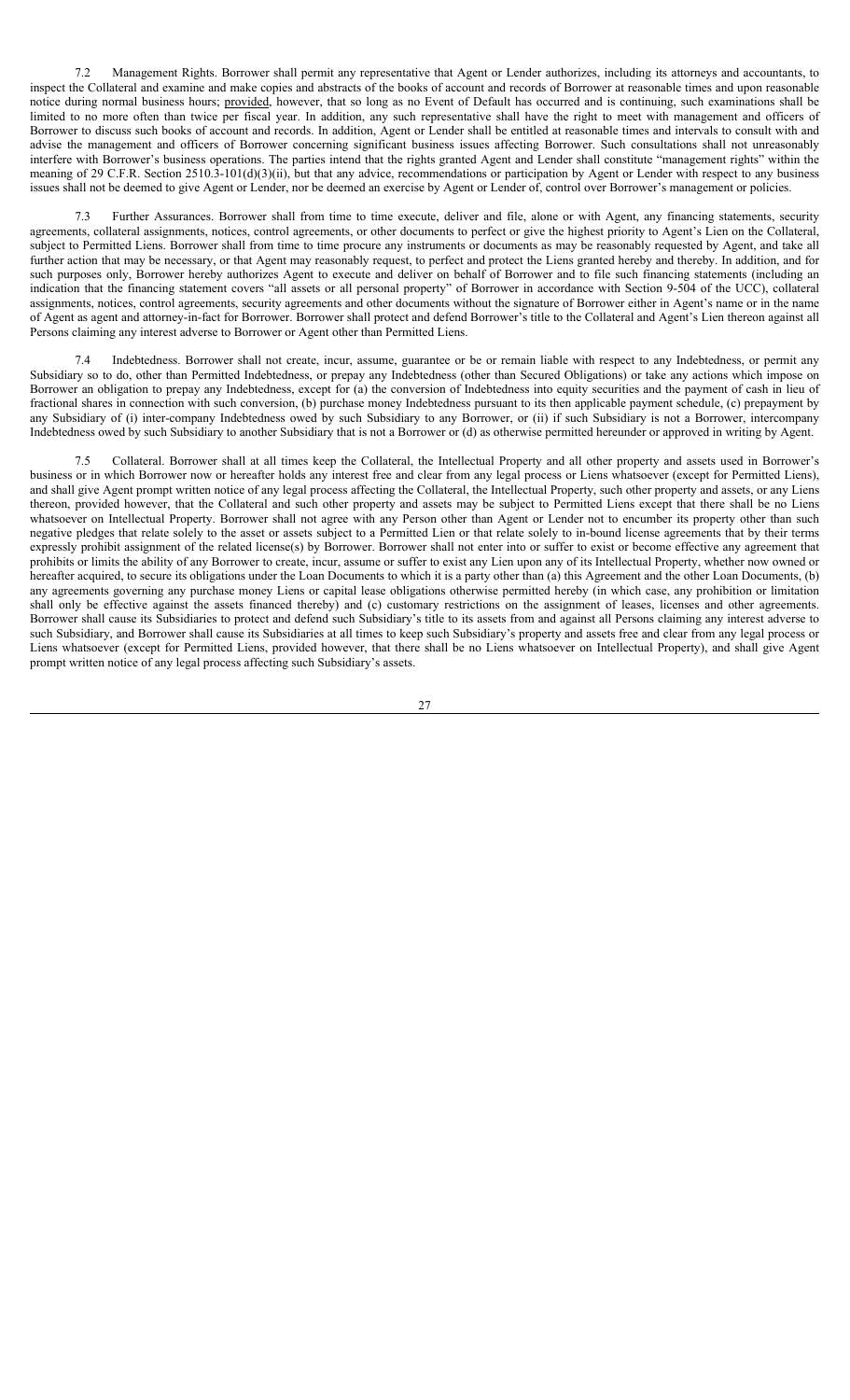7.2 Management Rights. Borrower shall permit any representative that Agent or Lender authorizes, including its attorneys and accountants, to inspect the Collateral and examine and make copies and abstracts of the books of account and records of Borrower at reasonable times and upon reasonable notice during normal business hours; provided, however, that so long as no Event of Default has occurred and is continuing, such examinations shall be limited to no more often than twice per fiscal year. In addition, any such representative shall have the right to meet with management and officers of Borrower to discuss such books of account and records. In addition, Agent or Lender shall be entitled at reasonable times and intervals to consult with and advise the management and officers of Borrower concerning significant business issues affecting Borrower. Such consultations shall not unreasonably interfere with Borrower's business operations. The parties intend that the rights granted Agent and Lender shall constitute "management rights" within the meaning of 29 C.F.R. Section 2510.3-101(d)(3)(ii), but that any advice, recommendations or participation by Agent or Lender with respect to any business issues shall not be deemed to give Agent or Lender, nor be deemed an exercise by Agent or Lender of, control over Borrower's management or policies.

7.3 Further Assurances. Borrower shall from time to time execute, deliver and file, alone or with Agent, any financing statements, security agreements, collateral assignments, notices, control agreements, or other documents to perfect or give the highest priority to Agent's Lien on the Collateral, subject to Permitted Liens. Borrower shall from time to time procure any instruments or documents as may be reasonably requested by Agent, and take all further action that may be necessary, or that Agent may reasonably request, to perfect and protect the Liens granted hereby and thereby. In addition, and for such purposes only, Borrower hereby authorizes Agent to execute and deliver on behalf of Borrower and to file such financing statements (including an indication that the financing statement covers "all assets or all personal property" of Borrower in accordance with Section 9-504 of the UCC), collateral assignments, notices, control agreements, security agreements and other documents without the signature of Borrower either in Agent's name or in the name of Agent as agent and attorney-in-fact for Borrower. Borrower shall protect and defend Borrower's title to the Collateral and Agent's Lien thereon against all Persons claiming any interest adverse to Borrower or Agent other than Permitted Liens.

Indebtedness. Borrower shall not create, incur, assume, guarantee or be or remain liable with respect to any Indebtedness, or permit any Subsidiary so to do, other than Permitted Indebtedness, or prepay any Indebtedness (other than Secured Obligations) or take any actions which impose on Borrower an obligation to prepay any Indebtedness, except for (a) the conversion of Indebtedness into equity securities and the payment of cash in lieu of fractional shares in connection with such conversion, (b) purchase money Indebtedness pursuant to its then applicable payment schedule, (c) prepayment by any Subsidiary of (i) inter-company Indebtedness owed by such Subsidiary to any Borrower, or (ii) if such Subsidiary is not a Borrower, intercompany Indebtedness owed by such Subsidiary to another Subsidiary that is not a Borrower or (d) as otherwise permitted hereunder or approved in writing by Agent.

7.5 Collateral. Borrower shall at all times keep the Collateral, the Intellectual Property and all other property and assets used in Borrower's business or in which Borrower now or hereafter holds any interest free and clear from any legal process or Liens whatsoever (except for Permitted Liens), and shall give Agent prompt written notice of any legal process affecting the Collateral, the Intellectual Property, such other property and assets, or any Liens thereon, provided however, that the Collateral and such other property and assets may be subject to Permitted Liens except that there shall be no Liens whatsoever on Intellectual Property. Borrower shall not agree with any Person other than Agent or Lender not to encumber its property other than such negative pledges that relate solely to the asset or assets subject to a Permitted Lien or that relate solely to in-bound license agreements that by their terms expressly prohibit assignment of the related license(s) by Borrower. Borrower shall not enter into or suffer to exist or become effective any agreement that prohibits or limits the ability of any Borrower to create, incur, assume or suffer to exist any Lien upon any of its Intellectual Property, whether now owned or hereafter acquired, to secure its obligations under the Loan Documents to which it is a party other than (a) this Agreement and the other Loan Documents, (b) any agreements governing any purchase money Liens or capital lease obligations otherwise permitted hereby (in which case, any prohibition or limitation shall only be effective against the assets financed thereby) and (c) customary restrictions on the assignment of leases, licenses and other agreements. Borrower shall cause its Subsidiaries to protect and defend such Subsidiary's title to its assets from and against all Persons claiming any interest adverse to such Subsidiary, and Borrower shall cause its Subsidiaries at all times to keep such Subsidiary's property and assets free and clear from any legal process or Liens whatsoever (except for Permitted Liens, provided however, that there shall be no Liens whatsoever on Intellectual Property), and shall give Agent prompt written notice of any legal process affecting such Subsidiary's assets.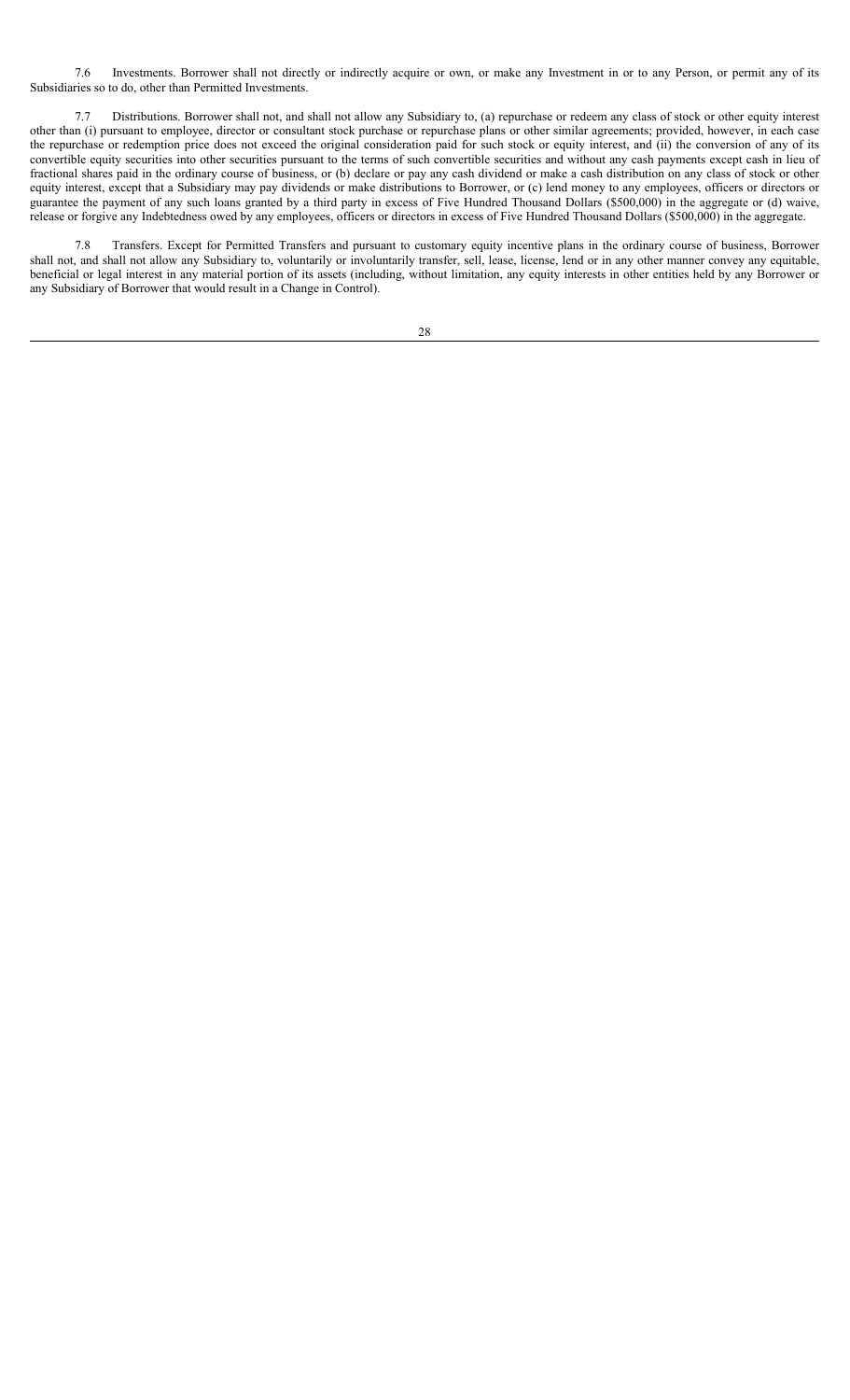7.6 Investments. Borrower shall not directly or indirectly acquire or own, or make any Investment in or to any Person, or permit any of its Subsidiaries so to do, other than Permitted Investments.

7.7 Distributions. Borrower shall not, and shall not allow any Subsidiary to, (a) repurchase or redeem any class of stock or other equity interest other than (i) pursuant to employee, director or consultant stock purchase or repurchase plans or other similar agreements; provided, however, in each case the repurchase or redemption price does not exceed the original consideration paid for such stock or equity interest, and (ii) the conversion of any of its convertible equity securities into other securities pursuant to the terms of such convertible securities and without any cash payments except cash in lieu of fractional shares paid in the ordinary course of business, or (b) declare or pay any cash dividend or make a cash distribution on any class of stock or other equity interest, except that a Subsidiary may pay dividends or make distributions to Borrower, or (c) lend money to any employees, officers or directors or guarantee the payment of any such loans granted by a third party in excess of Five Hundred Thousand Dollars (\$500,000) in the aggregate or (d) waive, release or forgive any Indebtedness owed by any employees, officers or directors in excess of Five Hundred Thousand Dollars (\$500,000) in the aggregate.

7.8 Transfers. Except for Permitted Transfers and pursuant to customary equity incentive plans in the ordinary course of business, Borrower shall not, and shall not allow any Subsidiary to, voluntarily or involuntarily transfer, sell, lease, license, lend or in any other manner convey any equitable, beneficial or legal interest in any material portion of its assets (including, without limitation, any equity interests in other entities held by any Borrower or any Subsidiary of Borrower that would result in a Change in Control).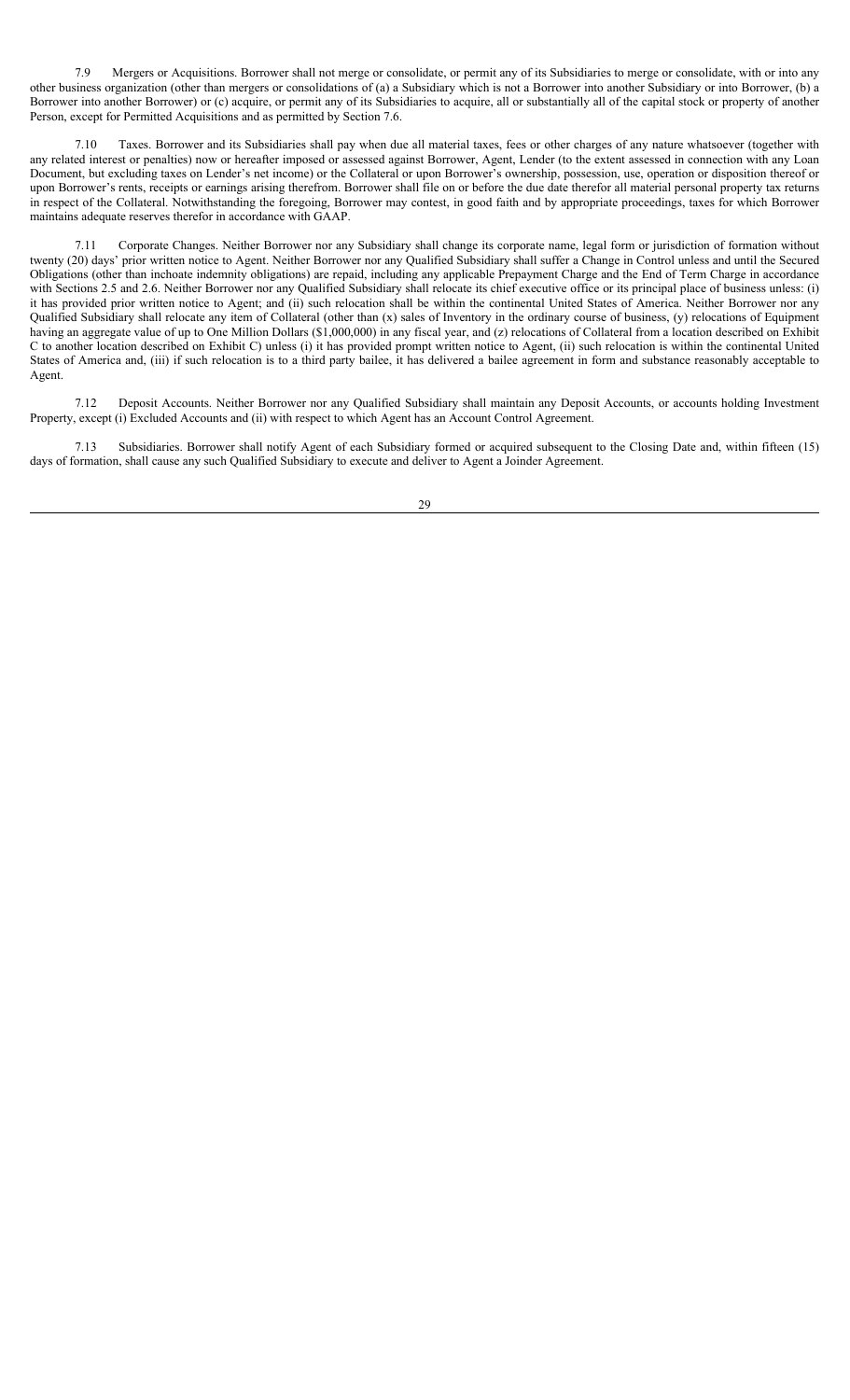7.9 Mergers or Acquisitions. Borrower shall not merge or consolidate, or permit any of its Subsidiaries to merge or consolidate, with or into any other business organization (other than mergers or consolidations of (a) a Subsidiary which is not a Borrower into another Subsidiary or into Borrower, (b) a Borrower into another Borrower) or (c) acquire, or permit any of its Subsidiaries to acquire, all or substantially all of the capital stock or property of another Person, except for Permitted Acquisitions and as permitted by Section 7.6.

Taxes. Borrower and its Subsidiaries shall pay when due all material taxes, fees or other charges of any nature whatsoever (together with any related interest or penalties) now or hereafter imposed or assessed against Borrower, Agent, Lender (to the extent assessed in connection with any Loan Document, but excluding taxes on Lender's net income) or the Collateral or upon Borrower's ownership, possession, use, operation or disposition thereof or upon Borrower's rents, receipts or earnings arising therefrom. Borrower shall file on or before the due date therefor all material personal property tax returns in respect of the Collateral. Notwithstanding the foregoing, Borrower may contest, in good faith and by appropriate proceedings, taxes for which Borrower maintains adequate reserves therefor in accordance with GAAP.

7.11 Corporate Changes. Neither Borrower nor any Subsidiary shall change its corporate name, legal form or jurisdiction of formation without twenty (20) days' prior written notice to Agent. Neither Borrower nor any Qualified Subsidiary shall suffer a Change in Control unless and until the Secured Obligations (other than inchoate indemnity obligations) are repaid, including any applicable Prepayment Charge and the End of Term Charge in accordance with Sections 2.5 and 2.6. Neither Borrower nor any Qualified Subsidiary shall relocate its chief executive office or its principal place of business unless: (i) it has provided prior written notice to Agent; and (ii) such relocation shall be within the continental United States of America. Neither Borrower nor any Qualified Subsidiary shall relocate any item of Collateral (other than (x) sales of Inventory in the ordinary course of business, (y) relocations of Equipment having an aggregate value of up to One Million Dollars (\$1,000,000) in any fiscal year, and (z) relocations of Collateral from a location described on Exhibit C to another location described on Exhibit C) unless (i) it has provided prompt written notice to Agent, (ii) such relocation is within the continental United States of America and, (iii) if such relocation is to a third party bailee, it has delivered a bailee agreement in form and substance reasonably acceptable to Agent.

7.12 Deposit Accounts. Neither Borrower nor any Qualified Subsidiary shall maintain any Deposit Accounts, or accounts holding Investment Property, except (i) Excluded Accounts and (ii) with respect to which Agent has an Account Control Agreement.

7.13 Subsidiaries. Borrower shall notify Agent of each Subsidiary formed or acquired subsequent to the Closing Date and, within fifteen (15) days of formation, shall cause any such Qualified Subsidiary to execute and deliver to Agent a Joinder Agreement.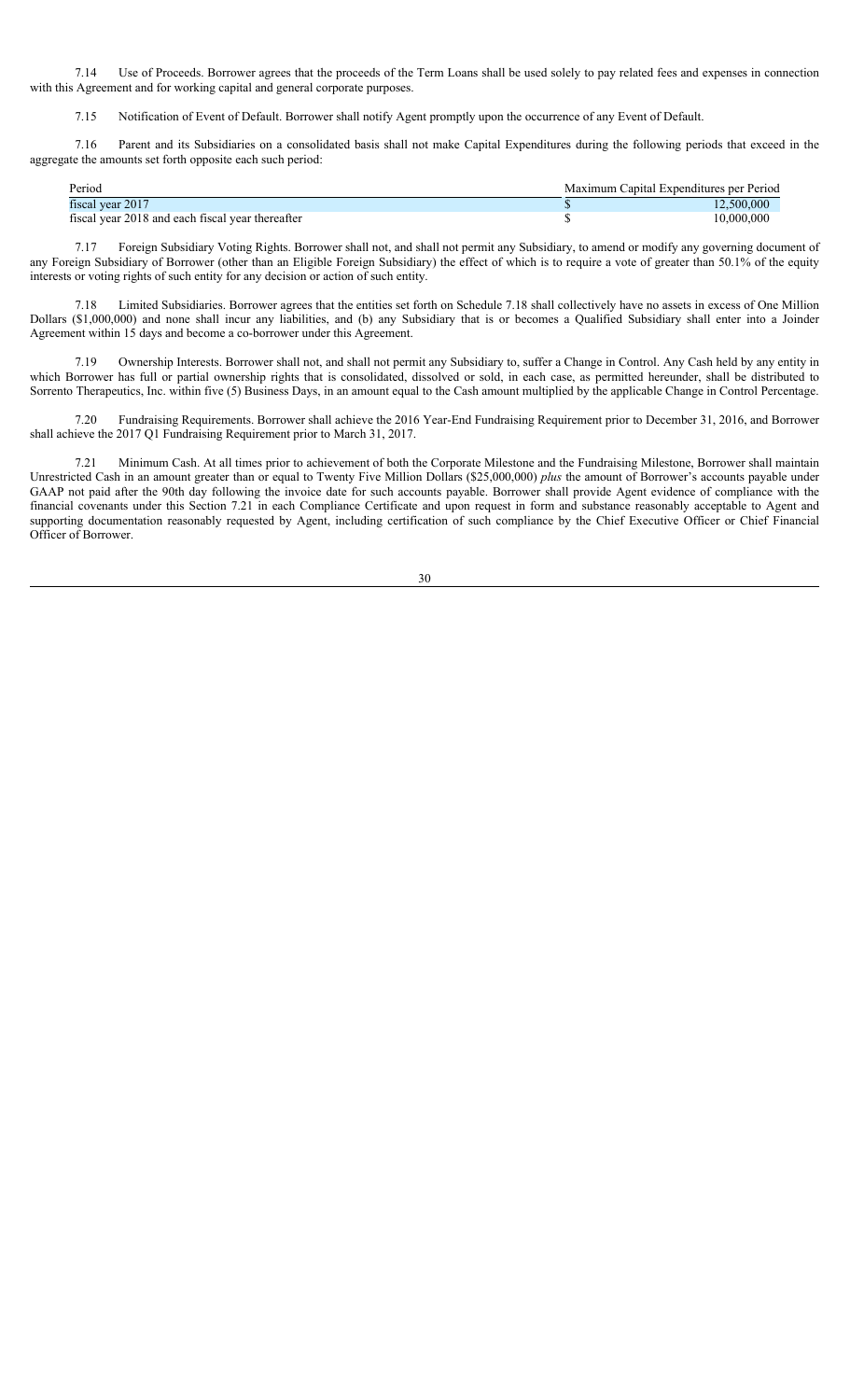7.14 Use of Proceeds. Borrower agrees that the proceeds of the Term Loans shall be used solely to pay related fees and expenses in connection with this Agreement and for working capital and general corporate purposes.

7.15 Notification of Event of Default. Borrower shall notify Agent promptly upon the occurrence of any Event of Default.

7.16 Parent and its Subsidiaries on a consolidated basis shall not make Capital Expenditures during the following periods that exceed in the aggregate the amounts set forth opposite each such period:

| Period                                           | Maximum Capital Expenditures per Period |
|--------------------------------------------------|-----------------------------------------|
| fiscal year 2017                                 | 12.500.000                              |
| fiscal year 2018 and each fiscal year thereafter | 10.000.000                              |

7.17 Foreign Subsidiary Voting Rights. Borrower shall not, and shall not permit any Subsidiary, to amend or modify any governing document of any Foreign Subsidiary of Borrower (other than an Eligible Foreign Subsidiary) the effect of which is to require a vote of greater than 50.1% of the equity interests or voting rights of such entity for any decision or action of such entity.

7.18 Limited Subsidiaries. Borrower agrees that the entities set forth on Schedule 7.18 shall collectively have no assets in excess of One Million Dollars (\$1,000,000) and none shall incur any liabilities, and (b) any Subsidiary that is or becomes a Qualified Subsidiary shall enter into a Joinder Agreement within 15 days and become a co-borrower under this Agreement.

7.19 Ownership Interests. Borrower shall not, and shall not permit any Subsidiary to, suffer a Change in Control. Any Cash held by any entity in which Borrower has full or partial ownership rights that is consolidated, dissolved or sold, in each case, as permitted hereunder, shall be distributed to Sorrento Therapeutics, Inc. within five (5) Business Days, in an amount equal to the Cash amount multiplied by the applicable Change in Control Percentage.

7.20 Fundraising Requirements. Borrower shall achieve the 2016 Year-End Fundraising Requirement prior to December 31, 2016, and Borrower shall achieve the 2017 Q1 Fundraising Requirement prior to March 31, 2017.

7.21 Minimum Cash. At all times prior to achievement of both the Corporate Milestone and the Fundraising Milestone, Borrower shall maintain Unrestricted Cash in an amount greater than or equal to Twenty Five Million Dollars (\$25,000,000) *plus* the amount of Borrower's accounts payable under GAAP not paid after the 90th day following the invoice date for such accounts payable. Borrower shall provide Agent evidence of compliance with the financial covenants under this Section 7.21 in each Compliance Certificate and upon request in form and substance reasonably acceptable to Agent and supporting documentation reasonably requested by Agent, including certification of such compliance by the Chief Executive Officer or Chief Financial Officer of Borrower.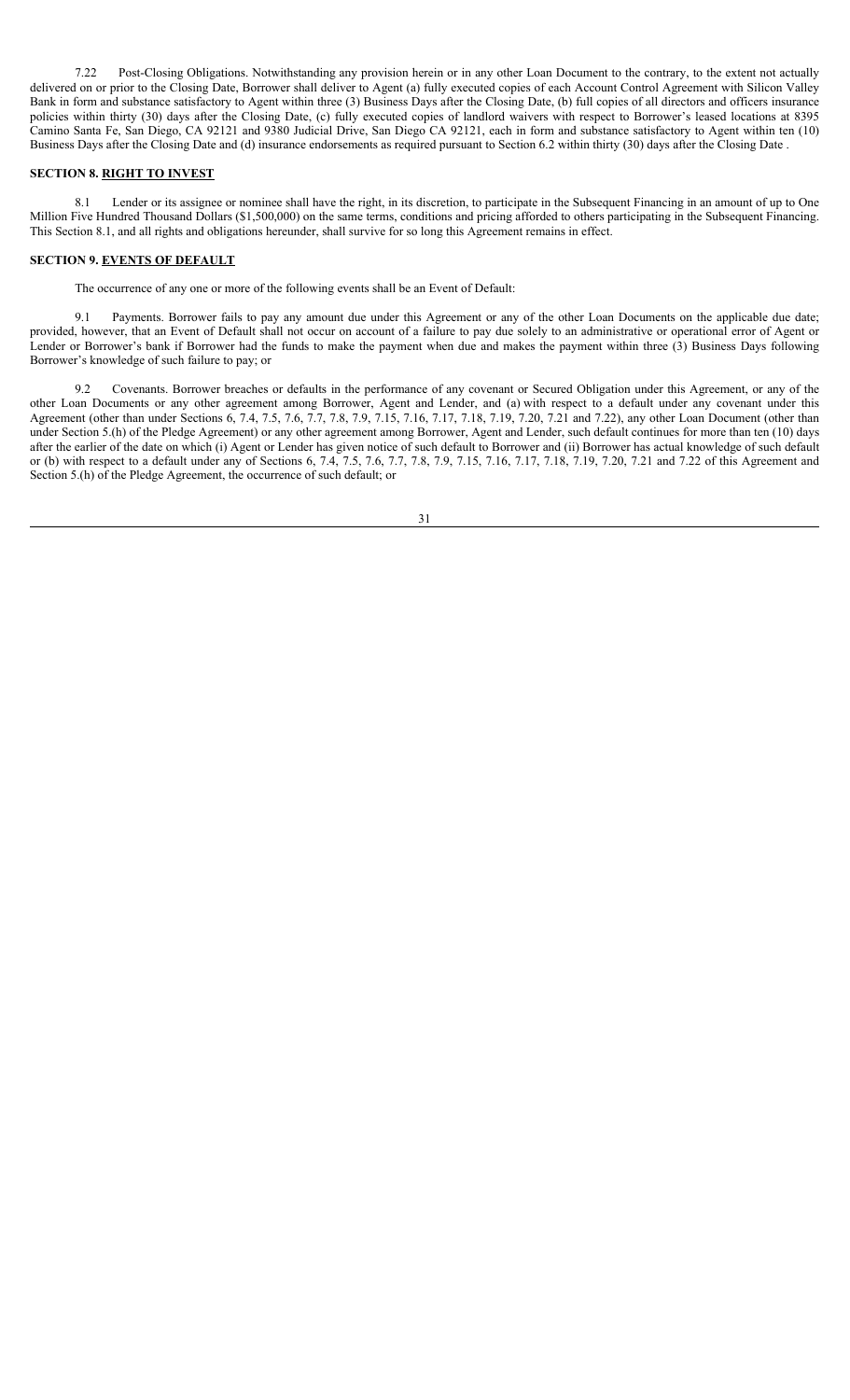7.22 Post-Closing Obligations. Notwithstanding any provision herein or in any other Loan Document to the contrary, to the extent not actually delivered on or prior to the Closing Date, Borrower shall deliver to Agent (a) fully executed copies of each Account Control Agreement with Silicon Valley Bank in form and substance satisfactory to Agent within three (3) Business Days after the Closing Date, (b) full copies of all directors and officers insurance policies within thirty (30) days after the Closing Date, (c) fully executed copies of landlord waivers with respect to Borrower's leased locations at 8395 Camino Santa Fe, San Diego, CA 92121 and 9380 Judicial Drive, San Diego CA 92121, each in form and substance satisfactory to Agent within ten (10) Business Days after the Closing Date and (d) insurance endorsements as required pursuant to Section 6.2 within thirty (30) days after the Closing Date .

### **SECTION 8. RIGHT TO INVEST**

8.1 Lender or its assignee or nominee shall have the right, in its discretion, to participate in the Subsequent Financing in an amount of up to One Million Five Hundred Thousand Dollars (\$1,500,000) on the same terms, conditions and pricing afforded to others participating in the Subsequent Financing. This Section 8.1, and all rights and obligations hereunder, shall survive for so long this Agreement remains in effect.

#### **SECTION 9. EVENTS OF DEFAULT**

The occurrence of any one or more of the following events shall be an Event of Default:

9.1 Payments. Borrower fails to pay any amount due under this Agreement or any of the other Loan Documents on the applicable due date; provided, however, that an Event of Default shall not occur on account of a failure to pay due solely to an administrative or operational error of Agent or Lender or Borrower's bank if Borrower had the funds to make the payment when due and makes the payment within three (3) Business Days following Borrower's knowledge of such failure to pay; or

9.2 Covenants. Borrower breaches or defaults in the performance of any covenant or Secured Obligation under this Agreement, or any of the other Loan Documents or any other agreement among Borrower, Agent and Lender, and (a) with respect to a default under any covenant under this Agreement (other than under Sections 6, 7.4, 7.5, 7.6, 7.7, 7.8, 7.9, 7.15, 7.16, 7.17, 7.18, 7.19, 7.20, 7.21 and 7.22), any other Loan Document (other than under Section 5.(h) of the Pledge Agreement) or any other agreement among Borrower, Agent and Lender, such default continues for more than ten (10) days after the earlier of the date on which (i) Agent or Lender has given notice of such default to Borrower and (ii) Borrower has actual knowledge of such default or (b) with respect to a default under any of Sections 6, 7.4, 7.5, 7.6, 7.7, 7.8, 7.9, 7.15, 7.16, 7.17, 7.18, 7.19, 7.20, 7.21 and 7.22 of this Agreement and Section 5.(h) of the Pledge Agreement, the occurrence of such default; or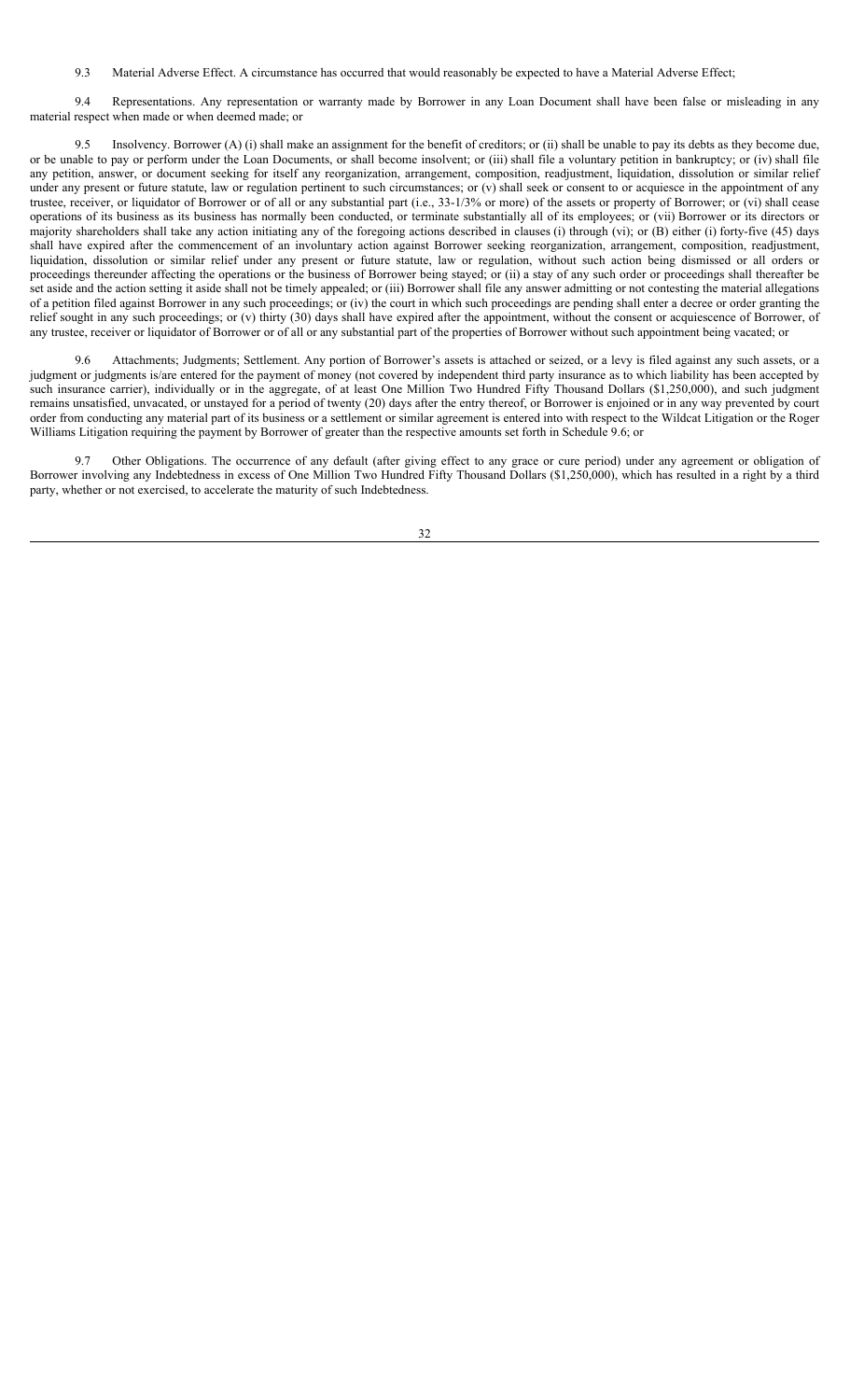9.3 Material Adverse Effect. A circumstance has occurred that would reasonably be expected to have a Material Adverse Effect;

9.4 Representations. Any representation or warranty made by Borrower in any Loan Document shall have been false or misleading in any material respect when made or when deemed made; or

9.5 Insolvency. Borrower (A) (i) shall make an assignment for the benefit of creditors; or (ii) shall be unable to pay its debts as they become due, or be unable to pay or perform under the Loan Documents, or shall become insolvent; or (iii) shall file a voluntary petition in bankruptcy; or (iv) shall file any petition, answer, or document seeking for itself any reorganization, arrangement, composition, readjustment, liquidation, dissolution or similar relief under any present or future statute, law or regulation pertinent to such circumstances; or  $(v)$  shall seek or consent to or acquiesce in the appointment of any trustee, receiver, or liquidator of Borrower or of all or any substantial part (i.e., 33-1/3% or more) of the assets or property of Borrower; or (vi) shall cease operations of its business as its business has normally been conducted, or terminate substantially all of its employees; or (vii) Borrower or its directors or majority shareholders shall take any action initiating any of the foregoing actions described in clauses (i) through (vi); or (B) either (i) forty-five (45) days shall have expired after the commencement of an involuntary action against Borrower seeking reorganization, arrangement, composition, readjustment, liquidation, dissolution or similar relief under any present or future statute, law or regulation, without such action being dismissed or all orders or proceedings thereunder affecting the operations or the business of Borrower being stayed; or (ii) a stay of any such order or proceedings shall thereafter be set aside and the action setting it aside shall not be timely appealed; or (iii) Borrower shall file any answer admitting or not contesting the material allegations of a petition filed against Borrower in any such proceedings; or (iv) the court in which such proceedings are pending shall enter a decree or order granting the relief sought in any such proceedings; or (v) thirty (30) days shall have expired after the appointment, without the consent or acquiescence of Borrower, of any trustee, receiver or liquidator of Borrower or of all or any substantial part of the properties of Borrower without such appointment being vacated; or

9.6 Attachments; Judgments; Settlement. Any portion of Borrower's assets is attached or seized, or a levy is filed against any such assets, or a judgment or judgments is/are entered for the payment of money (not covered by independent third party insurance as to which liability has been accepted by such insurance carrier), individually or in the aggregate, of at least One Million Two Hundred Fifty Thousand Dollars (\$1,250,000), and such judgment remains unsatisfied, unvacated, or unstayed for a period of twenty (20) days after the entry thereof, or Borrower is enjoined or in any way prevented by court order from conducting any material part of its business or a settlement or similar agreement is entered into with respect to the Wildcat Litigation or the Roger Williams Litigation requiring the payment by Borrower of greater than the respective amounts set forth in Schedule 9.6; or

9.7 Other Obligations. The occurrence of any default (after giving effect to any grace or cure period) under any agreement or obligation of Borrower involving any Indebtedness in excess of One Million Two Hundred Fifty Thousand Dollars (\$1,250,000), which has resulted in a right by a third party, whether or not exercised, to accelerate the maturity of such Indebtedness.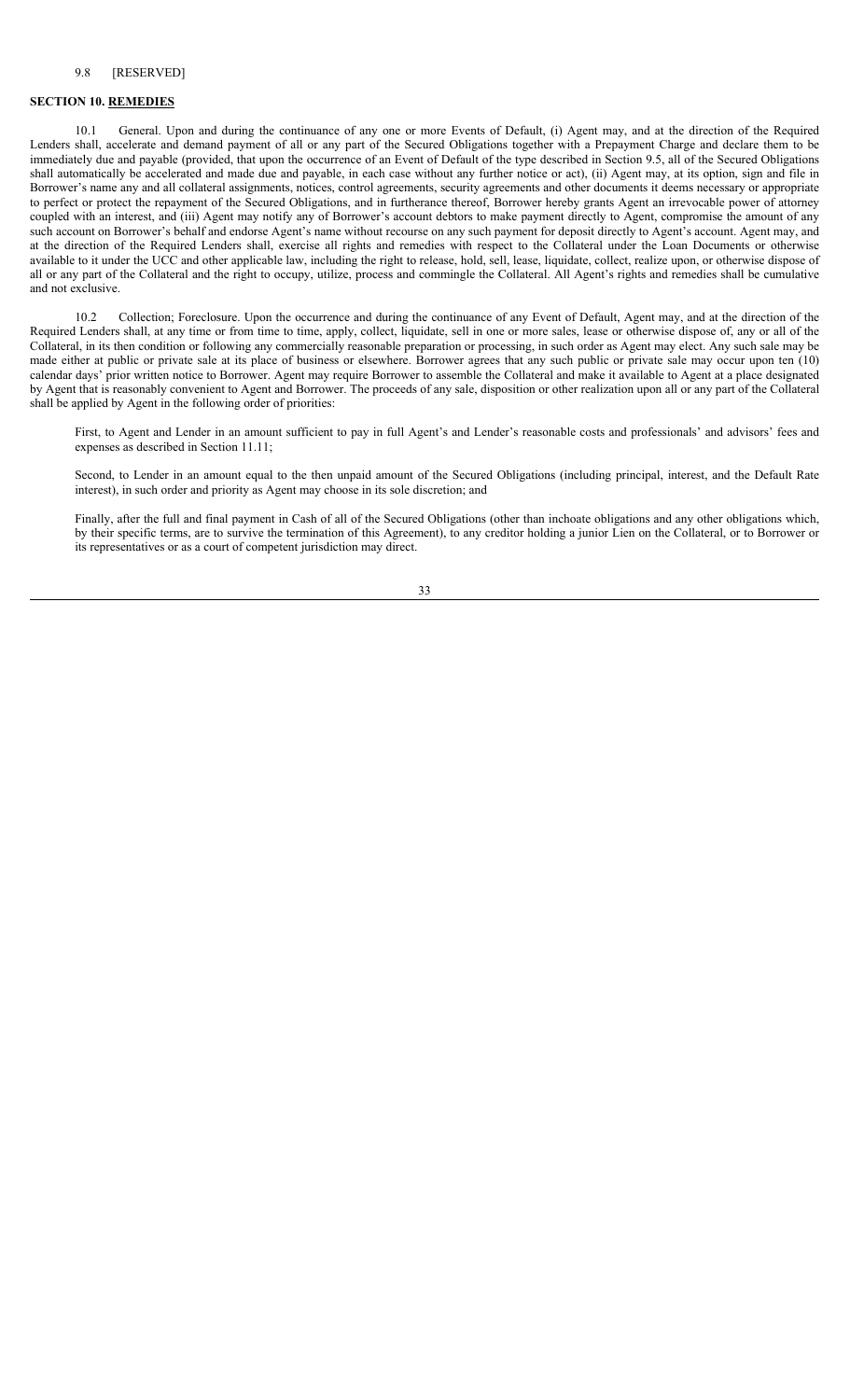# **SECTION 10. REMEDIES**

10.1 General. Upon and during the continuance of any one or more Events of Default, (i) Agent may, and at the direction of the Required Lenders shall, accelerate and demand payment of all or any part of the Secured Obligations together with a Prepayment Charge and declare them to be immediately due and payable (provided, that upon the occurrence of an Event of Default of the type described in Section 9.5, all of the Secured Obligations shall automatically be accelerated and made due and payable, in each case without any further notice or act), (ii) Agent may, at its option, sign and file in Borrower's name any and all collateral assignments, notices, control agreements, security agreements and other documents it deems necessary or appropriate to perfect or protect the repayment of the Secured Obligations, and in furtherance thereof, Borrower hereby grants Agent an irrevocable power of attorney coupled with an interest, and (iii) Agent may notify any of Borrower's account debtors to make payment directly to Agent, compromise the amount of any such account on Borrower's behalf and endorse Agent's name without recourse on any such payment for deposit directly to Agent's account. Agent may, and at the direction of the Required Lenders shall, exercise all rights and remedies with respect to the Collateral under the Loan Documents or otherwise available to it under the UCC and other applicable law, including the right to release, hold, sell, lease, liquidate, collect, realize upon, or otherwise dispose of all or any part of the Collateral and the right to occupy, utilize, process and commingle the Collateral. All Agent's rights and remedies shall be cumulative and not exclusive.

10.2 Collection; Foreclosure. Upon the occurrence and during the continuance of any Event of Default, Agent may, and at the direction of the Required Lenders shall, at any time or from time to time, apply, collect, liquidate, sell in one or more sales, lease or otherwise dispose of, any or all of the Collateral, in its then condition or following any commercially reasonable preparation or processing, in such order as Agent may elect. Any such sale may be made either at public or private sale at its place of business or elsewhere. Borrower agrees that any such public or private sale may occur upon ten (10) calendar days' prior written notice to Borrower. Agent may require Borrower to assemble the Collateral and make it available to Agent at a place designated by Agent that is reasonably convenient to Agent and Borrower. The proceeds of any sale, disposition or other realization upon all or any part of the Collateral shall be applied by Agent in the following order of priorities:

First, to Agent and Lender in an amount sufficient to pay in full Agent's and Lender's reasonable costs and professionals' and advisors' fees and expenses as described in Section 11.11;

Second, to Lender in an amount equal to the then unpaid amount of the Secured Obligations (including principal, interest, and the Default Rate interest), in such order and priority as Agent may choose in its sole discretion; and

Finally, after the full and final payment in Cash of all of the Secured Obligations (other than inchoate obligations and any other obligations which, by their specific terms, are to survive the termination of this Agreement), to any creditor holding a junior Lien on the Collateral, or to Borrower or its representatives or as a court of competent jurisdiction may direct.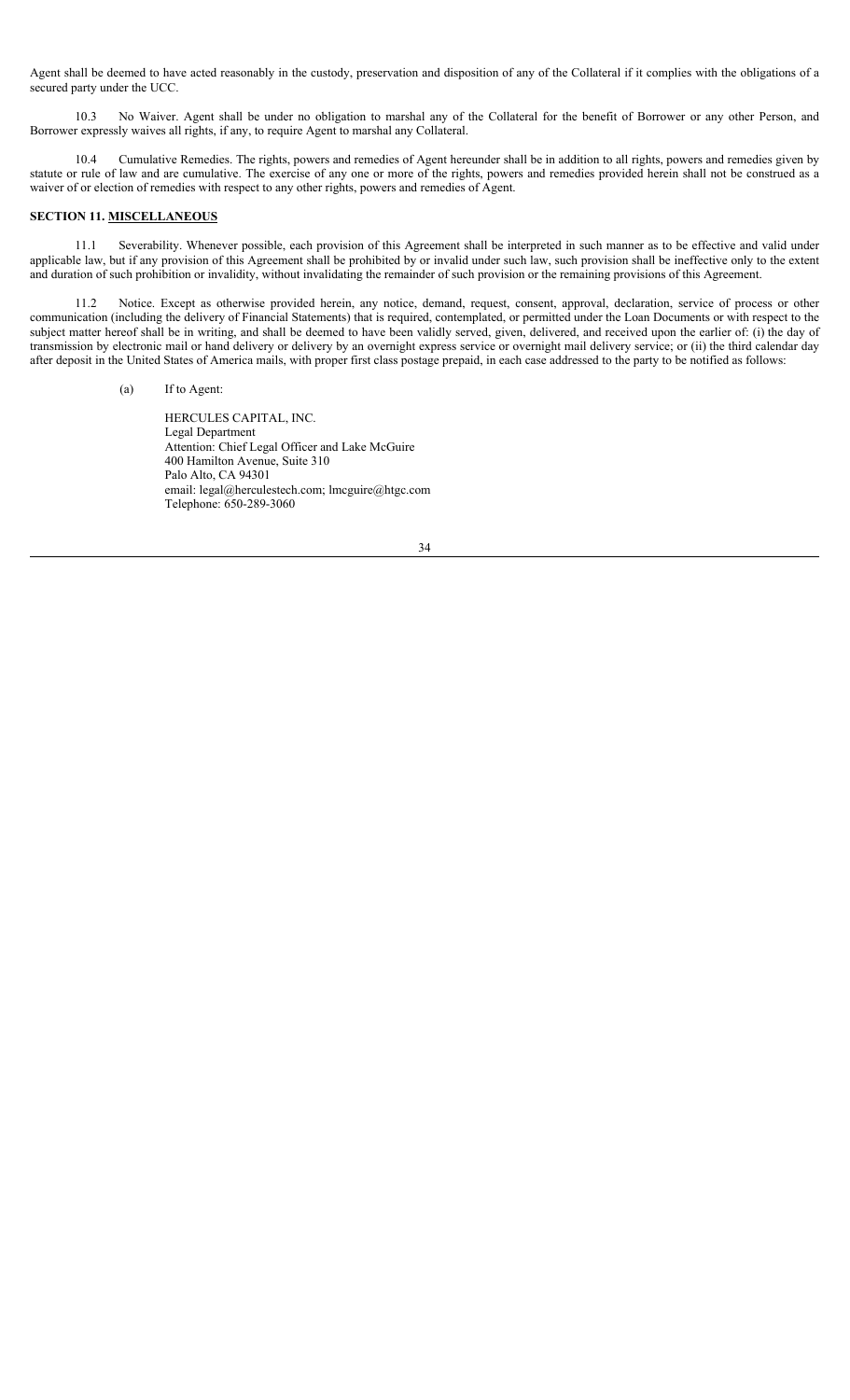Agent shall be deemed to have acted reasonably in the custody, preservation and disposition of any of the Collateral if it complies with the obligations of a secured party under the UCC.

10.3 No Waiver. Agent shall be under no obligation to marshal any of the Collateral for the benefit of Borrower or any other Person, and Borrower expressly waives all rights, if any, to require Agent to marshal any Collateral.

10.4 Cumulative Remedies. The rights, powers and remedies of Agent hereunder shall be in addition to all rights, powers and remedies given by statute or rule of law and are cumulative. The exercise of any one or more of the rights, powers and remedies provided herein shall not be construed as a waiver of or election of remedies with respect to any other rights, powers and remedies of Agent.

### **SECTION 11. MISCELLANEOUS**

11.1 Severability. Whenever possible, each provision of this Agreement shall be interpreted in such manner as to be effective and valid under applicable law, but if any provision of this Agreement shall be prohibited by or invalid under such law, such provision shall be ineffective only to the extent and duration of such prohibition or invalidity, without invalidating the remainder of such provision or the remaining provisions of this Agreement.

11.2 Notice. Except as otherwise provided herein, any notice, demand, request, consent, approval, declaration, service of process or other communication (including the delivery of Financial Statements) that is required, contemplated, or permitted under the Loan Documents or with respect to the subject matter hereof shall be in writing, and shall be deemed to have been validly served, given, delivered, and received upon the earlier of: (i) the day of transmission by electronic mail or hand delivery or delivery by an overnight express service or overnight mail delivery service; or (ii) the third calendar day after deposit in the United States of America mails, with proper first class postage prepaid, in each case addressed to the party to be notified as follows:

#### (a) If to Agent:

HERCULES CAPITAL, INC. Legal Department Attention: Chief Legal Officer and Lake McGuire 400 Hamilton Avenue, Suite 310 Palo Alto, CA 94301 email: legal@herculestech.com; lmcguire@htgc.com Telephone: 650-289-3060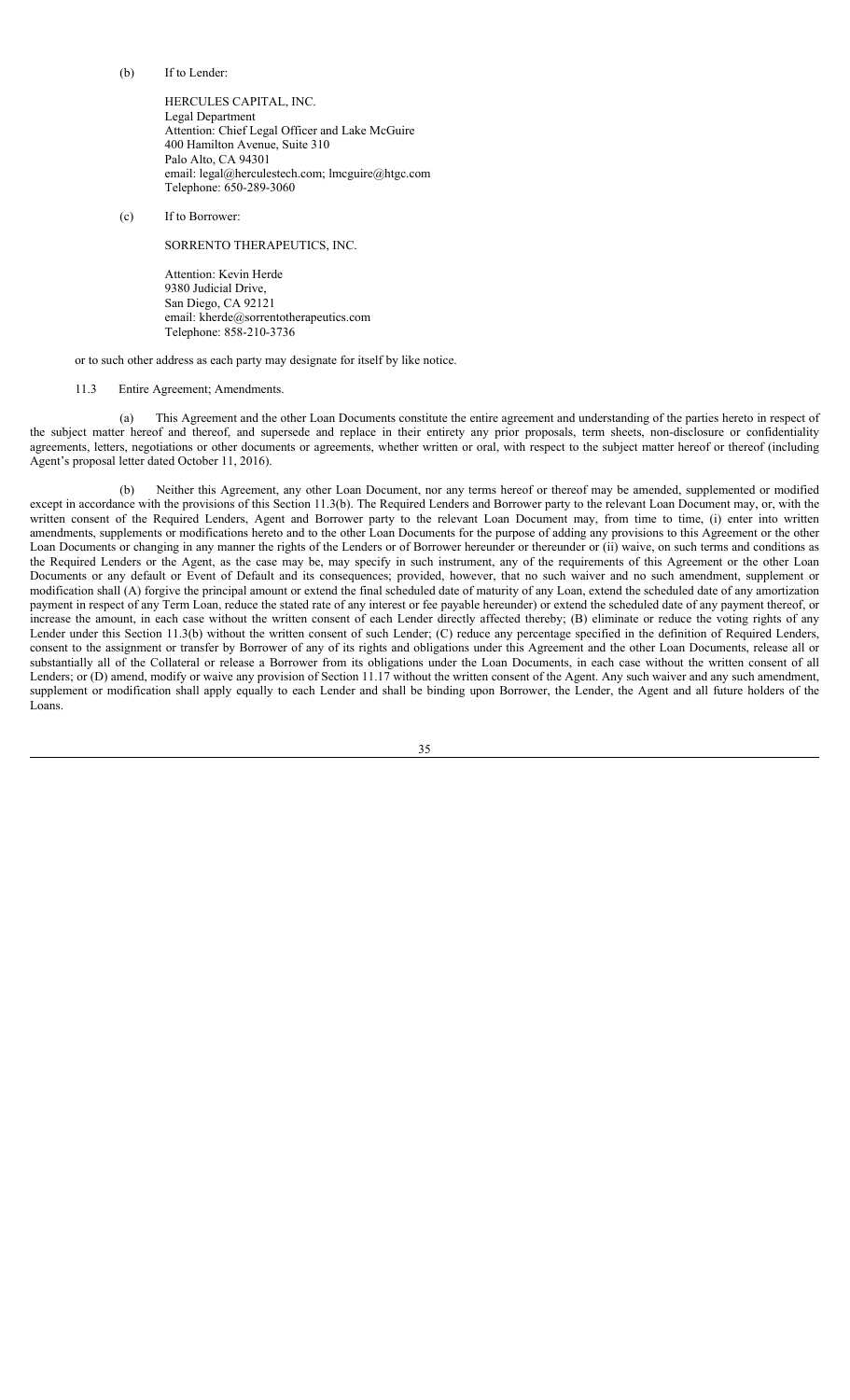(b) If to Lender:

HERCULES CAPITAL, INC. Legal Department Attention: Chief Legal Officer and Lake McGuire 400 Hamilton Avenue, Suite 310 Palo Alto, CA 94301 email: legal@herculestech.com; lmcguire@htgc.com Telephone: 650-289-3060

(c) If to Borrower:

SORRENTO THERAPEUTICS, INC.

Attention: Kevin Herde 9380 Judicial Drive, San Diego, CA 92121 email: kherde@sorrentotherapeutics.com Telephone: 858-210-3736

or to such other address as each party may designate for itself by like notice.

#### 11.3 Entire Agreement; Amendments.

(a) This Agreement and the other Loan Documents constitute the entire agreement and understanding of the parties hereto in respect of the subject matter hereof and thereof, and supersede and replace in their entirety any prior proposals, term sheets, non-disclosure or confidentiality agreements, letters, negotiations or other documents or agreements, whether written or oral, with respect to the subject matter hereof or thereof (including Agent's proposal letter dated October 11, 2016).

Neither this Agreement, any other Loan Document, nor any terms hereof or thereof may be amended, supplemented or modified except in accordance with the provisions of this Section 11.3(b). The Required Lenders and Borrower party to the relevant Loan Document may, or, with the written consent of the Required Lenders, Agent and Borrower party to the relevant Loan Document may, from time to time, (i) enter into written amendments, supplements or modifications hereto and to the other Loan Documents for the purpose of adding any provisions to this Agreement or the other Loan Documents or changing in any manner the rights of the Lenders or of Borrower hereunder or thereunder or (ii) waive, on such terms and conditions as the Required Lenders or the Agent, as the case may be, may specify in such instrument, any of the requirements of this Agreement or the other Loan Documents or any default or Event of Default and its consequences; provided, however, that no such waiver and no such amendment, supplement or modification shall (A) forgive the principal amount or extend the final scheduled date of maturity of any Loan, extend the scheduled date of any amortization payment in respect of any Term Loan, reduce the stated rate of any interest or fee payable hereunder) or extend the scheduled date of any payment thereof, or increase the amount, in each case without the written consent of each Lender directly affected thereby; (B) eliminate or reduce the voting rights of any Lender under this Section 11.3(b) without the written consent of such Lender; (C) reduce any percentage specified in the definition of Required Lenders, consent to the assignment or transfer by Borrower of any of its rights and obligations under this Agreement and the other Loan Documents, release all or substantially all of the Collateral or release a Borrower from its obligations under the Loan Documents, in each case without the written consent of all Lenders; or (D) amend, modify or waive any provision of Section 11.17 without the written consent of the Agent. Any such waiver and any such amendment, supplement or modification shall apply equally to each Lender and shall be binding upon Borrower, the Lender, the Agent and all future holders of the Loans.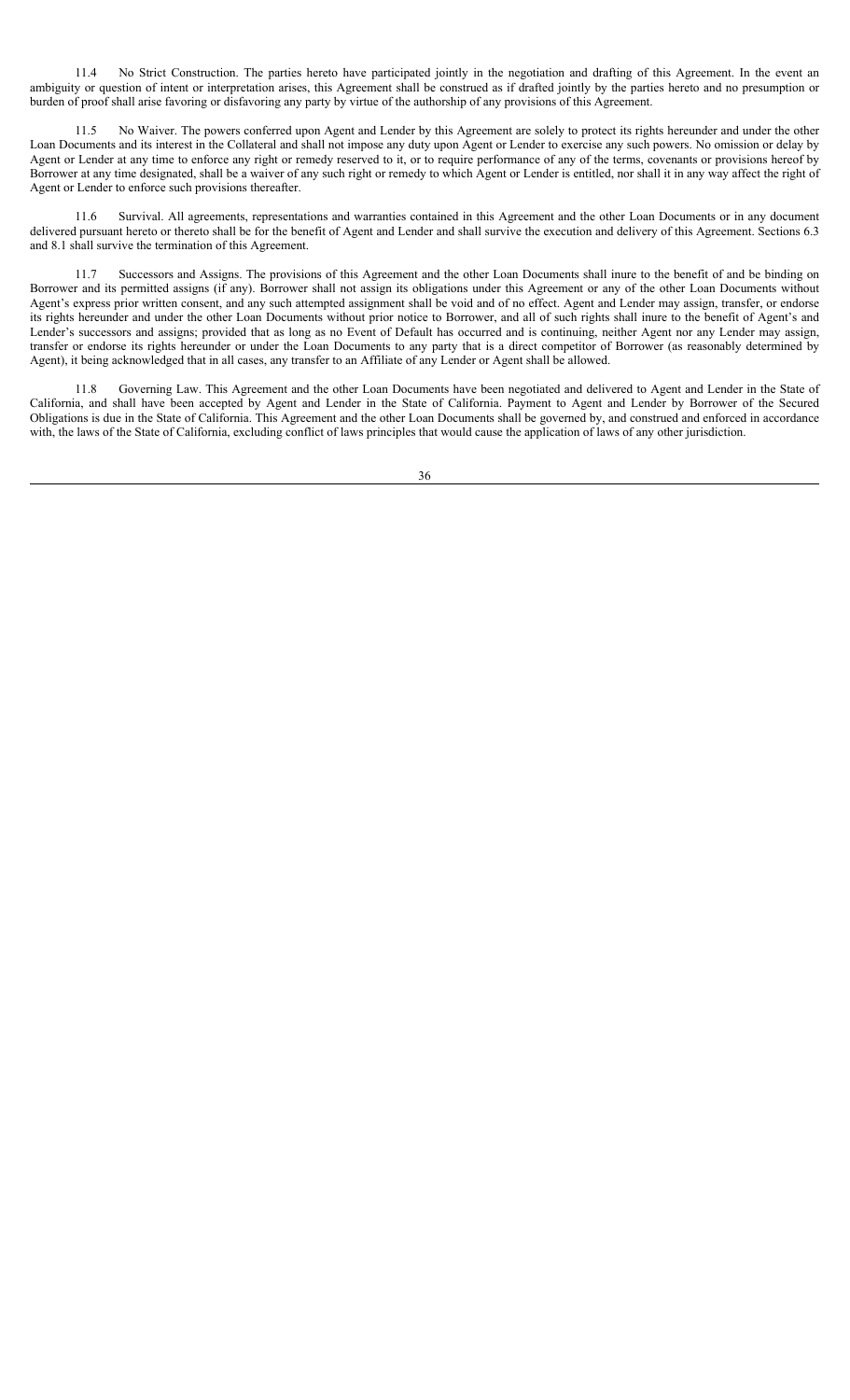11.4 No Strict Construction. The parties hereto have participated jointly in the negotiation and drafting of this Agreement. In the event an ambiguity or question of intent or interpretation arises, this Agreement shall be construed as if drafted jointly by the parties hereto and no presumption or burden of proof shall arise favoring or disfavoring any party by virtue of the authorship of any provisions of this Agreement.

No Waiver. The powers conferred upon Agent and Lender by this Agreement are solely to protect its rights hereunder and under the other Loan Documents and its interest in the Collateral and shall not impose any duty upon Agent or Lender to exercise any such powers. No omission or delay by Agent or Lender at any time to enforce any right or remedy reserved to it, or to require performance of any of the terms, covenants or provisions hereof by Borrower at any time designated, shall be a waiver of any such right or remedy to which Agent or Lender is entitled, nor shall it in any way affect the right of Agent or Lender to enforce such provisions thereafter.

11.6 Survival. All agreements, representations and warranties contained in this Agreement and the other Loan Documents or in any document delivered pursuant hereto or thereto shall be for the benefit of Agent and Lender and shall survive the execution and delivery of this Agreement. Sections 6.3 and 8.1 shall survive the termination of this Agreement.

11.7 Successors and Assigns. The provisions of this Agreement and the other Loan Documents shall inure to the benefit of and be binding on Borrower and its permitted assigns (if any). Borrower shall not assign its obligations under this Agreement or any of the other Loan Documents without Agent's express prior written consent, and any such attempted assignment shall be void and of no effect. Agent and Lender may assign, transfer, or endorse its rights hereunder and under the other Loan Documents without prior notice to Borrower, and all of such rights shall inure to the benefit of Agent's and Lender's successors and assigns; provided that as long as no Event of Default has occurred and is continuing, neither Agent nor any Lender may assign, transfer or endorse its rights hereunder or under the Loan Documents to any party that is a direct competitor of Borrower (as reasonably determined by Agent), it being acknowledged that in all cases, any transfer to an Affiliate of any Lender or Agent shall be allowed.

11.8 Governing Law. This Agreement and the other Loan Documents have been negotiated and delivered to Agent and Lender in the State of California, and shall have been accepted by Agent and Lender in the State of California. Payment to Agent and Lender by Borrower of the Secured Obligations is due in the State of California. This Agreement and the other Loan Documents shall be governed by, and construed and enforced in accordance with, the laws of the State of California, excluding conflict of laws principles that would cause the application of laws of any other jurisdiction.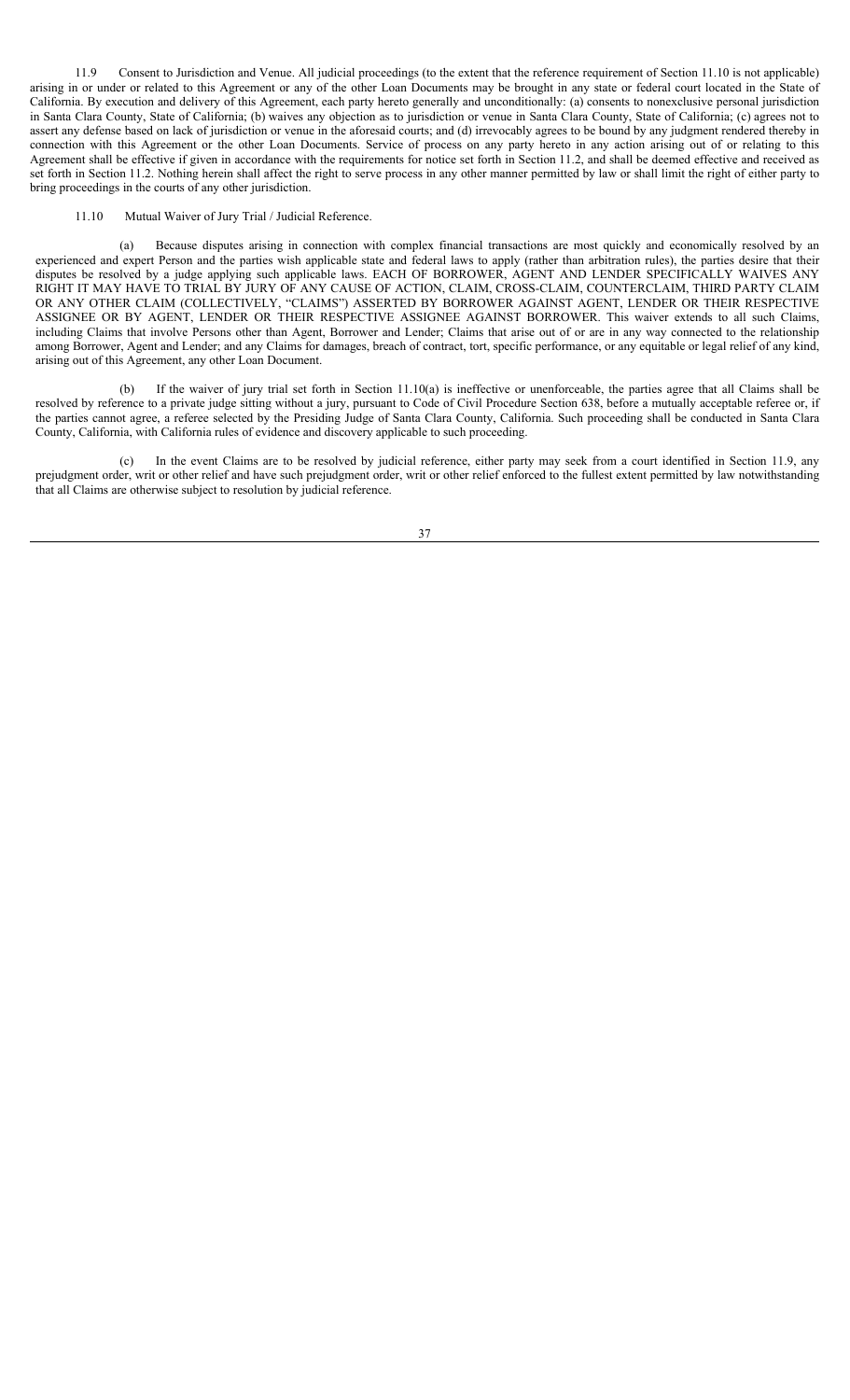11.9 Consent to Jurisdiction and Venue. All judicial proceedings (to the extent that the reference requirement of Section 11.10 is not applicable) arising in or under or related to this Agreement or any of the other Loan Documents may be brought in any state or federal court located in the State of California. By execution and delivery of this Agreement, each party hereto generally and unconditionally: (a) consents to nonexclusive personal jurisdiction in Santa Clara County, State of California; (b) waives any objection as to jurisdiction or venue in Santa Clara County, State of California; (c) agrees not to assert any defense based on lack of jurisdiction or venue in the aforesaid courts; and (d) irrevocably agrees to be bound by any judgment rendered thereby in connection with this Agreement or the other Loan Documents. Service of process on any party hereto in any action arising out of or relating to this Agreement shall be effective if given in accordance with the requirements for notice set forth in Section 11.2, and shall be deemed effective and received as set forth in Section 11.2. Nothing herein shall affect the right to serve process in any other manner permitted by law or shall limit the right of either party to bring proceedings in the courts of any other jurisdiction.

#### 11.10 Mutual Waiver of Jury Trial / Judicial Reference.

(a) Because disputes arising in connection with complex financial transactions are most quickly and economically resolved by an experienced and expert Person and the parties wish applicable state and federal laws to apply (rather than arbitration rules), the parties desire that their disputes be resolved by a judge applying such applicable laws. EACH OF BORROWER, AGENT AND LENDER SPECIFICALLY WAIVES ANY RIGHT IT MAY HAVE TO TRIAL BY JURY OF ANY CAUSE OF ACTION, CLAIM, CROSS-CLAIM, COUNTERCLAIM, THIRD PARTY CLAIM OR ANY OTHER CLAIM (COLLECTIVELY, "CLAIMS") ASSERTED BY BORROWER AGAINST AGENT, LENDER OR THEIR RESPECTIVE ASSIGNEE OR BY AGENT, LENDER OR THEIR RESPECTIVE ASSIGNEE AGAINST BORROWER. This waiver extends to all such Claims, including Claims that involve Persons other than Agent, Borrower and Lender; Claims that arise out of or are in any way connected to the relationship among Borrower, Agent and Lender; and any Claims for damages, breach of contract, tort, specific performance, or any equitable or legal relief of any kind, arising out of this Agreement, any other Loan Document.

(b) If the waiver of jury trial set forth in Section 11.10(a) is ineffective or unenforceable, the parties agree that all Claims shall be resolved by reference to a private judge sitting without a jury, pursuant to Code of Civil Procedure Section 638, before a mutually acceptable referee or, if the parties cannot agree, a referee selected by the Presiding Judge of Santa Clara County, California. Such proceeding shall be conducted in Santa Clara County, California, with California rules of evidence and discovery applicable to such proceeding.

(c) In the event Claims are to be resolved by judicial reference, either party may seek from a court identified in Section 11.9, any prejudgment order, writ or other relief and have such prejudgment order, writ or other relief enforced to the fullest extent permitted by law notwithstanding that all Claims are otherwise subject to resolution by judicial reference.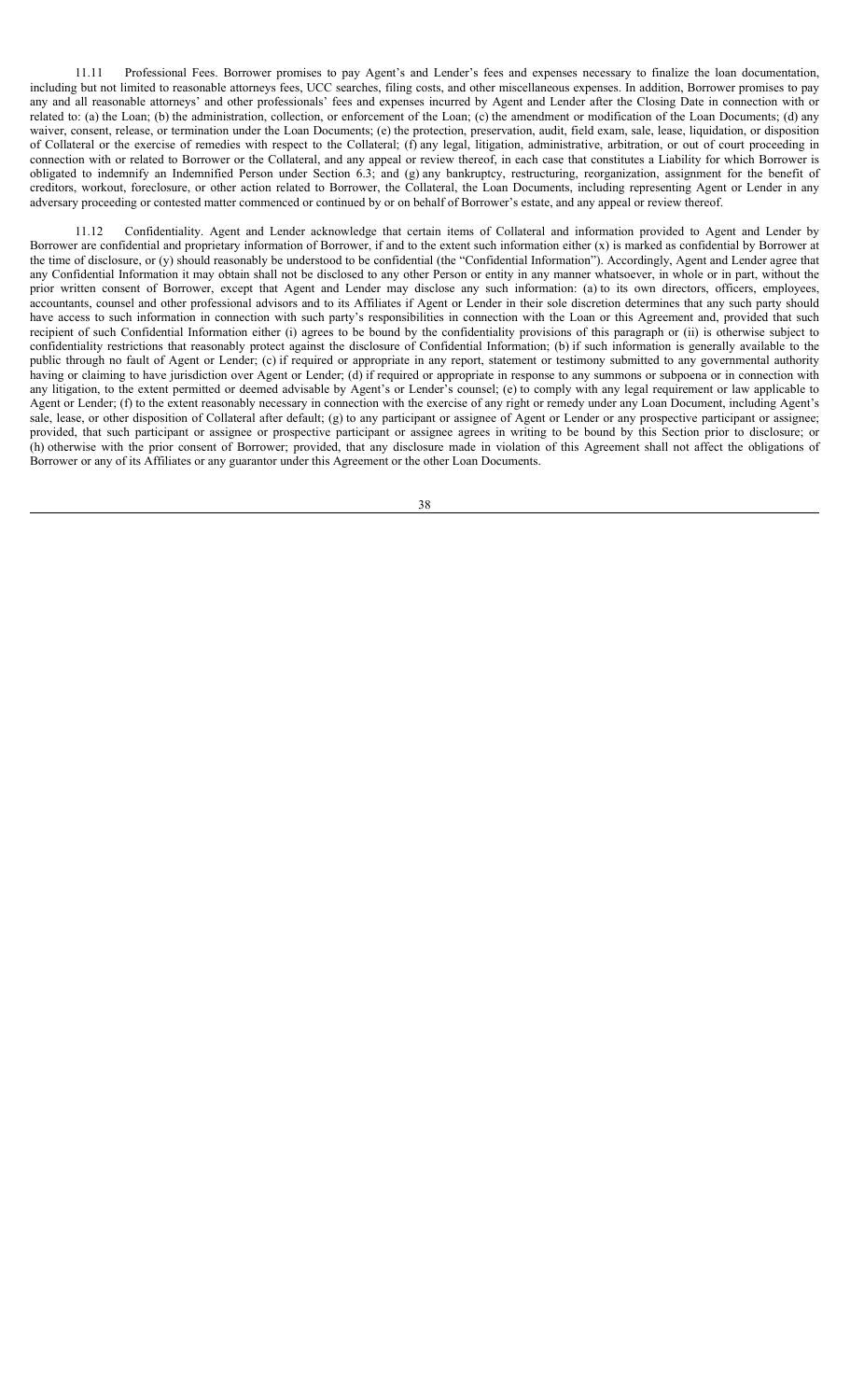11.11 Professional Fees. Borrower promises to pay Agent's and Lender's fees and expenses necessary to finalize the loan documentation, including but not limited to reasonable attorneys fees, UCC searches, filing costs, and other miscellaneous expenses. In addition, Borrower promises to pay any and all reasonable attorneys' and other professionals' fees and expenses incurred by Agent and Lender after the Closing Date in connection with or related to: (a) the Loan; (b) the administration, collection, or enforcement of the Loan; (c) the amendment or modification of the Loan Documents; (d) any waiver, consent, release, or termination under the Loan Documents; (e) the protection, preservation, audit, field exam, sale, lease, liquidation, or disposition of Collateral or the exercise of remedies with respect to the Collateral; (f) any legal, litigation, administrative, arbitration, or out of court proceeding in connection with or related to Borrower or the Collateral, and any appeal or review thereof, in each case that constitutes a Liability for which Borrower is obligated to indemnify an Indemnified Person under Section 6.3; and (g) any bankruptcy, restructuring, reorganization, assignment for the benefit of creditors, workout, foreclosure, or other action related to Borrower, the Collateral, the Loan Documents, including representing Agent or Lender in any adversary proceeding or contested matter commenced or continued by or on behalf of Borrower's estate, and any appeal or review thereof.

11.12 Confidentiality. Agent and Lender acknowledge that certain items of Collateral and information provided to Agent and Lender by Borrower are confidential and proprietary information of Borrower, if and to the extent such information either (x) is marked as confidential by Borrower at the time of disclosure, or (y) should reasonably be understood to be confidential (the "Confidential Information"). Accordingly, Agent and Lender agree that any Confidential Information it may obtain shall not be disclosed to any other Person or entity in any manner whatsoever, in whole or in part, without the prior written consent of Borrower, except that Agent and Lender may disclose any such information: (a) to its own directors, officers, employees, accountants, counsel and other professional advisors and to its Affiliates if Agent or Lender in their sole discretion determines that any such party should have access to such information in connection with such party's responsibilities in connection with the Loan or this Agreement and, provided that such recipient of such Confidential Information either (i) agrees to be bound by the confidentiality provisions of this paragraph or (ii) is otherwise subject to confidentiality restrictions that reasonably protect against the disclosure of Confidential Information; (b) if such information is generally available to the public through no fault of Agent or Lender; (c) if required or appropriate in any report, statement or testimony submitted to any governmental authority having or claiming to have jurisdiction over Agent or Lender; (d) if required or appropriate in response to any summons or subpoena or in connection with any litigation, to the extent permitted or deemed advisable by Agent's or Lender's counsel; (e) to comply with any legal requirement or law applicable to Agent or Lender; (f) to the extent reasonably necessary in connection with the exercise of any right or remedy under any Loan Document, including Agent's sale, lease, or other disposition of Collateral after default; (g) to any participant or assignee of Agent or Lender or any prospective participant or assignee; provided, that such participant or assignee or prospective participant or assignee agrees in writing to be bound by this Section prior to disclosure; or (h) otherwise with the prior consent of Borrower; provided, that any disclosure made in violation of this Agreement shall not affect the obligations of Borrower or any of its Affiliates or any guarantor under this Agreement or the other Loan Documents.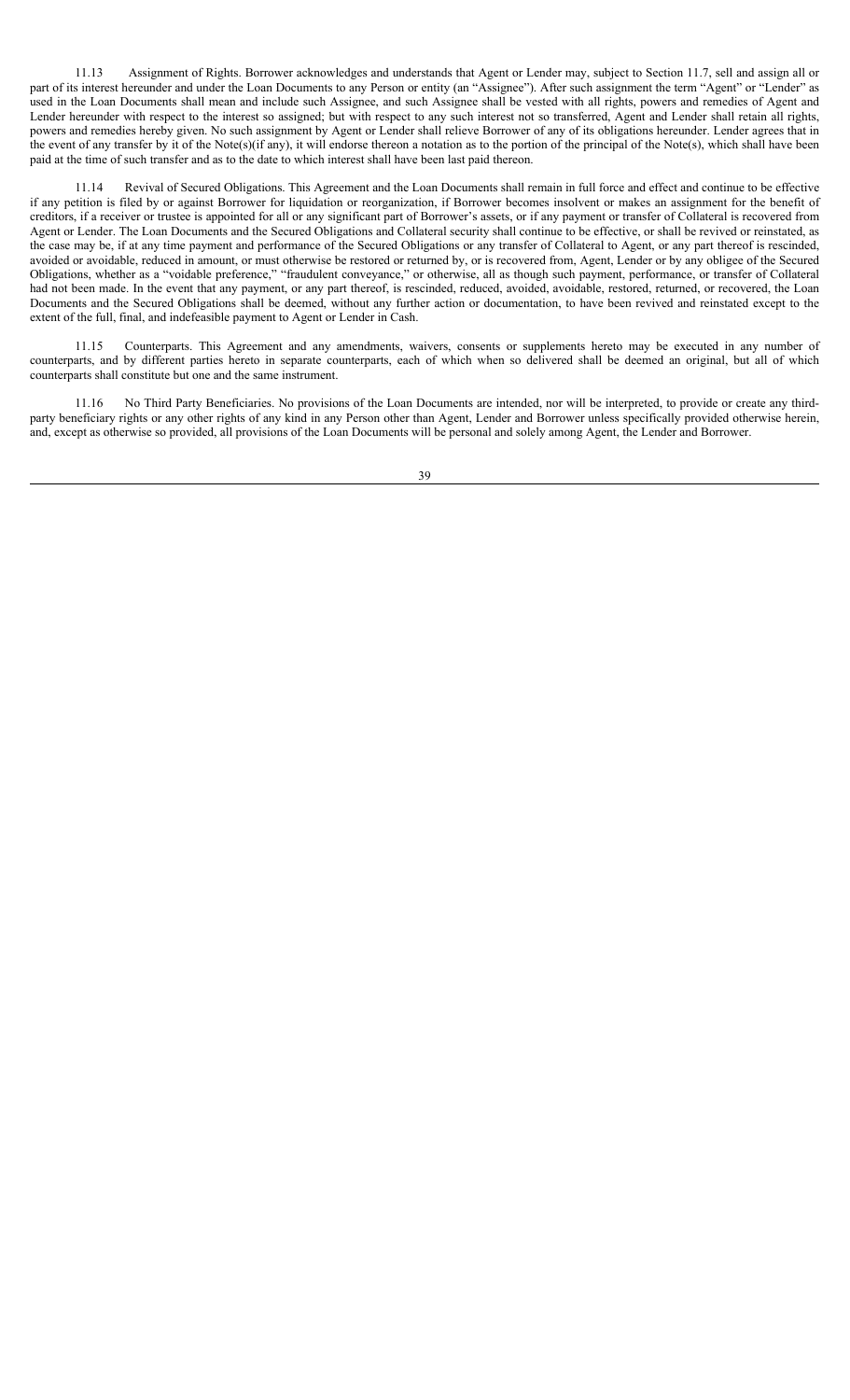11.13 Assignment of Rights. Borrower acknowledges and understands that Agent or Lender may, subject to Section 11.7, sell and assign all or part of its interest hereunder and under the Loan Documents to any Person or entity (an "Assignee"). After such assignment the term "Agent" or "Lender" as used in the Loan Documents shall mean and include such Assignee, and such Assignee shall be vested with all rights, powers and remedies of Agent and Lender hereunder with respect to the interest so assigned; but with respect to any such interest not so transferred, Agent and Lender shall retain all rights, powers and remedies hereby given. No such assignment by Agent or Lender shall relieve Borrower of any of its obligations hereunder. Lender agrees that in the event of any transfer by it of the Note(s)(if any), it will endorse thereon a notation as to the portion of the principal of the Note(s), which shall have been paid at the time of such transfer and as to the date to which interest shall have been last paid thereon.

11.14 Revival of Secured Obligations. This Agreement and the Loan Documents shall remain in full force and effect and continue to be effective if any petition is filed by or against Borrower for liquidation or reorganization, if Borrower becomes insolvent or makes an assignment for the benefit of creditors, if a receiver or trustee is appointed for all or any significant part of Borrower's assets, or if any payment or transfer of Collateral is recovered from Agent or Lender. The Loan Documents and the Secured Obligations and Collateral security shall continue to be effective, or shall be revived or reinstated, as the case may be, if at any time payment and performance of the Secured Obligations or any transfer of Collateral to Agent, or any part thereof is rescinded, avoided or avoidable, reduced in amount, or must otherwise be restored or returned by, or is recovered from, Agent, Lender or by any obligee of the Secured Obligations, whether as a "voidable preference," "fraudulent conveyance," or otherwise, all as though such payment, performance, or transfer of Collateral had not been made. In the event that any payment, or any part thereof, is rescinded, reduced, avoided, avoidable, restored, returned, or recovered, the Loan Documents and the Secured Obligations shall be deemed, without any further action or documentation, to have been revived and reinstated except to the extent of the full, final, and indefeasible payment to Agent or Lender in Cash.

11.15 Counterparts. This Agreement and any amendments, waivers, consents or supplements hereto may be executed in any number of counterparts, and by different parties hereto in separate counterparts, each of which when so delivered shall be deemed an original, but all of which counterparts shall constitute but one and the same instrument.

11.16 No Third Party Beneficiaries. No provisions of the Loan Documents are intended, nor will be interpreted, to provide or create any thirdparty beneficiary rights or any other rights of any kind in any Person other than Agent, Lender and Borrower unless specifically provided otherwise herein, and, except as otherwise so provided, all provisions of the Loan Documents will be personal and solely among Agent, the Lender and Borrower.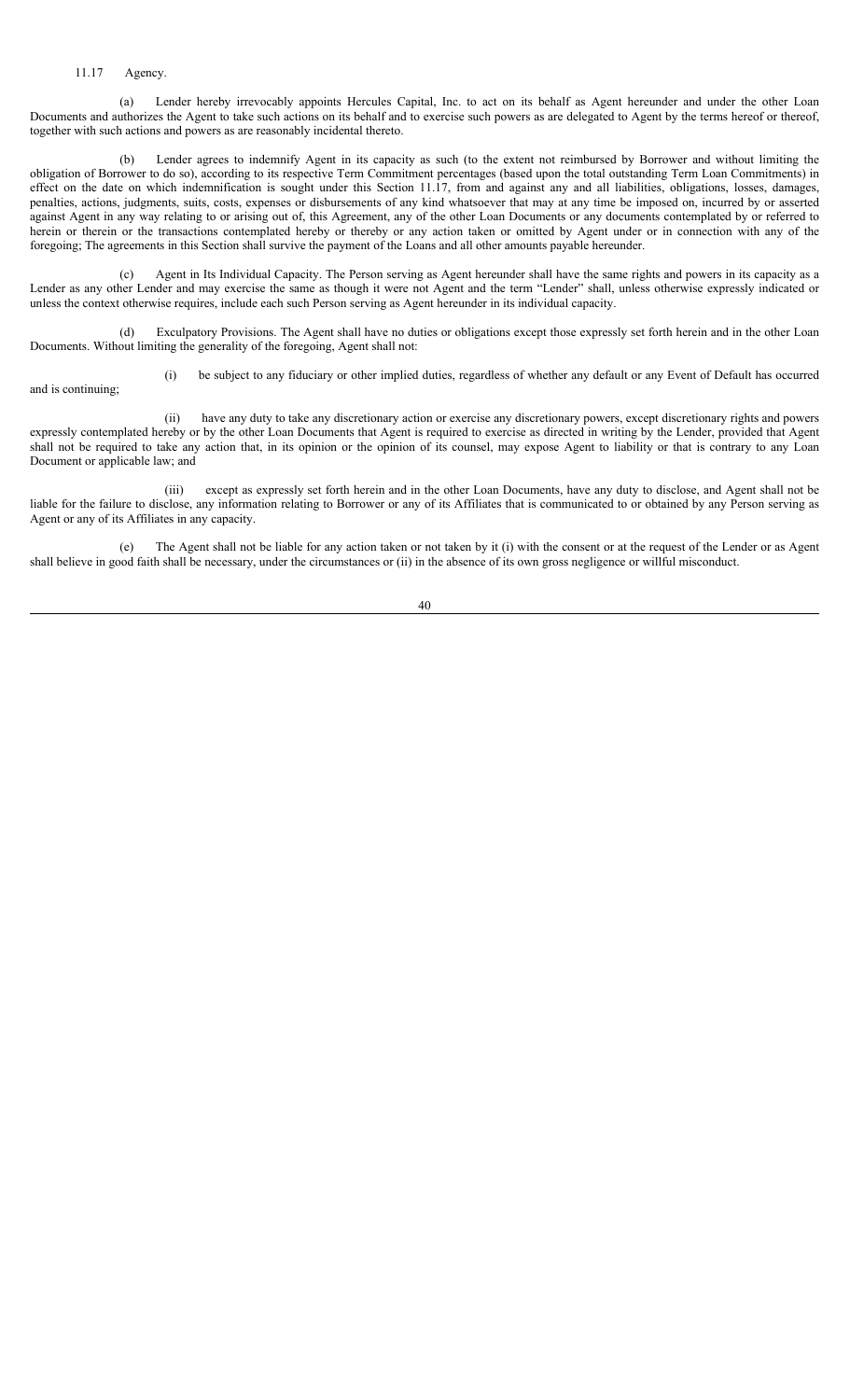#### 11.17 Agency.

(a) Lender hereby irrevocably appoints Hercules Capital, Inc. to act on its behalf as Agent hereunder and under the other Loan Documents and authorizes the Agent to take such actions on its behalf and to exercise such powers as are delegated to Agent by the terms hereof or thereof, together with such actions and powers as are reasonably incidental thereto.

(b) Lender agrees to indemnify Agent in its capacity as such (to the extent not reimbursed by Borrower and without limiting the obligation of Borrower to do so), according to its respective Term Commitment percentages (based upon the total outstanding Term Loan Commitments) in effect on the date on which indemnification is sought under this Section 11.17, from and against any and all liabilities, obligations, losses, damages, penalties, actions, judgments, suits, costs, expenses or disbursements of any kind whatsoever that may at any time be imposed on, incurred by or asserted against Agent in any way relating to or arising out of, this Agreement, any of the other Loan Documents or any documents contemplated by or referred to herein or therein or the transactions contemplated hereby or thereby or any action taken or omitted by Agent under or in connection with any of the foregoing; The agreements in this Section shall survive the payment of the Loans and all other amounts payable hereunder.

(c) Agent in Its Individual Capacity. The Person serving as Agent hereunder shall have the same rights and powers in its capacity as a Lender as any other Lender and may exercise the same as though it were not Agent and the term "Lender" shall, unless otherwise expressly indicated or unless the context otherwise requires, include each such Person serving as Agent hereunder in its individual capacity.

(d) Exculpatory Provisions. The Agent shall have no duties or obligations except those expressly set forth herein and in the other Loan Documents. Without limiting the generality of the foregoing, Agent shall not:

(i) be subject to any fiduciary or other implied duties, regardless of whether any default or any Event of Default has occurred and is continuing;

(ii) have any duty to take any discretionary action or exercise any discretionary powers, except discretionary rights and powers expressly contemplated hereby or by the other Loan Documents that Agent is required to exercise as directed in writing by the Lender, provided that Agent shall not be required to take any action that, in its opinion or the opinion of its counsel, may expose Agent to liability or that is contrary to any Loan Document or applicable law; and

(iii) except as expressly set forth herein and in the other Loan Documents, have any duty to disclose, and Agent shall not be liable for the failure to disclose, any information relating to Borrower or any of its Affiliates that is communicated to or obtained by any Person serving as Agent or any of its Affiliates in any capacity.

(e) The Agent shall not be liable for any action taken or not taken by it (i) with the consent or at the request of the Lender or as Agent shall believe in good faith shall be necessary, under the circumstances or (ii) in the absence of its own gross negligence or willful misconduct.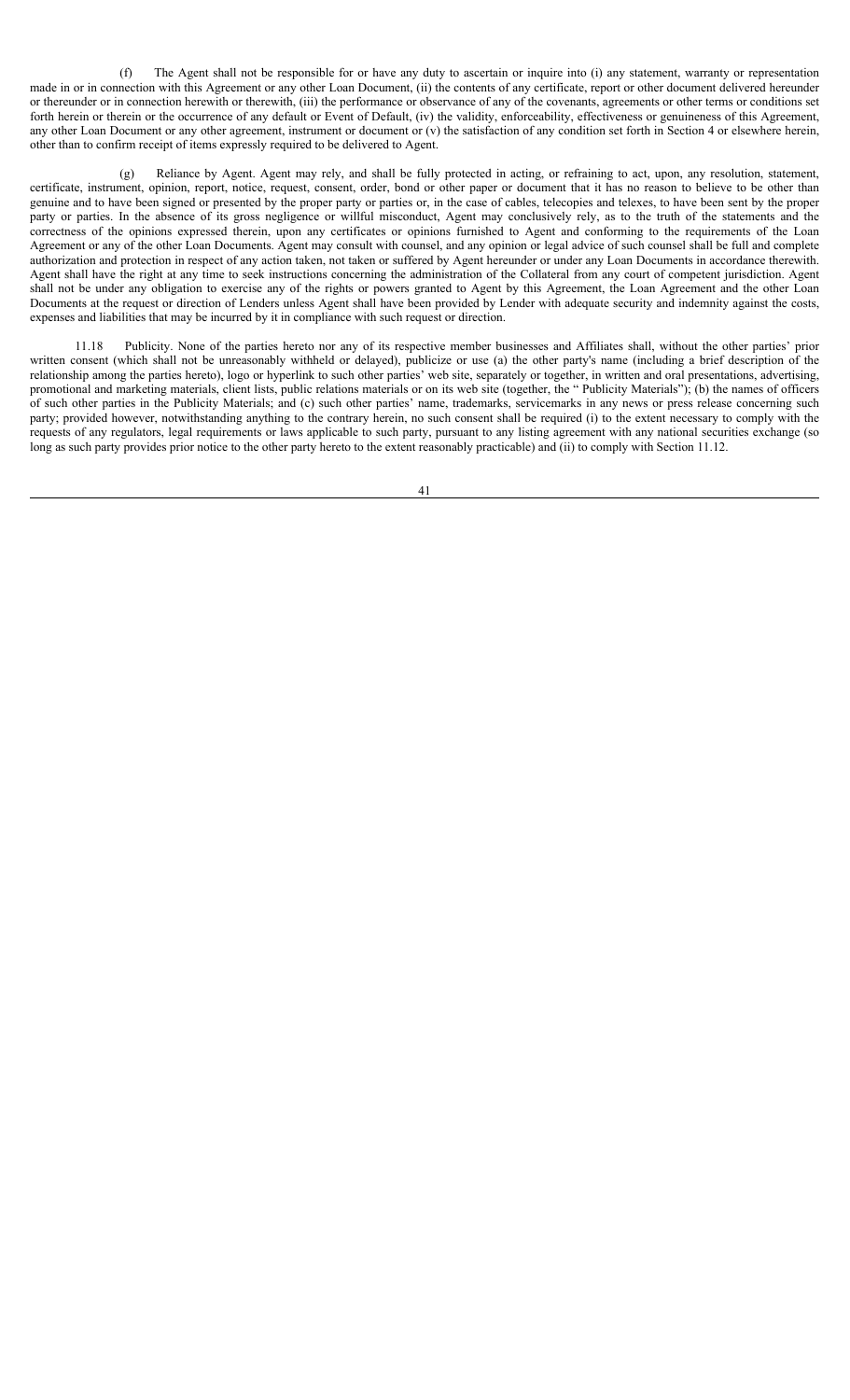(f) The Agent shall not be responsible for or have any duty to ascertain or inquire into (i) any statement, warranty or representation made in or in connection with this Agreement or any other Loan Document, (ii) the contents of any certificate, report or other document delivered hereunder or thereunder or in connection herewith or therewith, (iii) the performance or observance of any of the covenants, agreements or other terms or conditions set forth herein or therein or the occurrence of any default or Event of Default, (iv) the validity, enforceability, effectiveness or genuineness of this Agreement, any other Loan Document or any other agreement, instrument or document or (v) the satisfaction of any condition set forth in Section 4 or elsewhere herein, other than to confirm receipt of items expressly required to be delivered to Agent.

(g) Reliance by Agent. Agent may rely, and shall be fully protected in acting, or refraining to act, upon, any resolution, statement, certificate, instrument, opinion, report, notice, request, consent, order, bond or other paper or document that it has no reason to believe to be other than genuine and to have been signed or presented by the proper party or parties or, in the case of cables, telecopies and telexes, to have been sent by the proper party or parties. In the absence of its gross negligence or willful misconduct, Agent may conclusively rely, as to the truth of the statements and the correctness of the opinions expressed therein, upon any certificates or opinions furnished to Agent and conforming to the requirements of the Loan Agreement or any of the other Loan Documents. Agent may consult with counsel, and any opinion or legal advice of such counsel shall be full and complete authorization and protection in respect of any action taken, not taken or suffered by Agent hereunder or under any Loan Documents in accordance therewith. Agent shall have the right at any time to seek instructions concerning the administration of the Collateral from any court of competent jurisdiction. Agent shall not be under any obligation to exercise any of the rights or powers granted to Agent by this Agreement, the Loan Agreement and the other Loan Documents at the request or direction of Lenders unless Agent shall have been provided by Lender with adequate security and indemnity against the costs, expenses and liabilities that may be incurred by it in compliance with such request or direction.

11.18 Publicity. None of the parties hereto nor any of its respective member businesses and Affiliates shall, without the other parties' prior written consent (which shall not be unreasonably withheld or delayed), publicize or use (a) the other party's name (including a brief description of the relationship among the parties hereto), logo or hyperlink to such other parties' web site, separately or together, in written and oral presentations, advertising, promotional and marketing materials, client lists, public relations materials or on its web site (together, the " Publicity Materials"); (b) the names of officers of such other parties in the Publicity Materials; and (c) such other parties' name, trademarks, servicemarks in any news or press release concerning such party; provided however, notwithstanding anything to the contrary herein, no such consent shall be required (i) to the extent necessary to comply with the requests of any regulators, legal requirements or laws applicable to such party, pursuant to any listing agreement with any national securities exchange (so long as such party provides prior notice to the other party hereto to the extent reasonably practicable) and (ii) to comply with Section 11.12.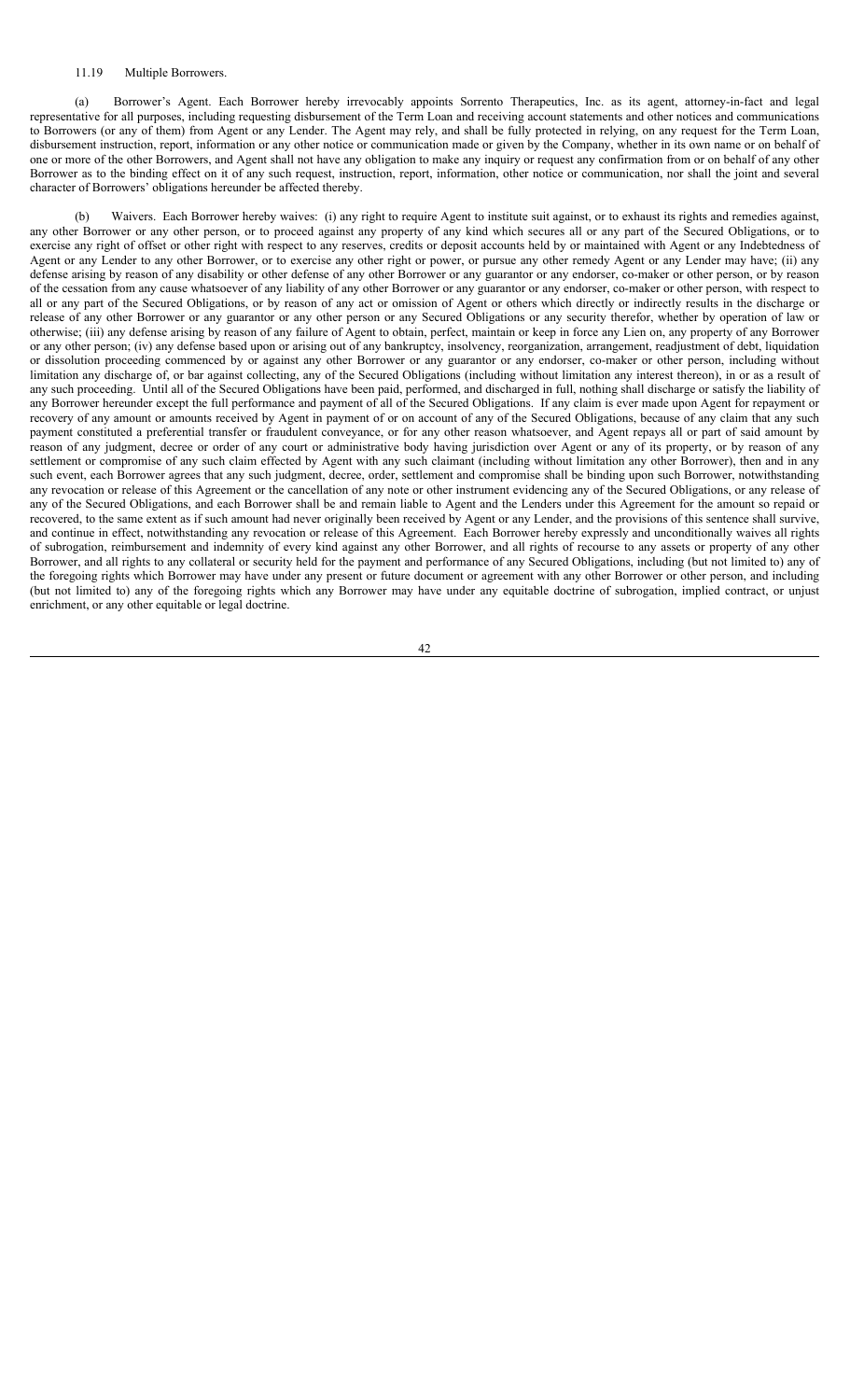#### 11.19 Multiple Borrowers.

(a) Borrower's Agent. Each Borrower hereby irrevocably appoints Sorrento Therapeutics, Inc. as its agent, attorney-in-fact and legal representative for all purposes, including requesting disbursement of the Term Loan and receiving account statements and other notices and communications to Borrowers (or any of them) from Agent or any Lender. The Agent may rely, and shall be fully protected in relying, on any request for the Term Loan, disbursement instruction, report, information or any other notice or communication made or given by the Company, whether in its own name or on behalf of one or more of the other Borrowers, and Agent shall not have any obligation to make any inquiry or request any confirmation from or on behalf of any other Borrower as to the binding effect on it of any such request, instruction, report, information, other notice or communication, nor shall the joint and several character of Borrowers' obligations hereunder be affected thereby.

(b) Waivers. Each Borrower hereby waives: (i) any right to require Agent to institute suit against, or to exhaust its rights and remedies against, any other Borrower or any other person, or to proceed against any property of any kind which secures all or any part of the Secured Obligations, or to exercise any right of offset or other right with respect to any reserves, credits or deposit accounts held by or maintained with Agent or any Indebtedness of Agent or any Lender to any other Borrower, or to exercise any other right or power, or pursue any other remedy Agent or any Lender may have; (ii) any defense arising by reason of any disability or other defense of any other Borrower or any guarantor or any endorser, co-maker or other person, or by reason of the cessation from any cause whatsoever of any liability of any other Borrower or any guarantor or any endorser, co-maker or other person, with respect to all or any part of the Secured Obligations, or by reason of any act or omission of Agent or others which directly or indirectly results in the discharge or release of any other Borrower or any guarantor or any other person or any Secured Obligations or any security therefor, whether by operation of law or otherwise; (iii) any defense arising by reason of any failure of Agent to obtain, perfect, maintain or keep in force any Lien on, any property of any Borrower or any other person; (iv) any defense based upon or arising out of any bankruptcy, insolvency, reorganization, arrangement, readjustment of debt, liquidation or dissolution proceeding commenced by or against any other Borrower or any guarantor or any endorser, co-maker or other person, including without limitation any discharge of, or bar against collecting, any of the Secured Obligations (including without limitation any interest thereon), in or as a result of any such proceeding. Until all of the Secured Obligations have been paid, performed, and discharged in full, nothing shall discharge or satisfy the liability of any Borrower hereunder except the full performance and payment of all of the Secured Obligations. If any claim is ever made upon Agent for repayment or recovery of any amount or amounts received by Agent in payment of or on account of any of the Secured Obligations, because of any claim that any such payment constituted a preferential transfer or fraudulent conveyance, or for any other reason whatsoever, and Agent repays all or part of said amount by reason of any judgment, decree or order of any court or administrative body having jurisdiction over Agent or any of its property, or by reason of any settlement or compromise of any such claim effected by Agent with any such claimant (including without limitation any other Borrower), then and in any such event, each Borrower agrees that any such judgment, decree, order, settlement and compromise shall be binding upon such Borrower, notwithstanding any revocation or release of this Agreement or the cancellation of any note or other instrument evidencing any of the Secured Obligations, or any release of any of the Secured Obligations, and each Borrower shall be and remain liable to Agent and the Lenders under this Agreement for the amount so repaid or recovered, to the same extent as if such amount had never originally been received by Agent or any Lender, and the provisions of this sentence shall survive, and continue in effect, notwithstanding any revocation or release of this Agreement. Each Borrower hereby expressly and unconditionally waives all rights of subrogation, reimbursement and indemnity of every kind against any other Borrower, and all rights of recourse to any assets or property of any other Borrower, and all rights to any collateral or security held for the payment and performance of any Secured Obligations, including (but not limited to) any of the foregoing rights which Borrower may have under any present or future document or agreement with any other Borrower or other person, and including (but not limited to) any of the foregoing rights which any Borrower may have under any equitable doctrine of subrogation, implied contract, or unjust enrichment, or any other equitable or legal doctrine.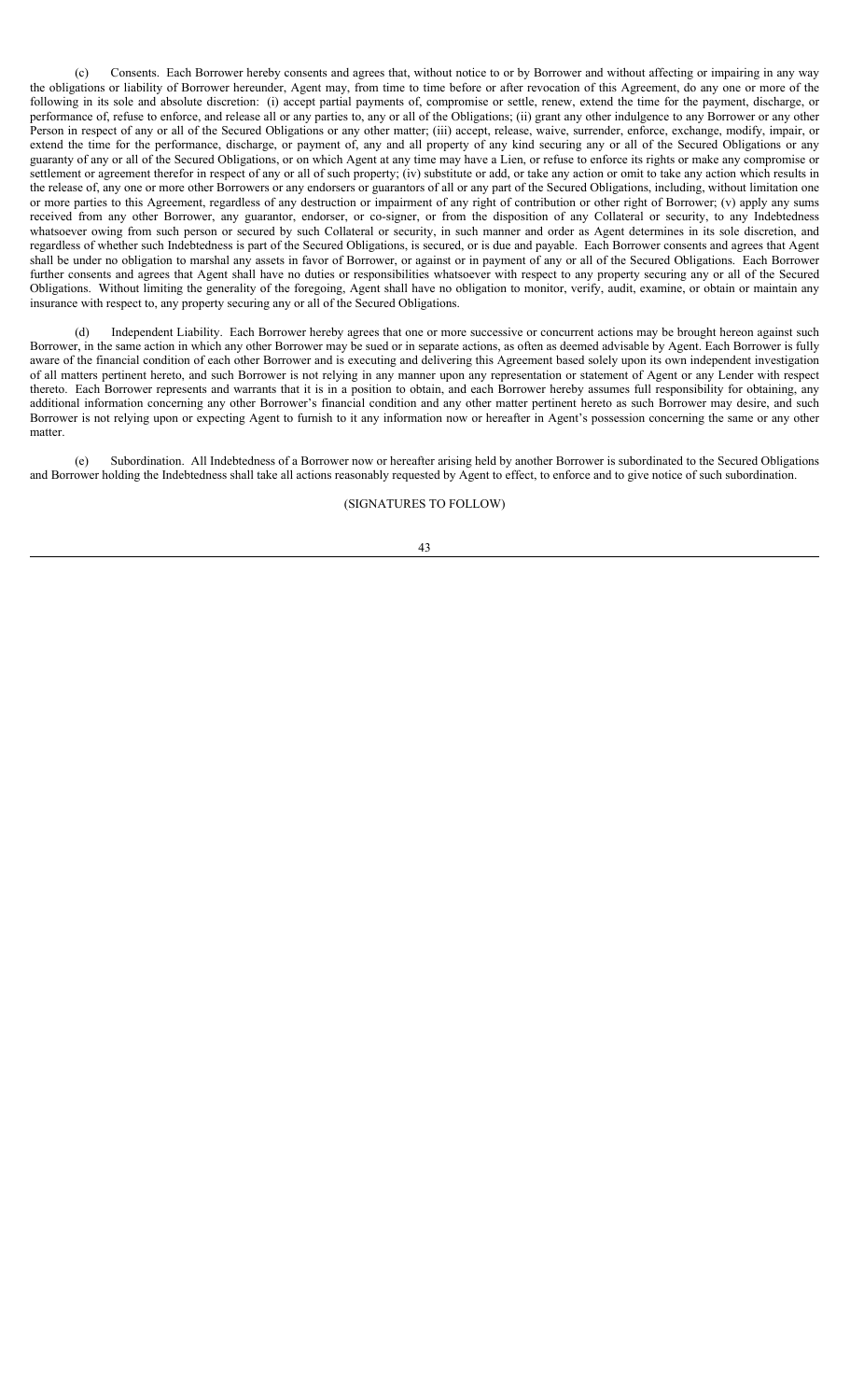(c) Consents. Each Borrower hereby consents and agrees that, without notice to or by Borrower and without affecting or impairing in any way the obligations or liability of Borrower hereunder, Agent may, from time to time before or after revocation of this Agreement, do any one or more of the following in its sole and absolute discretion: (i) accept partial payments of, compromise or settle, renew, extend the time for the payment, discharge, or performance of, refuse to enforce, and release all or any parties to, any or all of the Obligations; (ii) grant any other indulgence to any Borrower or any other Person in respect of any or all of the Secured Obligations or any other matter; (iii) accept, release, waive, surrender, enforce, exchange, modify, impair, or extend the time for the performance, discharge, or payment of, any and all property of any kind securing any or all of the Secured Obligations or any guaranty of any or all of the Secured Obligations, or on which Agent at any time may have a Lien, or refuse to enforce its rights or make any compromise or settlement or agreement therefor in respect of any or all of such property; (iv) substitute or add, or take any action or omit to take any action which results in the release of, any one or more other Borrowers or any endorsers or guarantors of all or any part of the Secured Obligations, including, without limitation one or more parties to this Agreement, regardless of any destruction or impairment of any right of contribution or other right of Borrower; (v) apply any sums received from any other Borrower, any guarantor, endorser, or co-signer, or from the disposition of any Collateral or security, to any Indebtedness whatsoever owing from such person or secured by such Collateral or security, in such manner and order as Agent determines in its sole discretion, and regardless of whether such Indebtedness is part of the Secured Obligations, is secured, or is due and payable. Each Borrower consents and agrees that Agent shall be under no obligation to marshal any assets in favor of Borrower, or against or in payment of any or all of the Secured Obligations. Each Borrower further consents and agrees that Agent shall have no duties or responsibilities whatsoever with respect to any property securing any or all of the Secured Obligations. Without limiting the generality of the foregoing, Agent shall have no obligation to monitor, verify, audit, examine, or obtain or maintain any insurance with respect to, any property securing any or all of the Secured Obligations.

(d) Independent Liability. Each Borrower hereby agrees that one or more successive or concurrent actions may be brought hereon against such Borrower, in the same action in which any other Borrower may be sued or in separate actions, as often as deemed advisable by Agent. Each Borrower is fully aware of the financial condition of each other Borrower and is executing and delivering this Agreement based solely upon its own independent investigation of all matters pertinent hereto, and such Borrower is not relying in any manner upon any representation or statement of Agent or any Lender with respect thereto. Each Borrower represents and warrants that it is in a position to obtain, and each Borrower hereby assumes full responsibility for obtaining, any additional information concerning any other Borrower's financial condition and any other matter pertinent hereto as such Borrower may desire, and such Borrower is not relying upon or expecting Agent to furnish to it any information now or hereafter in Agent's possession concerning the same or any other matter.

(e) Subordination. All Indebtedness of a Borrower now or hereafter arising held by another Borrower is subordinated to the Secured Obligations and Borrower holding the Indebtedness shall take all actions reasonably requested by Agent to effect, to enforce and to give notice of such subordination.

### (SIGNATURES TO FOLLOW)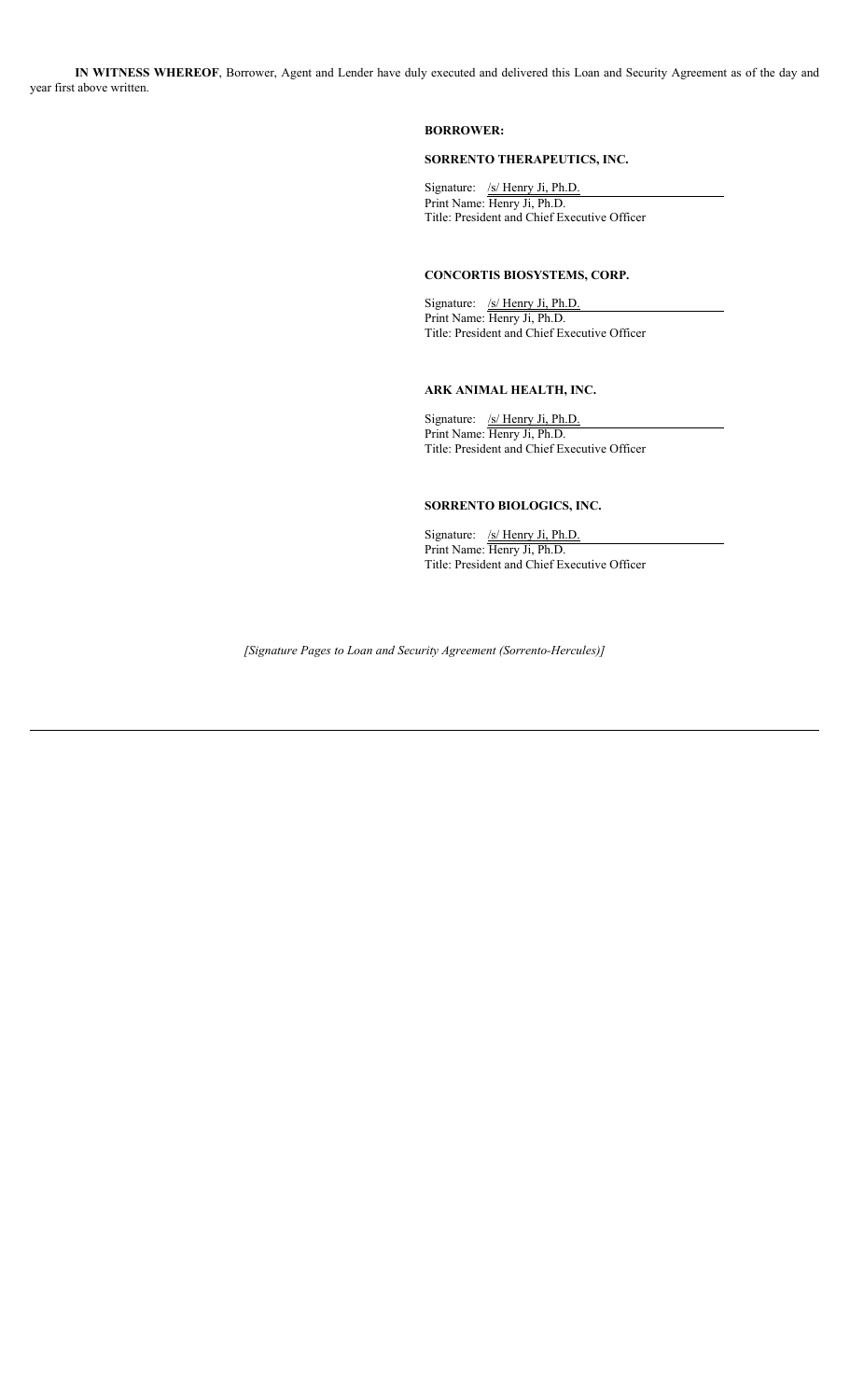**IN WITNESS WHEREOF**, Borrower, Agent and Lender have duly executed and delivered this Loan and Security Agreement as of the day and year first above written.

### **BORROWER:**

### **SORRENTO THERAPEUTICS, INC.**

Signature: /s/ Henry Ji, Ph.D. Print Name: Henry Ji, Ph.D. Title: President and Chief Executive Officer

### **CONCORTIS BIOSYSTEMS, CORP.**

Signature: /s/ Henry Ji, Ph.D. Print Name: Henry Ji, Ph.D. Title: President and Chief Executive Officer

# **ARK ANIMAL HEALTH, INC.**

Signature: /s/ Henry Ji, Ph.D. Print Name: Henry Ji, Ph.D. Title: President and Chief Executive Officer

# **SORRENTO BIOLOGICS, INC.**

Signature: /s/ Henry Ji, Ph.D. Print Name: Henry Ji, Ph.D. Title: President and Chief Executive Officer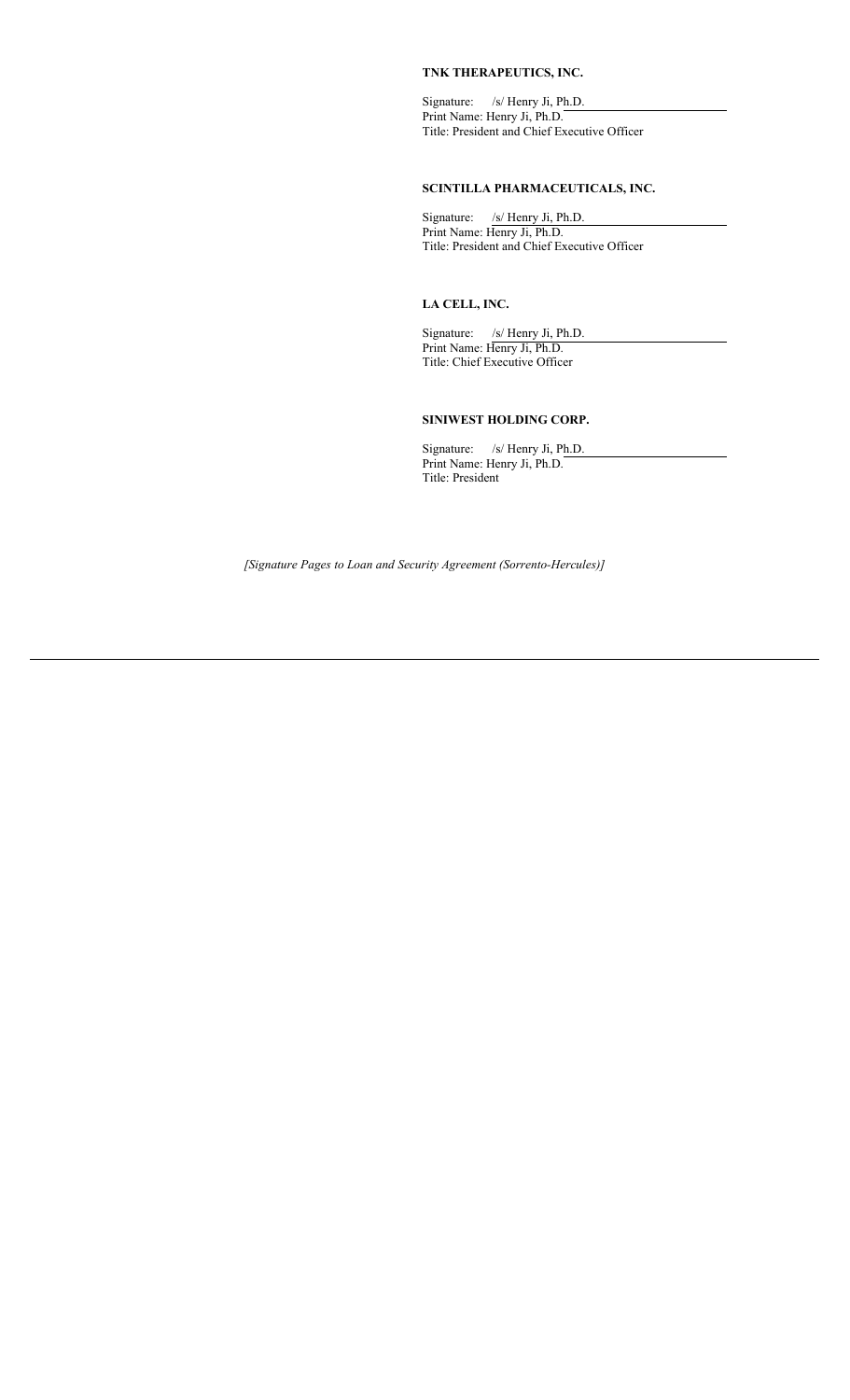# **TNK THERAPEUTICS, INC.**

Signature: /s/ Henry Ji, Ph.D. Print Name: Henry Ji, Ph.D. Title: President and Chief Executive Officer

# **SCINTILLA PHARMACEUTICALS, INC.**

Signature: /s/ Henry Ji, Ph.D. Print Name: Henry Ji, Ph.D. Title: President and Chief Executive Officer

### **LA CELL, INC.**

Signature: /s/ Henry Ji, Ph.D. Print Name: Henry Ji, Ph.D. Title: Chief Executive Officer

# **SINIWEST HOLDING CORP.**

Signature: /s/ Henry Ji, Ph.D. Print Name: Henry Ji, Ph.D. Title: President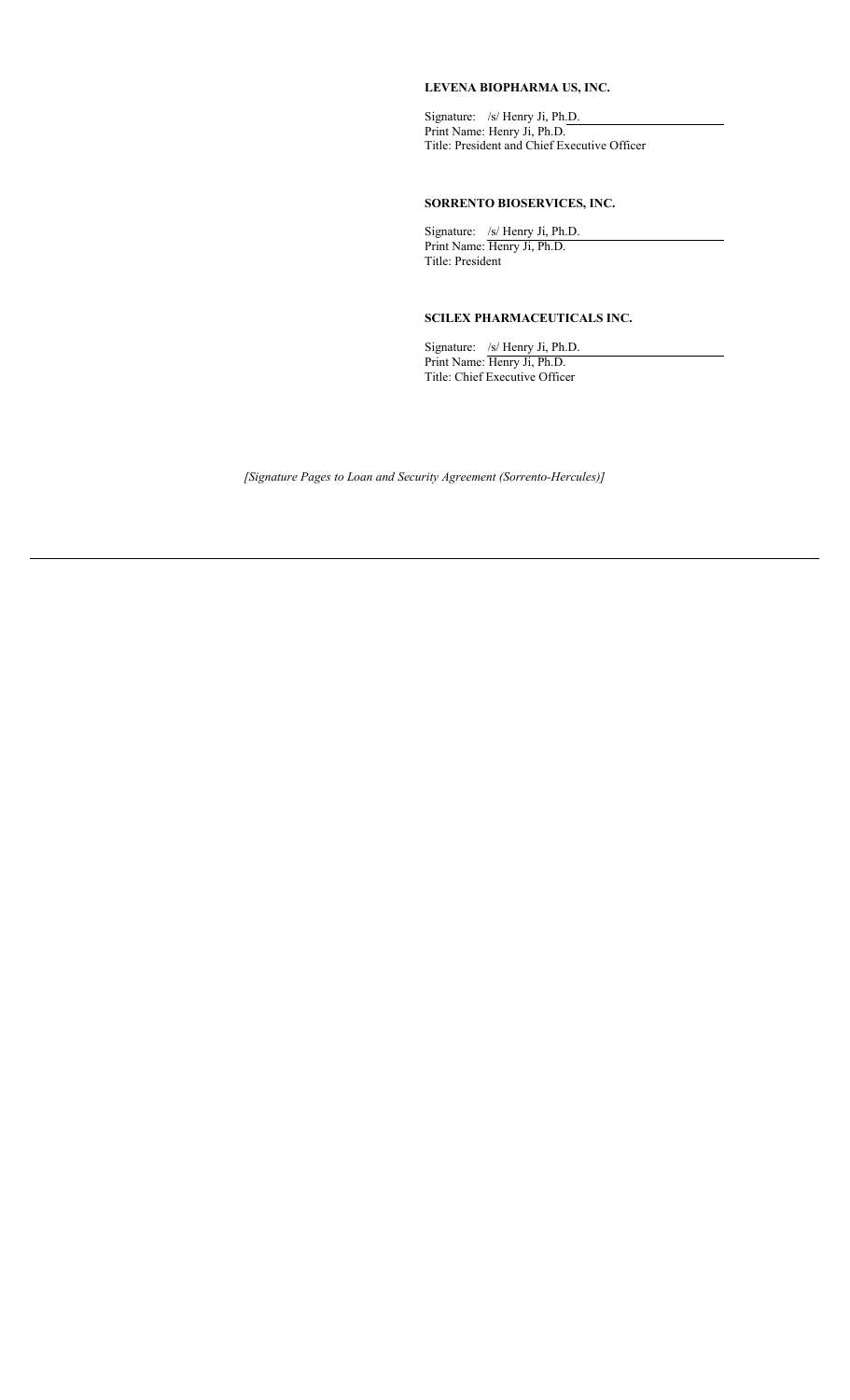### **LEVENA BIOPHARMA US, INC.**

Signature: /s/ Henry Ji, Ph.D. Print Name: Henry Ji, Ph.D. Title: President and Chief Executive Officer

# **SORRENTO BIOSERVICES, INC.**

Signature: /s/ Henry Ji, Ph.D. Print Name: Henry Ji, Ph.D. Title: President

### **SCILEX PHARMACEUTICALS INC.**

Signature: /s/ Henry Ji, Ph.D. Print Name: Henry Ji, Ph.D. Title: Chief Executive Officer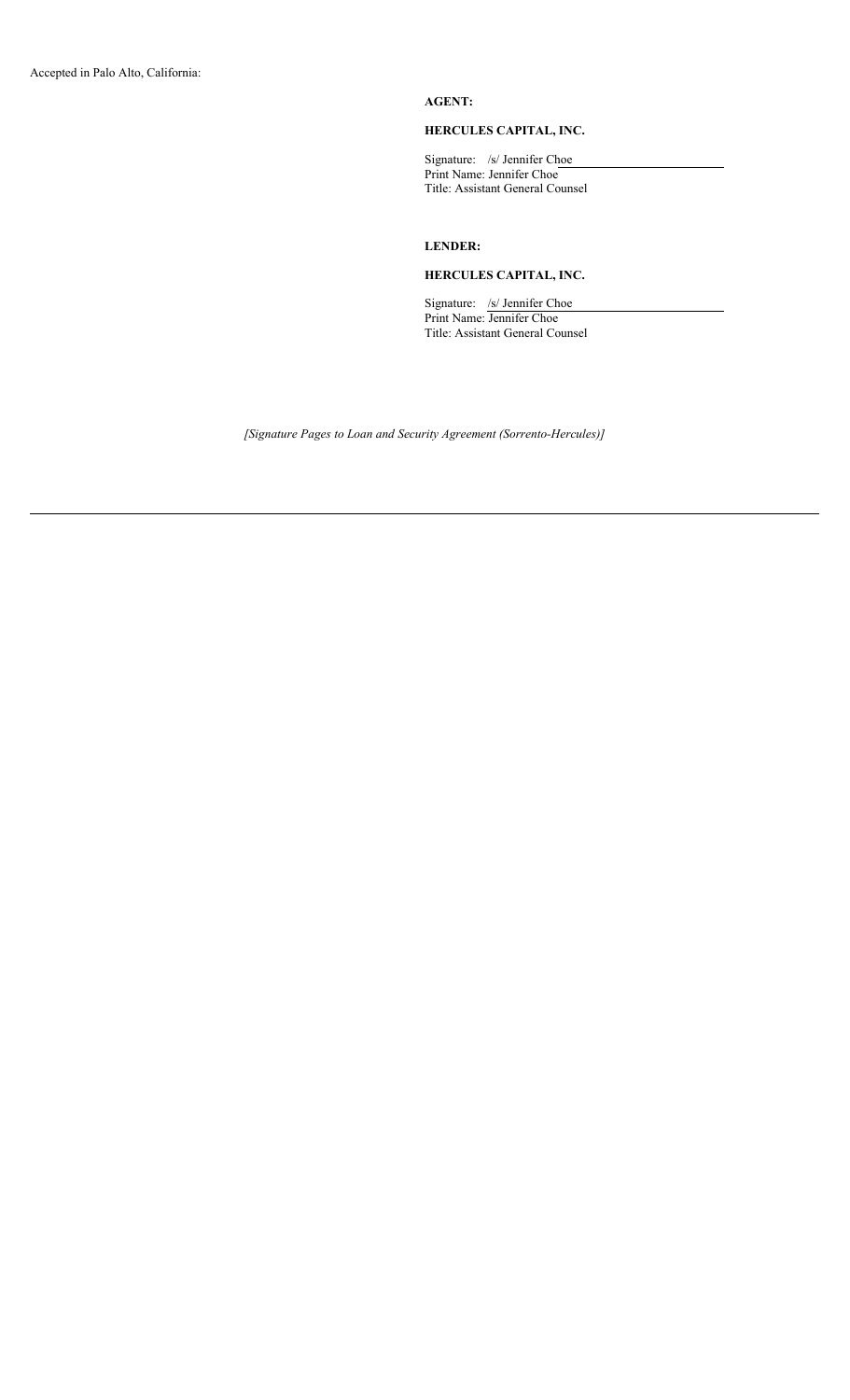# **AGENT:**

### **HERCULES CAPITAL, INC.**

Signature: /s/ Jennifer Choe Print Name: Jennifer Choe Title: Assistant General Counsel

# **LENDER:**

### **HERCULES CAPITAL, INC.**

Signature: /s/ Jennifer Choe Print Name: Jennifer Choe Title: Assistant General Counsel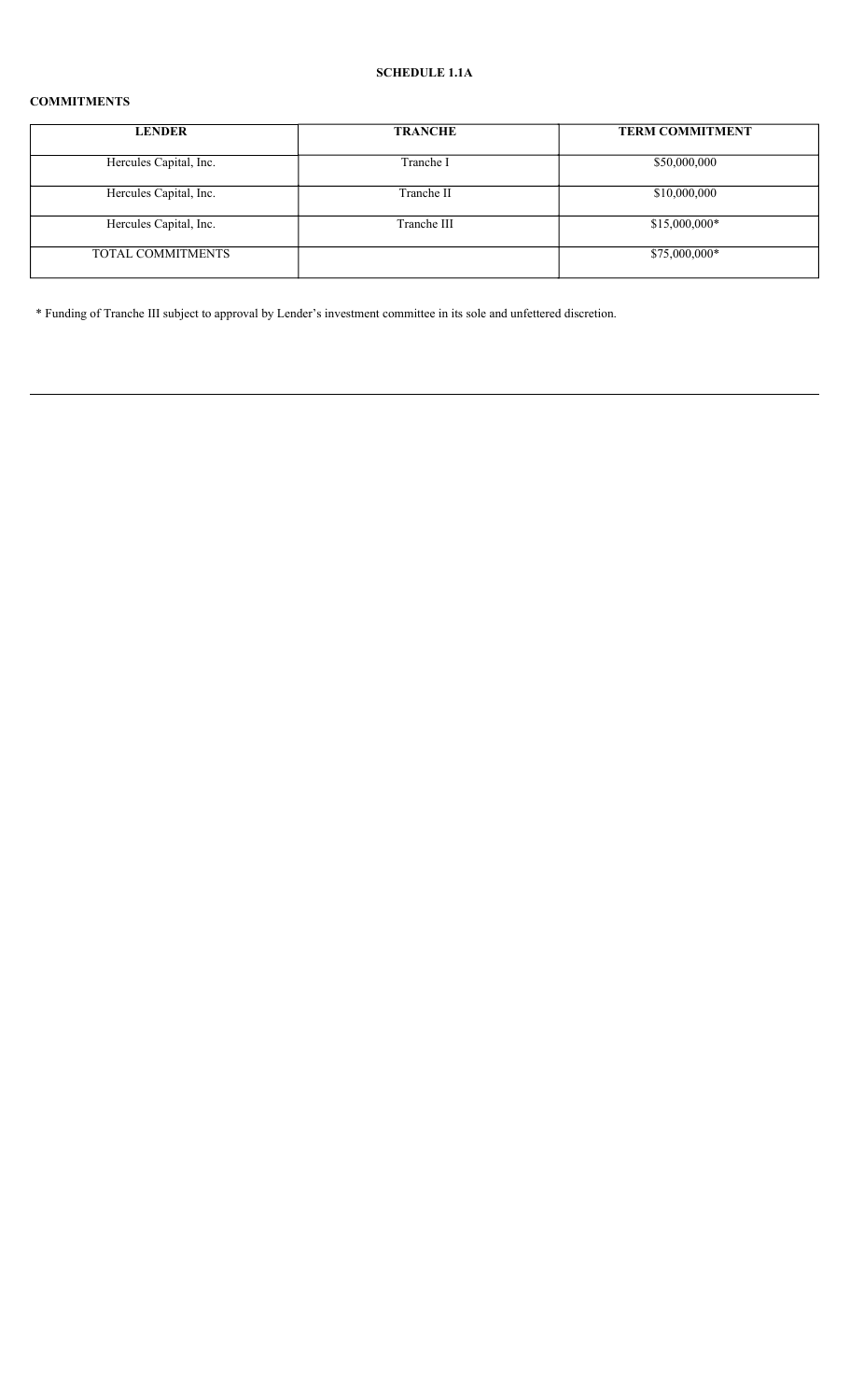# **COMMITMENTS**

| <b>LENDER</b>          | <b>TRANCHE</b> | <b>TERM COMMITMENT</b> |
|------------------------|----------------|------------------------|
| Hercules Capital, Inc. | Tranche I      | \$50,000,000           |
| Hercules Capital, Inc. | Tranche II     | \$10,000,000           |
| Hercules Capital, Inc. | Tranche III    | $$15,000,000*$         |
| TOTAL COMMITMENTS      |                | \$75,000,000*          |

\* Funding of Tranche III subject to approval by Lender's investment committee in its sole and unfettered discretion.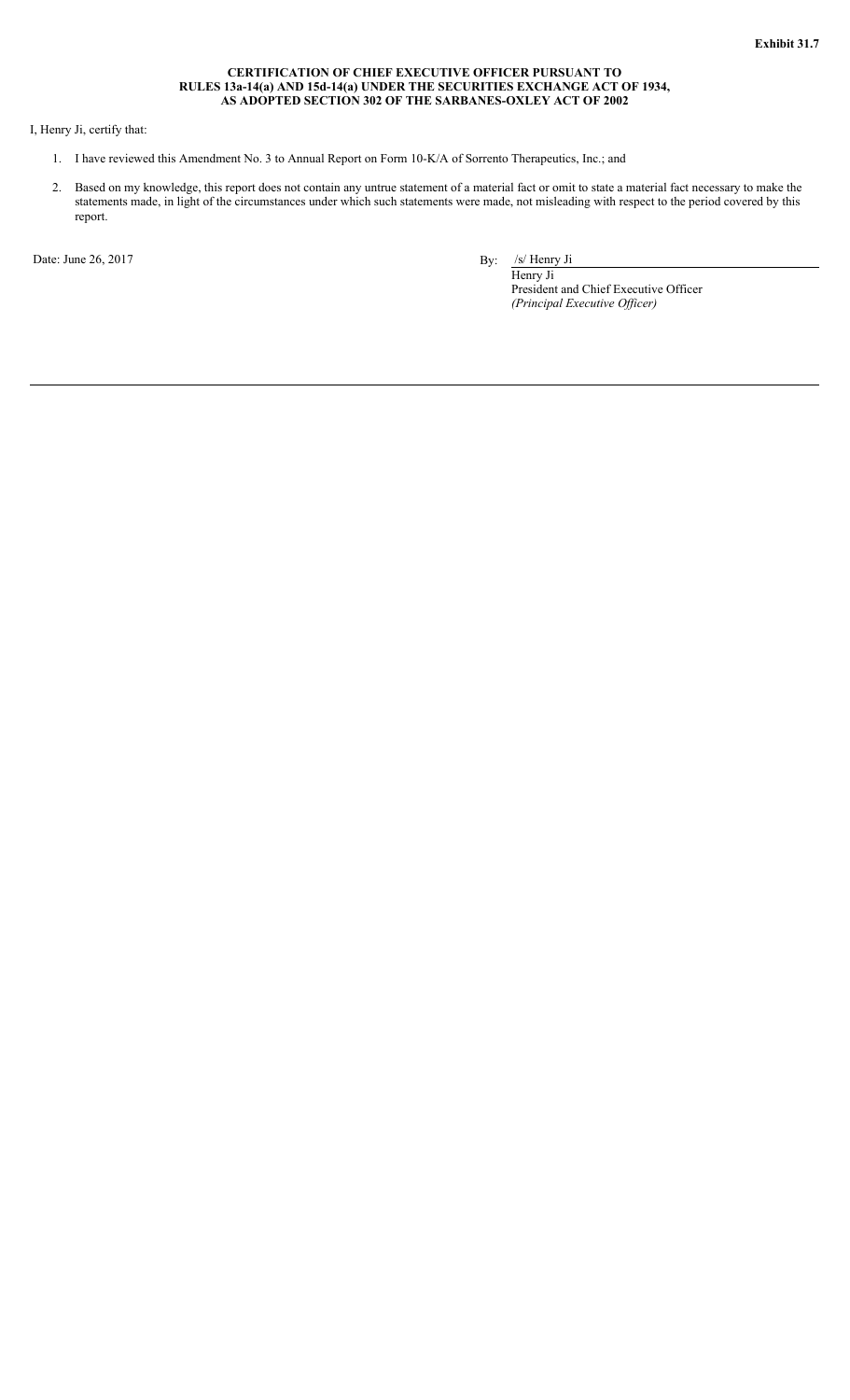#### **CERTIFICATION OF CHIEF EXECUTIVE OFFICER PURSUANT TO RULES 13a-14(a) AND 15d-14(a) UNDER THE SECURITIES EXCHANGE ACT OF 1934, AS ADOPTED SECTION 302 OF THE SARBANES-OXLEY ACT OF 2002**

### I, Henry Ji, certify that:

- 1. I have reviewed this Amendment No. 3 to Annual Report on Form 10-K/A of Sorrento Therapeutics, Inc.; and
- 2. Based on my knowledge, this report does not contain any untrue statement of a material fact or omit to state a material fact necessary to make the statements made, in light of the circumstances under which such statements were made, not misleading with respect to the period covered by this report.

Date: June 26, 2017 By: /s/ Henry Ji

Henry Ji President and Chief Executive Officer *(Principal Executive Officer)*